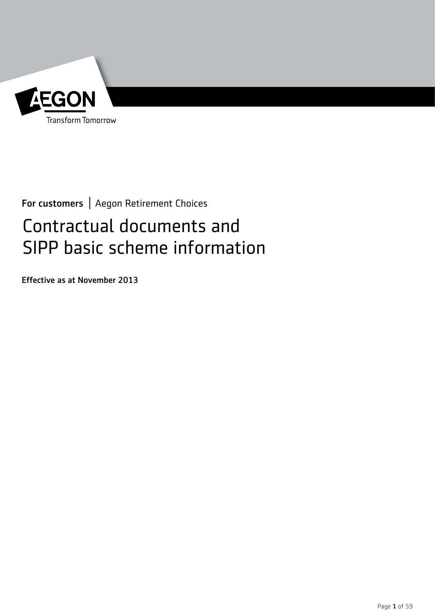

For customers | Aegon Retirement Choices

# Contractual documents and SIPP basic scheme information

Effective as at November 2013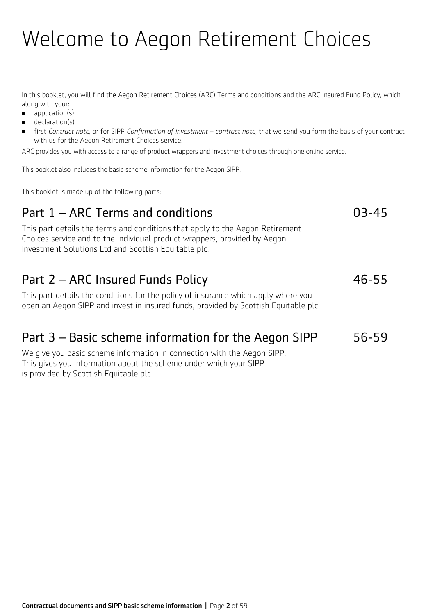# Welcome to Aegon Retirement Choices

In this booklet, you will find the Aegon Retirement Choices (ARC) Terms and conditions and the ARC Insured Fund Policy, which along with your:

- $\blacksquare$  application(s)
- $\blacksquare$  declaration(s)
- <sup>n</sup> first *Contract note*, or for SIPP *Confirmation of investment contract note,* that we send you form the basis of your contract with us for the Aegon Retirement Choices service.

ARC provides you with access to a range of product wrappers and investment choices through one online service.

This booklet also includes the basic scheme information for the Aegon SIPP.

This booklet is made up of the following parts:

## Part 1 – ARC Terms and conditions and conditions and  $03-45$

This part details the terms and conditions that apply to the Aegon Retirement Choices service and to the individual product wrappers, provided by Aegon Investment Solutions Ltd and Scottish Equitable plc.

## Part 2 – ARC Insured Funds Policy **46-55**

This part details the conditions for the policy of insurance which apply where you open an Aegon SIPP and invest in insured funds, provided by Scottish Equitable plc.

## Part 3 – Basic scheme information for the Aegon SIPP 56-59

We give you basic scheme information in connection with the Aegon SIPP. This gives you information about the scheme under which your SIPP is provided by Scottish Equitable plc.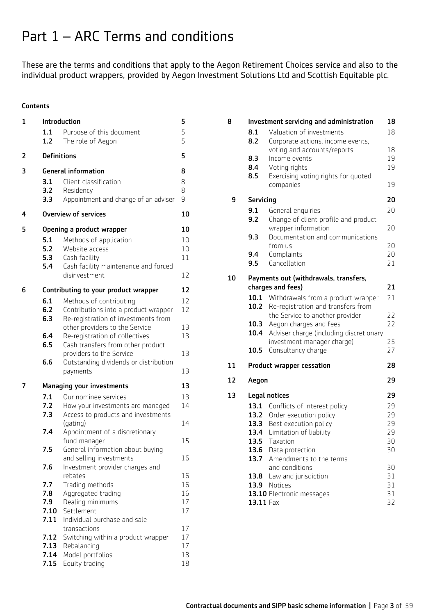## Part 1 – ARC Terms and conditions

These are the terms and conditions that apply to the Aegon Retirement Choices service and also to the individual product wrappers, provided by Aegon Investment Solutions Ltd and Scottish Equitable plc.

#### **Contents**

| 1 | Introduction               |                                                               | 5        |
|---|----------------------------|---------------------------------------------------------------|----------|
|   | 1.1<br>1.2                 | Purpose of this document<br>The role of Aegon                 | 5<br>5   |
| 2 | <b>Definitions</b>         |                                                               | 5        |
| 3 | <b>General information</b> |                                                               | 8        |
|   | 3.1                        | Client classification                                         | 8        |
|   | 3.2                        | Residency                                                     | 8        |
|   | 3.3                        | Appointment and change of an adviser                          | 9        |
| 4 |                            | <b>Overview of services</b>                                   | 10       |
| 5 |                            | Opening a product wrapper                                     | 10       |
|   | 5.1                        | Methods of application                                        | 10       |
|   | 5.2                        | Website access                                                | 10       |
|   | 5.3                        | Cash facility                                                 | 11       |
|   | 5.4                        | Cash facility maintenance and forced<br>disinvestment         | 12       |
| 6 |                            | Contributing to your product wrapper                          | 12       |
|   | 6.1                        | Methods of contributing                                       | 12       |
|   | 6.2                        | Contributions into a product wrapper                          | 12       |
|   | 6.3                        | Re-registration of investments from                           |          |
|   |                            | other providers to the Service                                | 13       |
|   | 6.4                        | Re-registration of collectives                                | 13       |
|   | 6.5                        | Cash transfers from other product<br>providers to the Service | 13       |
|   | 6.6                        | Outstanding dividends or distribution                         |          |
|   |                            | payments                                                      | 13       |
| 7 |                            | <b>Managing your investments</b>                              | 13       |
|   | 7.1                        | Our nominee services                                          | 13       |
|   | 7.2                        | How your investments are managed                              | 14       |
|   | 7.3                        | Access to products and investments                            |          |
|   |                            | (gating)                                                      | 14       |
|   | 7.4                        | Appointment of a discretionary<br>fund manager                | 15       |
|   | 7.5                        | General information about buying                              |          |
|   |                            | and selling investments                                       | 16       |
|   | 7.6                        | Investment provider charges and                               |          |
|   |                            | rebates                                                       | 16       |
|   | 7.7                        | Trading methods                                               | 16       |
|   | 7.8<br>7.9                 | Aggregated trading<br>Dealing minimums                        | 16<br>17 |
|   | 7.10                       | Settlement                                                    | 17       |
|   | 7.11                       | Individual purchase and sale                                  |          |
|   |                            | transactions                                                  | 17       |
|   | 7.12                       | Switching within a product wrapper                            | 17       |
|   | 7.13                       | Rebalancing                                                   | 17       |
|   | 7.14                       | Model portfolios                                              | 18       |
|   | 7.15                       | Equity trading                                                | 18       |

| 8  |                                  | Investment servicing and administration                                  | 18       |
|----|----------------------------------|--------------------------------------------------------------------------|----------|
|    | 8.1<br>8.2                       | Valuation of investments<br>Corporate actions, income events,            | 18       |
|    |                                  | voting and accounts/reports                                              | 18       |
|    | 8.3<br>8.4                       | Income events<br>Voting rights                                           | 19<br>19 |
|    | 8.5                              | Exercising voting rights for quoted                                      |          |
|    |                                  | companies                                                                | 19       |
| 9  | <b>Servicing</b>                 |                                                                          | 20       |
|    | 9.1                              | General enquiries                                                        | 20       |
|    | 9.2                              | Change of client profile and product                                     |          |
|    | 9.3                              | wrapper information<br>Documentation and communications                  | 20       |
|    |                                  | from us                                                                  | 20       |
|    | 9.4                              | Complaints                                                               | 20       |
|    | 9.5                              | Cancellation                                                             | 21       |
| 10 |                                  | Payments out (withdrawals, transfers,                                    |          |
|    |                                  | charges and fees)                                                        | 21       |
|    | 10.1<br>10.2                     | Withdrawals from a product wrapper<br>Re-registration and transfers from | 21       |
|    |                                  | the Service to another provider                                          | 22       |
|    | 10.3                             | Aegon charges and fees                                                   | 22       |
|    | 10.4                             | Adviser charge (including discretionary                                  |          |
|    | 10.5                             | investment manager charge)<br>Consultancy charge                         | 25<br>27 |
|    |                                  |                                                                          |          |
| 11 | <b>Product wrapper cessation</b> |                                                                          | 28       |
| 12 | Aegon                            |                                                                          | 29       |
| 13 |                                  | Legal notices                                                            | 29       |
|    | 13.1                             | Conflicts of interest policy                                             | 29       |
|    | 13.2                             | Order execution policy                                                   | 29       |
|    | 13.3<br>13.4                     | Best execution policy<br>Limitation of liability                         | 29<br>29 |
|    | 13.5                             | laxation                                                                 | 30       |
|    | 13.6                             | Data protection                                                          | 30       |
|    | 13.7                             | Amendments to the terms                                                  |          |
|    |                                  | and conditions                                                           | 30       |
|    | 13.8                             | Law and jurisdiction                                                     | 31<br>31 |
|    |                                  | 13.9 Notices<br>13.10 Electronic messages                                | 31       |
|    | 13.11 Fax                        |                                                                          | 32       |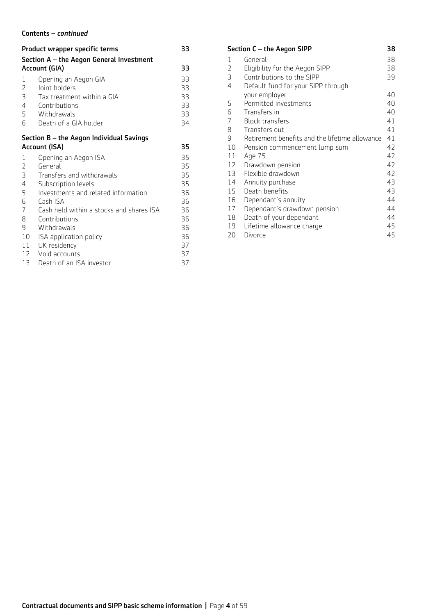### Contents – *continued*

|                                            | Product wrapper specific terms                                                       | 33                   |  |
|--------------------------------------------|--------------------------------------------------------------------------------------|----------------------|--|
|                                            | Section A – the Aegon General Investment                                             |                      |  |
|                                            | Account (GIA)                                                                        | 33                   |  |
| 1<br>$\overline{2}$<br>3<br>$\overline{4}$ | Opening an Aegon GIA<br>Joint holders<br>Tax treatment within a GIA<br>Contributions | 33<br>33<br>33<br>33 |  |
| 5                                          | Withdrawals                                                                          | 33                   |  |
| 6                                          | Death of a GIA holder                                                                | 34                   |  |
|                                            | Section B - the Aegon Individual Savings                                             |                      |  |
|                                            | Account (ISA)                                                                        | 35                   |  |
| 1                                          | Opening an Aegon ISA                                                                 | 35                   |  |
| 2                                          | General                                                                              | 35                   |  |
| 3                                          | Transfers and withdrawals                                                            | 35                   |  |
| $\overline{4}$                             | Subscription levels<br>Investments and related information                           | 35                   |  |
| 5<br>6                                     | Cash ISA                                                                             | 36<br>36             |  |
| $\overline{7}$                             | Cash held within a stocks and shares ISA                                             | 36                   |  |
| 8                                          | Contributions                                                                        | 36                   |  |
| 9                                          | Withdrawals                                                                          | 36                   |  |
| 10                                         | ISA application policy                                                               | 36                   |  |
| 11                                         | UK residency                                                                         | 37                   |  |
|                                            | 12 Void accounts                                                                     | 37                   |  |
| 13                                         | Death of an ISA investor                                                             | 37                   |  |

| 38<br>Section C - the Aegon SIPP |                                                |    |
|----------------------------------|------------------------------------------------|----|
| 1                                | General                                        | 38 |
| $\overline{2}$                   | Eligibility for the Aegon SIPP                 | 38 |
| 3                                | Contributions to the SIPP                      | 39 |
| 4                                | Default fund for your SIPP through             |    |
|                                  | your employer                                  | 40 |
| 5                                | Permitted investments                          | 40 |
| 6                                | Transfers in                                   | 40 |
| 7                                | <b>Block transfers</b>                         | 41 |
| 8                                | Transfers out                                  | 41 |
| 9                                | Retirement benefits and the lifetime allowance | 41 |
| 10                               | Pension commencement lump sum                  | 42 |
| 11                               | Age 75                                         | 42 |
| 12                               | Drawdown pension                               | 42 |
| 13                               | Flexible drawdown                              | 42 |
| 14                               | Annuity purchase                               | 43 |
| 15                               | Death benefits                                 | 43 |
| 16                               | Dependant's annuity                            | 44 |
| 17                               | Dependant's drawdown pension                   | 44 |
| 18                               | Death of your dependant                        | 44 |
| 19                               | Lifetime allowance charge                      | 45 |
| 20                               | Divorce                                        | 45 |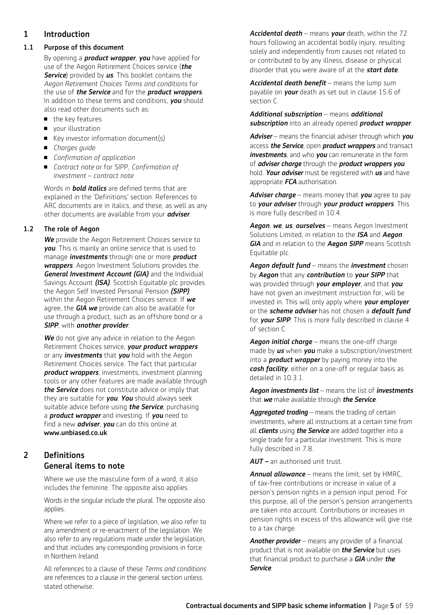## 1 Introduction

#### 1.1 Purpose of this document

By opening a *product wrapper*, *you* have applied for use of the Aegon Retirement Choices service (*the Service*) provided by *us*. This booklet contains the *Aegon Retirement Choices Terms and conditions* for the use of *the Service* and for the *product wrappers*. In addition to these terms and conditions, *you* should also read other documents such as:

- $\blacksquare$  the key features
- vour illustration
- $\blacksquare$  Key investor information document(s)
- *Charges guide*
- *Confirmation of application*
- *Contract note* or for SIPP, *Confirmation of investment – contract note*

 Words in *bold italics* are defined terms that are explained in the 'Definitions' section. References to ARC documents are in italics, and these, as well as any other documents are available from your *adviser*.

### 1.2 The role of Aegon

 *We* provide the Aegon Retirement Choices service to *you*. This is mainly an online service that is used to manage *investments* through one or more *product wrappers*. Aegon Investment Solutions provides the *General Investment Account (GIA)* and the Individual Savings Account *(ISA)*. Scottish Equitable plc provides the Aegon Self Invested Personal Pension *(SIPP)* within the Aegon Retirement Choices service. If *we* agree, the *GIA we* provide can also be available for use through a product, such as an offshore bond or a *SIPP*, with *another provider*.

**We** do not give any advice in relation to the Aegon Retirement Choices service, *your product wrappers* or any *investments* that *you* hold with the Aegon Retirement Choices service. The fact that particular *product wrappers*, investments, investment planning tools or any other features are made available through *the Service* does not constitute advice or imply that they are suitable for *you*. *You* should always seek suitable advice before using *the Service*, purchasing a *product wrapper* and investing. If *you* need to find a new *adviser*, *you* can do this online at www.unbiased.co.uk

## 2 Definitions General items to note

Where we use the masculine form of a word, it also includes the feminine. The opposite also applies.

Words in the singular include the plural. The opposite also applies.

Where we refer to a piece of legislation, we also refer to any amendment or re-enactment of the legislation. We also refer to any regulations made under the legislation, and that includes any corresponding provisions in force in Northern Ireland.

All references to a clause of these *Terms and conditions* are references to a clause in the general section unless stated otherwise.

*Accidental death* – means *your* death, within the 72 hours following an accidental bodily injury, resulting solely and independently from causes not related to or contributed to by any illness, disease or physical disorder that you were aware of at the *start date*.

Accidental death benefit - means the lump sum payable on *your* death as set out in clause 15.6 of section C.

### *Additional subscription* – means *additional subscription* into an already opened *product wrapper*.

*Adviser* – means the financial adviser through which *you* access *the Service*, open *product wrappers* and transact *investments*, and who *you* can remunerate in the form of *adviser charge* through the *product wrappers you* hold. *Your adviser* must be registered with *us* and have appropriate *FCA* authorisation.

*Adviser charge* – means money that *you* agree to pay to *your adviser* through *your product wrappers*. This is more fully described in 10.4.

*Aegon*, *we*, *us*, *ourselves* – means Aegon Investment Solutions Limited, in relation to the *ISA* and *Aegon GIA* and in relation to the *Aegon SIPP* means Scottish Equitable plc.

*Aegon default fund* – means the *investment* chosen by *Aegon* that any *contribution* to *your SIPP* that was provided through *your employer*, and that *you* have not given an investment instruction for, will be invested in. This will only apply where *your employer* or the *scheme adviser* has not chosen a *default fund* for *your SIPP*. This is more fully described in clause 4 of section C.

*Aegon initial charge* – means the one-off charge made by *us* when *you* make a subscription/investment into a *product wrapper* by paying money into the *cash facility*, either on a one-off or regular basis as detailed in 10.3.1.

#### *Aegon investments list* – means the list of *investments* that *we* make available through *the Service*.

*Aggregated trading* – means the trading of certain investments, where all instructions at a certain time from all *clients* using *the Service* are added together into a single trade for a particular investment. This is more fully described in 7.8.

*AUT –* an authorised unit trust.

*Annual allowance* – means the limit, set by HMRC, of tax-free contributions or increase in value of a person's pension rights in a pension input period. For this purpose, all of the person's pension arrangements are taken into account. Contributions or increases in pension rights in excess of this allowance will give rise to a tax charge.

*Another provider* – means any provider of a financial product that is not available on *the Service* but uses that financial product to purchase a *GIA* under *the Service*.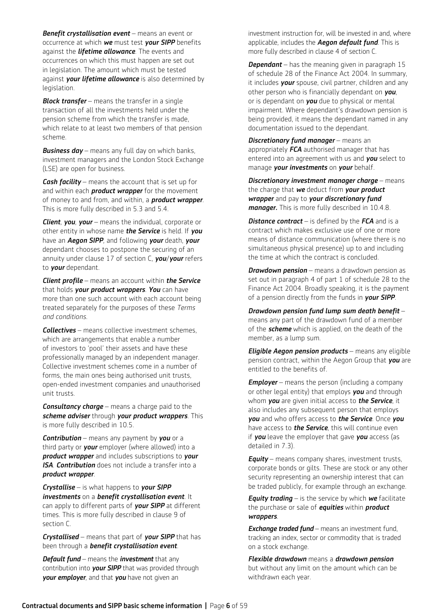*Benefit crystallisation event* – means an event or occurrence at which *we* must test *your SIPP* benefits against the *lifetime allowance*. The events and occurrences on which this must happen are set out in legislation. The amount which must be tested against *your lifetime allowance* is also determined by legislation.

*Block transfer* – means the transfer in a single transaction of all the investments held under the pension scheme from which the transfer is made, which relate to at least two members of that pension scheme.

*Business day* – means any full day on which banks, investment managers and the London Stock Exchange (LSE) are open for business.

*Cash facility* – means the account that is set up for and within each *product wrapper* for the movement of money to and from, and within, a *product wrapper*. This is more fully described in 5.3 and 5.4.

*Client*, *you*, *your* – means the individual, corporate or other entity in whose name *the Service* is held. If *you* have an *Aegon SIPP*, and following *your* death, *your* dependant chooses to postpone the securing of an annuity under clause 17 of section C, *you*/*your* refers to *your* dependant.

*Client profile* – means an account within *the Service* that holds *your product wrappers*. *You* can have more than one such account with each account being treated separately for the purposes of these *Terms and conditions*.

*Collectives* – means collective investment schemes, which are arrangements that enable a number of investors to 'pool' their assets and have these professionally managed by an independent manager. Collective investment schemes come in a number of forms, the main ones being authorised unit trusts, open-ended investment companies and unauthorised unit trusts.

*Consultancy charge* – means a charge paid to the *scheme adviser* through *your product wrappers*. This is more fully described in 10.5.

*Contribution* – means any payment by *you* or a third party or *your* employer (where allowed) into a *product wrapper* and includes subscriptions to *your ISA*. *Contribution* does not include a transfer into a *product wrapper*.

*Crystallise* – is what happens to *your SIPP investments* on a *benefit crystallisation event*. It can apply to different parts of *your SIPP* at different times. This is more fully described in clause 9 of section C.

*Crystallised* – means that part of *your SIPP* that has been through a *benefit crystallisation event*.

*Default fund* – means the *investment* that any contribution into *your SIPP* that was provided through *your employer*, and that *you* have not given an

investment instruction for, will be invested in and, where applicable, includes the *Aegon default fund*. This is more fully described in clause 4 of section C.

*Dependant* – has the meaning given in paragraph 15 of schedule 28 of the Finance Act 2004. In summary, it includes *your* spouse, civil partner, children and any other person who is financially dependant on *you*, or is dependant on *you* due to physical or mental impairment. Where dependant's drawdown pension is being provided, it means the dependant named in any documentation issued to the dependant.

*Discretionary fund manager* – means an appropriately *FCA* authorised manager that has entered into an agreement with us and *you* select to manage *your investments* on *your* behalf.

*Discretionary investment manager charge* – means the charge that *we* deduct from *your product wrapper* and pay to *your discretionary fund manager.* This is more fully described in 10.4.8.

*Distance contract* – is defined by the *FCA* and is a contract which makes exclusive use of one or more means of distance communication (where there is no simultaneous physical presence) up to and including the time at which the contract is concluded.

*Drawdown pension* – means a drawdown pension as set out in paragraph 4 of part 1 of schedule 28 to the Finance Act 2004. Broadly speaking, it is the payment of a pension directly from the funds in *your SIPP*.

*Drawdown pension fund lump sum death benefit* – means any part of the drawdown fund of a member of the *scheme* which is applied, on the death of the member, as a lump sum.

*Eligible Aegon pension products* – means any eligible pension contract, within the Aegon Group that *you* are entitled to the benefits of.

*Employer* – means the person (including a company or other legal entity) that employs *you* and through whom *you* are given initial access to *the Service*, it also includes any subsequent person that employs *you* and who offers access to *the Service*. Once *you* have access to *the Service*, this will continue even if *you* leave the employer that gave *you* access (as detailed in 7.3).

*Equity* – means company shares, investment trusts, corporate bonds or gilts. These are stock or any other security representing an ownership interest that can be traded publicly, for example through an exchange.

*Equity trading* – is the service by which *we* facilitate the purchase or sale of *equities* within *product wrappers*.

*Exchange traded fund* – means an investment fund, tracking an index, sector or commodity that is traded on a stock exchange.

*Flexible drawdown* means a *drawdown pension* but without any limit on the amount which can be withdrawn each year.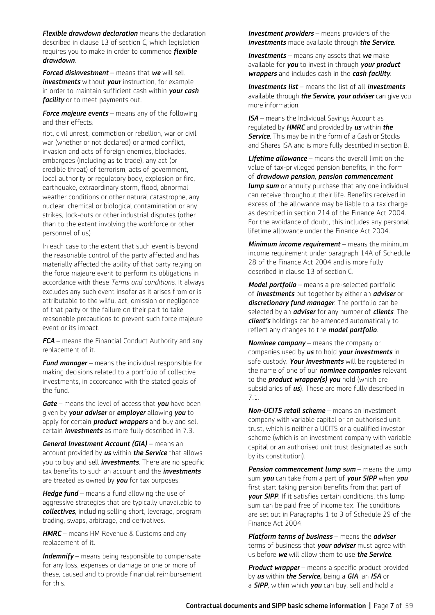*Flexible drawdown declaration* means the declaration described in clause 13 of section C, which legislation requires you to make in order to commence *flexible drawdown*.

*Forced disinvestment* – means that *we* will sell *investments* without *your* instruction, for example in order to maintain sufficient cash within *your cash facility* or to meet payments out.

*Force majeure events – means any of the following* and their effects:

riot, civil unrest, commotion or rebellion, war or civil war (whether or not declared) or armed conflict, invasion and acts of foreign enemies, blockades, embargoes (including as to trade), any act (or credible threat) of terrorism, acts of government, local authority or regulatory body, explosion or fire, earthquake, extraordinary storm, flood, abnormal weather conditions or other natural catastrophe, any nuclear, chemical or biological contamination or any strikes, lock-outs or other industrial disputes (other than to the extent involving the workforce or other personnel of us)

In each case to the extent that such event is beyond the reasonable control of the party affected and has materially affected the ability of that party relying on the force majeure event to perform its obligations in accordance with these *Terms and conditions*. It always excludes any such event insofar as it arises from or is attributable to the wilful act, omission or negligence of that party or the failure on their part to take reasonable precautions to prevent such force majeure event or its impact.

*FCA* – means the Financial Conduct Authority and any replacement of it.

*Fund manager* – means the individual responsible for making decisions related to a portfolio of collective investments, in accordance with the stated goals of the fund.

*Gate* – means the level of access that *you* have been given by *your adviser* or *employer* allowing *you* to apply for certain *product wrappers* and buy and sell certain *investments* as more fully described in 7.3.

*General Investment Account (GIA)* – means an account provided by *us* within *the Service* that allows you to buy and sell *investments*. There are no specific tax benefits to such an account and the *investments* are treated as owned by *you* for tax purposes.

*Hedge fund* – means a fund allowing the use of aggressive strategies that are typically unavailable to *collectives*, including selling short, leverage, program trading, swaps, arbitrage, and derivatives.

*HMRC* – means HM Revenue & Customs and any replacement of it.

*Indemnify* – means being responsible to compensate for any loss, expenses or damage or one or more of these, caused and to provide financial reimbursement for this.

*Investment providers* – means providers of the *investments* made available through *the Service*.

*Investments* – means any assets that *we* make available for *you* to invest in through *your product wrappers* and includes cash in the *cash facility*.

*Investments list* – means the list of all *investments* available through *the Service, your adviser* can give you more information.

**ISA** – means the Individual Savings Account as regulated by *HMRC* and provided by *us* within *the*  **Service**. This may be in the form of a Cash or Stocks and Shares ISA and is more fully described in section B.

*Lifetime allowance* – means the overall limit on the value of tax-privileged pension benefits, in the form of *drawdown pension*, *pension commencement*  **lump sum** or annuity purchase that any one individual can receive throughout their life. Benefits received in excess of the allowance may be liable to a tax charge as described in section 214 of the Finance Act 2004. For the avoidance of doubt, this includes any personal lifetime allowance under the Finance Act 2004.

*Minimum income requirement* – means the minimum income requirement under paragraph 14A of Schedule 28 of the Finance Act 2004 and is more fully described in clause 13 of section C.

*Model portfolio* – means a pre-selected portfolio of *investments* put together by either an *adviser* or *discretionary fund manager*. The portfolio can be selected by an *adviser* for any number of *clients*. The *client's* holdings can be amended automatically to reflect any changes to the *model portfolio*.

*Nominee company* – means the company or companies used by *us* to hold *your investments* in safe custody. *Your investments* will be registered in the name of one of our *nominee companies* relevant to the *product wrapper(s) you* hold (which are subsidiaries of *us*). These are more fully described in 7.1.

*Non-UCITS retail scheme* – means an investment company with variable capital or an authorised unit trust, which is neither a UCITS or a qualified investor scheme (which is an investment company with variable capital or an authorised unit trust designated as such by its constitution).

*Pension commencement lump sum* – means the lump sum *you* can take from a part of *your SIPP* when *you* first start taking pension benefits from that part of *your SIPP*. If it satisfies certain conditions, this lump sum can be paid free of income tax. The conditions are set out in Paragraphs 1 to 3 of Schedule 29 of the Finance Act 2004.

*Platform terms of business* – means the *adviser* terms of business that *your adviser* must agree with us before *we* will allow them to use *the Service*.

*Product wrapper* – means a specific product provided by *us* within *the Service,* being a *GIA*, an *ISA* or a *SIPP*, within which *you* can buy, sell and hold a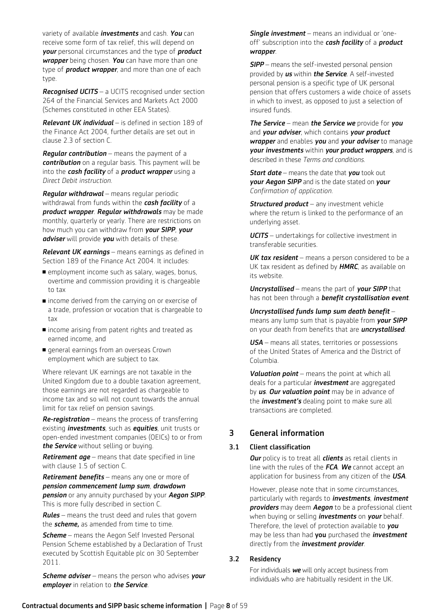variety of available *investments* and cash. *You* can receive some form of tax relief, this will depend on *your* personal circumstances and the type of *product wrapper* being chosen. *You* can have more than one type of *product wrapper*, and more than one of each type.

*Recognised UCITS* – a UCITS recognised under section 264 of the Financial Services and Markets Act 2000 (Schemes constituted in other EEA States).

*Relevant UK individual* – is defined in section 189 of the Finance Act 2004, further details are set out in clause 2.3 of section C.

*Regular contribution* – means the payment of a *contribution* on a regular basis. This payment will be into the *cash facility* of a *product wrapper* using a *Direct Debit instruction*.

*Regular withdrawal* – means regular periodic withdrawal from funds within the *cash facility* of a *product wrapper*. *Regular withdrawals* may be made monthly, quarterly or yearly. There are restrictions on how much you can withdraw from *your SIPP*, *your adviser* will provide *you* with details of these.

*Relevant UK earnings* – means earnings as defined in Section 189 of the Finance Act 2004. It includes:

- n employment income such as salary, wages, bonus, overtime and commission providing it is chargeable to tax
- $\blacksquare$  income derived from the carrying on or exercise of a trade, profession or vocation that is chargeable to tax
- n income arising from patent rights and treated as earned income, and
- **n** general earnings from an overseas Crown employment which are subject to tax.

Where relevant UK earnings are not taxable in the United Kingdom due to a double taxation agreement, those earnings are not regarded as chargeable to income tax and so will not count towards the annual limit for tax relief on pension savings.

*Re-registration* – means the process of transferring existing *investments*, such as *equities*, unit trusts or open-ended investment companies (OEICs) to or from *the Service* without selling or buying.

*Retirement age* – means that date specified in line with clause 1.5 of section C.

*Retirement benefits* – means any one or more of *pension commencement lump sum*, *drawdown pension* or any annuity purchased by your *Aegon SIPP*. This is more fully described in section C.

*Rules* – means the trust deed and rules that govern the *scheme,* as amended from time to time.

*Scheme* – means the Aegon Self Invested Personal Pension Scheme established by a Declaration of Trust executed by Scottish Equitable plc on 30 September 2011.

*Scheme adviser* – means the person who advises *your employer* in relation to *the Service*.

*Single investment* – means an individual or 'oneoff' subscription into the *cash facility* of a *product wrapper*.

*SIPP* – means the self-invested personal pension provided by *us* within *the Service*. A self-invested personal pension is a specific type of UK personal pension that offers customers a wide choice of assets in which to invest, as opposed to just a selection of insured funds.

*The Service* – mean *the Service we* provide for *you* and *your adviser*, which contains *your product wrapper* and enables *you* and *your adviser* to manage *your investments* within *your product wrappers*, and is described in these *Terms and conditions*.

*Start date* – means the date that *you* took out *your Aegon SIPP* and is the date stated on *your Confirmation of application*.

*Structured product* – any investment vehicle where the return is linked to the performance of an underlying asset.

*UCITS* – undertakings for collective investment in transferable securities.

*UK tax resident* – means a person considered to be a UK tax resident as defined by *HMRC*, as available on its website.

*Uncrystallised* – means the part of *your SIPP* that has not been through a *benefit crystallisation event*.

*Uncrystallised funds lump sum death benefit* – means any lump sum that is payable from *your SIPP* on your death from benefits that are *uncrystallised*.

*USA* – means all states, territories or possessions of the United States of America and the District of Columbia.

*Valuation point* – means the point at which all deals for a particular *investment* are aggregated by *us*. *Our valuation point* may be in advance of the *investment's* dealing point to make sure all transactions are completed.

## 3 General information

### 3.1 Client classification

 *Our* policy is to treat all *clients* as retail clients in line with the rules of the *FCA*. *We* cannot accept an application for business from any citizen of the *USA*.

 However, please note that in some circumstances, particularly with regards to *investments*, *investment providers* may deem *Aegon* to be a professional client when buying or selling *investments* on *your* behalf. Therefore, the level of protection available to *you* may be less than had you purchased the *investment* directly from the *investment provider*.

### 3.2 Residency

For individuals *we* will only accept business from individuals who are habitually resident in the UK.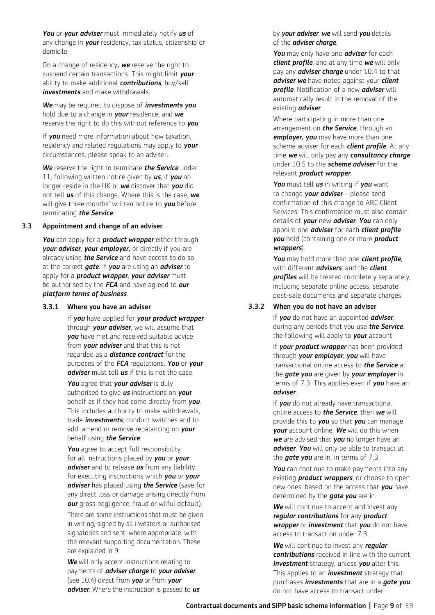*You* or *your adviser* must immediately notify *us* of any change in *your* residency, tax status, citizenship or domicile.

 On a change of residency*, we* reserve the right to suspend certain transactions. This might limit *your* ability to make additional *contributions*, buy/sell *investments* and make withdrawals.

 *We* may be required to dispose of *investments you* hold due to a change in *your* residence, and *we* reserve the right to do this without reference to *you*.

 If *you* need more information about how taxation, residency and related regulations may apply to *your* circumstances, please speak to an adviser.

 *We* reserve the right to terminate *the Service* under 11, following written notice given by *us*, if *you* no longer reside in the UK or *we* discover that *you* did not tell *us* of this change. Where this is the case, *we* will give three months' written notice to *you* before terminating *the Service*.

#### 3.3 Appointment and change of an adviser

 *You* can apply for a *product wrapper* either through *your adviser*, *your employer,* or directly if you are already using *the Service* and have access to do so at the correct *gate*. If *you* are using an *adviser* to apply for a *product wrapper*, *your adviser* must be authorised by the *FCA* and have agreed to *our platform terms of business*.

#### 3.3.1 Where you have an adviser

If *you* have applied for *your product wrapper*  through *your adviser*, we will assume that *you* have met and received suitable advice from *your adviser* and that this is not regarded as a *distance contract* for the purposes of the *FCA* regulations. *You* or *your adviser* must tell *us* if this is not the case.

*You* agree that *your adviser* is duly authorised to give *us* instructions on *your* behalf as if they had come directly from *you*. This includes authority to make withdrawals, trade *investments*, conduct switches and to add, amend or remove rebalancing on *your* behalf using *the Service*.

You agree to accept full responsibility for all instructions placed by *you* or *your adviser* and to release *us* from any liability for executing instructions which *you* or *your adviser* has placed using *the Service* (save for any direct loss or damage arising directly from *our* gross negligence, fraud or wilful default).

 There are some instructions that must be given in writing, signed by all investors or authorised signatories and sent, where appropriate, with the relevant supporting documentation. These are explained in 9.

**We** will only accept instructions relating to payments of *adviser charge* to *your adviser* (see 10.4) direct from *you* or from *your adviser*. Where the instruction is passed to *us* by *your adviser*, *we* will send *you* details of the *adviser charge*.

 *You* may only have one *adviser* for each *client profile*, and at any time *we* will only pay any *adviser charge* under 10.4 to that *adviser we* have noted against your *client profile*. Notification of a new *adviser* will automatically result in the removal of the existing *adviser*.

Where participating in more than one arrangement on *the Service*, through an *employer, you* may have more than one scheme adviser for each *client profile*. At any time *we* will only pay any *consultancy charge* under 10.5 to the *scheme adviser* for the relevant *product wrapper*.

*You* must tell *us* in writing if *you* want to change *your adviser* – please send confirmation of this change to ARC Client Services. This confirmation must also contain details of *your* new *adviser*. *You* can only appoint one *adviser* for each *client profile you* hold (containing one or more *product wrappers*).

*You* may hold more than one *client profile*, with different *advisers*, and the *client profiles* will be treated completely separately, including separate online access, separate post-sale documents and separate charges.

## 3.3.2 When you do not have an adviser

 If *you* do not have an appointed *adviser*, during any periods that you use *the Service*, the following will apply to *your* account.

 If *your product wrapper* has been provided through *your employer*, *you* will have transactional online access to *the Service* at the *gate you* are given by *your employer* in terms of 7.3. This applies even if *you* have an *adviser*.

 If *you* do not already have transactional online access to *the Service*, then *we* will provide this to *you* so that *you* can manage *your* account online. *We* will do this when *we* are advised that *you* no longer have an *adviser*. *You* will only be able to transact at the *gate you* are in, in terms of 7.3.

*You* can continue to make payments into any existing *product wrappers*, or choose to open new ones, based on the access that *you* have, determined by the *gate you* are in.

*We* will continue to accept and invest any *regular contributions* for any *product wrapper* or *investment* that *you* do not have access to transact on under 7.3.

*We* will continue to invest any *regular contributions* received in line with the current *investment* strategy, unless *you* alter this. This applies to an *investment* strategy that purchases *investments* that are in a *gate you* do not have access to transact under.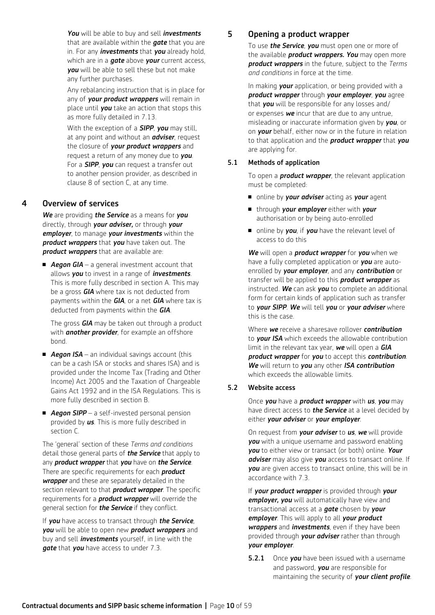*You* will be able to buy and sell *investments* that are available within the *gate* that you are in. For any *investments* that *you* already hold, which are in a *gate* above *your* current access, *you* will be able to sell these but not make any further purchases.

 Any rebalancing instruction that is in place for any of *your product wrappers* will remain in place until *you* take an action that stops this as more fully detailed in 7.13.

 With the exception of a *SIPP*, *you* may still, at any point and without an *adviser*, request the closure of *your product wrappers* and request a return of any money due to *you*. For a *SIPP*, *you* can request a transfer out to another pension provider, as described in clause 8 of section C, at any time.

## 4 Overview of services

*We* are providing *the Service* as a means for *you*  directly, through *your adviser,* or through *your employer*, to manage *your investments* within the *product wrappers* that *you* have taken out. The *product wrappers* that are available are:

■ **Aegon GIA** – a general investment account that allows *you* to invest in a range of *investments*. This is more fully described in section A. This may be a gross *GIA* where tax is not deducted from payments within the *GIA*, or a net *GIA* where tax is deducted from payments within the *GIA*.

 The gross *GIA* may be taken out through a product with *another provider*, for example an offshore bond.

- **Aegon ISA** an individual savings account (this can be a cash ISA or stocks and shares ISA) and is provided under the Income Tax (Trading and Other Income) Act 2005 and the Taxation of Chargeable Gains Act 1992 and in the ISA Regulations. This is more fully described in section B.
- **Aegon SIPP** a self-invested personal pension provided by *us*. This is more fully described in section C.

The 'general' section of these *Terms and conditions* detail those general parts of *the Service* that apply to any *product wrapper* that *you* have on *the Service*. There are specific requirements for each *product wrapper* and these are separately detailed in the section relevant to that *product wrapper*. The specific requirements for a *product wrapper* will override the general section for *the Service* if they conflict.

If *you* have access to transact through *the Service*, *you* will be able to open new *product wrappers* and buy and sell *investments* yourself, in line with the *gate* that *you* have access to under 7.3.

## 5 Opening a product wrapper

To use *the Service*, *you* must open one or more of the available *product wrappers. You* may open more *product wrappers* in the future, subject to the *Terms and conditions* in force at the time.

In making *your* application, or being provided with a *product wrapper* through *your employer*, *you* agree that *you* will be responsible for any losses and/ or expenses *we* incur that are due to any untrue, misleading or inaccurate information given by *you*, or on *your* behalf, either now or in the future in relation to that application and the *product wrapper* that *you* are applying for.

## 5.1 Methods of application

 To open a *product wrapper*, the relevant application must be completed:

- n online by *your adviser* acting as *your* agent
- <sup>n</sup> through *your employer* either with *your* authorisation or by being auto-enrolled
- n online by **you**, if **you** have the relevant level of access to do this

*We* will open a *product wrapper* for *you* when we have a fully completed application or *you* are autoenrolled by *your employer*, and any *contribution* or transfer will be applied to this *product wrapper* as instructed. *We* can ask *you* to complete an additional form for certain kinds of application such as transfer to *your SIPP*. *We* will tell *you* or *your adviser* where this is the case.

 Where *we* receive a sharesave rollover *contribution* to *your ISA* which exceeds the allowable contribution limit in the relevant tax year, *we* will open a *GIA product wrapper* for *you* to accept this *contribution*. *We* will return to *you* any other *ISA contribution* which exceeds the allowable limits.

### 5.2 Website access

 Once *you* have a *product wrapper* with *us*, *you* may have direct access to *the Service* at a level decided by either *your adviser* or *your employer*.

 On request from *your adviser* to *us*, *we* will provide *you* with a unique username and password enabling *you* to either view or transact (or both) online. *Your adviser* may also give *you* access to transact online. If *you* are given access to transact online, this will be in accordance with 7.3.

 If *your product wrapper* is provided through *your employer, you* will automatically have view and transactional access at a *gate* chosen by *your employer*. This will apply to all *your product wrappers* and *investments*, even if they have been provided through *your adviser* rather than through *your employer*.

**5.2.1** Once **you** have been issued with a username and password, *you* are responsible for maintaining the security of *your client profile*.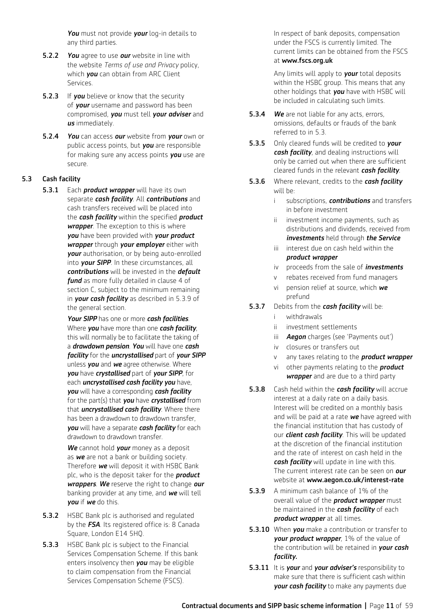*You* must not provide *your* log-in details to any third parties.

- 5.2.2 *You* agree to use *our* website in line with the website *Terms of use and Privacy* policy, which *you* can obtain from ARC Client Services.
- **5.2.3** If **you** believe or know that the security of *your* username and password has been compromised, *you* must tell *your adviser* and *us* immediately.
- 5.2.4 *You* can access *our* website from *your* own or public access points, but *you* are responsible for making sure any access points *you* use are secure.

#### 5.3 Cash facility

5.3.1 Each *product wrapper* will have its own separate *cash facility*. All *contributions* and cash transfers received will be placed into the *cash facility* within the specified *product wrapper*. The exception to this is where *you* have been provided with *your product wrapper* through *your employer* either with *your* authorisation, or by being auto-enrolled into *your SIPP*. In these circumstances, all *contributions* will be invested in the *default fund* as more fully detailed in clause 4 of section C, subject to the minimum remaining in *your cash facility* as described in 5.3.9 of the general section.

> *Your SIPP* has one or more *cash facilities*. Where *you* have more than one *cash facility*, this will normally be to facilitate the taking of a *drawdown pension*. *You* will have one *cash facility* for the *uncrystallised* part of *your SIPP*  unless *you* and *we* agree otherwise. Where *you* have *crystallised* part of *your SIPP*, for each *uncrystallised cash facility you* have, *you* will have a corresponding *cash facility*  for the part(s) that *you* have *crystallised* from that *uncrystallised cash facility*. Where there has been a drawdown to drawdown transfer, *you* will have a separate *cash facility* for each drawdown to drawdown transfer.

> *We* cannot hold *your* money as a deposit as *we* are not a bank or building society. Therefore *we* will deposit it with HSBC Bank plc, who is the deposit taker for the *product wrappers*. *We* reserve the right to change *our* banking provider at any time, and *we* will tell *you* if *we* do this.

- **5.3.2** HSBC Bank plc is authorised and requlated by the *FSA*. Its registered office is: 8 Canada Square, London E14 5HQ.
- **5.3.3** HSBC Bank plc is subject to the Financial Services Compensation Scheme. If this bank enters insolvency then *you* may be eligible to claim compensation from the Financial Services Compensation Scheme (FSCS).

 In respect of bank deposits, compensation under the FSCS is currently limited. The current limits can be obtained from the FSCS at www.fscs.org.uk

 Any limits will apply to *your* total deposits within the HSBC group. This means that any other holdings that *you* have with HSBC will be included in calculating such limits.

- 5.3.4 *We* are not liable for any acts, errors, omissions, defaults or frauds of the bank referred to in 5.3.
- 5.3.5 Only cleared funds will be credited to *your cash facility*, and dealing instructions will only be carried out when there are sufficient cleared funds in the relevant *cash facility*.
- 5.3.6 Where relevant, credits to the *cash facility* will be:
	- i subscriptions, *contributions* and transfers in before investment
	- ii investment income payments, such as distributions and dividends, received from *investments* held through *the Service*
	- iii interest due on cash held within the *product wrapper*
	- iv proceeds from the sale of *investments*
	- v rebates received from fund managers
	- vi pension relief at source, which *we* prefund
- 5.3.7 Debits from the *cash facility* will be:
	- i withdrawals
	- ii investment settlements
	- iii *Aegon* charges (see 'Payments out')
	- iv closures or transfers out
	- v any taxes relating to the *product wrapper*
	- vi other payments relating to the *product wrapper* and are due to a third party
- 5.3.8 Cash held within the *cash facility* will accrue interest at a daily rate on a daily basis. Interest will be credited on a monthly basis and will be paid at a rate *we* have agreed with the financial institution that has custody of our *client cash facility*. This will be updated at the discretion of the financial institution and the rate of interest on cash held in the *cash facility* will update in line with this. The current interest rate can be seen on *our* website at www.aegon.co.uk/interest-rate
- 5.3.9 A minimum cash balance of 1% of the overall value of the *product wrapper* must be maintained in the *cash facility* of each *product wrapper* at all times.
- 5.3.10 When *you* make a contribution or transfer to *your product wrapper*, 1% of the value of the contribution will be retained in *your cash facility.*
- 5.3.11 It is *your* and *your adviser's* responsibility to make sure that there is sufficient cash within *your cash facility* to make any payments due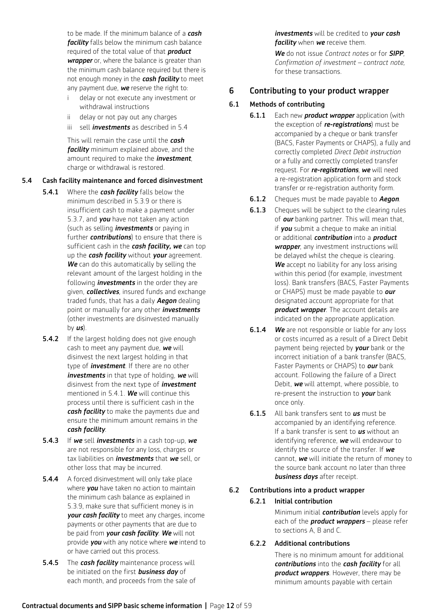to be made. If the minimum balance of a *cash facility* falls below the minimum cash balance required of the total value of that *product wrapper* or, where the balance is greater than the minimum cash balance required but there is not enough money in the *cash facility* to meet any payment due, *we* reserve the right to:

- i delay or not execute any investment or withdrawal instructions
- ii delay or not pay out any charges
- iii sell *investments* as described in 5.4

 This will remain the case until the *cash facility* minimum explained above, and the amount required to make the *investment*, charge or withdrawal is restored.

### 5.4 Cash facility maintenance and forced disinvestment

- 5.4.1 Where the *cash facility* falls below the minimum described in 5.3.9 or there is insufficient cash to make a payment under 5.3.7, and *you* have not taken any action (such as selling *investments* or paying in further *contributions*) to ensure that there is sufficient cash in the *cash facility, we* can top up the *cash facility* without *your* agreement. *We* can do this automatically by selling the relevant amount of the largest holding in the following *investments* in the order they are given, *collectives*, insured funds and exchange traded funds, that has a daily *Aegon* dealing point or manually for any other *investments*  (other investments are disinvested manually by *us*).
- **5.4.2** If the largest holding does not give enough cash to meet any payment due, *we* will disinvest the next largest holding in that type of *investment*. If there are no other *investments* in that type of holding, *we* will disinvest from the next type of *investment* mentioned in 5.4.1. *We* will continue this process until there is sufficient cash in the *cash facility* to make the payments due and ensure the minimum amount remains in the *cash facility*.
- 5.4.3 If *we* sell *investments* in a cash top-up, *we* are not responsible for any loss, charges or tax liabilities on *investments* that *we* sell, or other loss that may be incurred.
- **5.4.4** A forced disinvestment will only take place where *you* have taken no action to maintain the minimum cash balance as explained in 5.3.9, make sure that sufficient money is in *your cash facility* to meet any charges, income payments or other payments that are due to be paid from *your cash facility*. *We* will not provide *you* with any notice where *we* intend to or have carried out this process.
- 5.4.5 The *cash facility* maintenance process will be initiated on the first *business day* of each month, and proceeds from the sale of

*investments* will be credited to *your cash facility* when *we* receive them.

 *We* do not issue *Contract notes* or for *SIPP*, *Confirmation of investment – contract note,*  for these transactions.

## 6 Contributing to your product wrapper

## 6.1 Methods of contributing

- 6.1.1 Each new *product wrapper* application (with the exception of *re-registrations*) must be accompanied by a cheque or bank transfer (BACS, Faster Payments or CHAPS), a fully and correctly completed *Direct Debit instruction* or a fully and correctly completed transfer request. For *re-registrations*, *we* will need a re-registration application form and stock transfer or re-registration authority form.
- 6.1.2 Cheques must be made payable to *Aegon*.
- **6.1.3** Cheques will be subject to the clearing rules of *our* banking partner. This will mean that, if *you* submit a cheque to make an initial or additional *contribution* into a *product wrapper*, any investment instructions will be delayed whilst the cheque is clearing. **We** accept no liability for any loss arising within this period (for example, investment loss). Bank transfers (BACS, Faster Payments or CHAPS) must be made payable to *our* designated account appropriate for that *product wrapper*. The account details are indicated on the appropriate application.
- 6.1.4 *We* are not responsible or liable for any loss or costs incurred as a result of a Direct Debit payment being rejected by *your* bank or the incorrect initiation of a bank transfer (BACS, Faster Payments or CHAPS) to *our* bank account. Following the failure of a Direct Debit, *we* will attempt, where possible, to re-present the instruction to *your* bank once only.
- 6.1.5 All bank transfers sent to *us* must be accompanied by an identifying reference. If a bank transfer is sent to *us* without an identifying reference, *we* will endeavour to identify the source of the transfer. If *we* cannot, *we* will initiate the return of money to the source bank account no later than three *business days* after receipt.

### 6.2 Contributions into a product wrapper

### 6.2.1 Initial contribution

Minimum initial *contribution* levels apply for each of the *product wrappers* – please refer to sections A, B and C.

## 6.2.2 Additional contributions

There is no minimum amount for additional *contributions* into the *cash facility* for all *product wrappers*. However, there may be minimum amounts payable with certain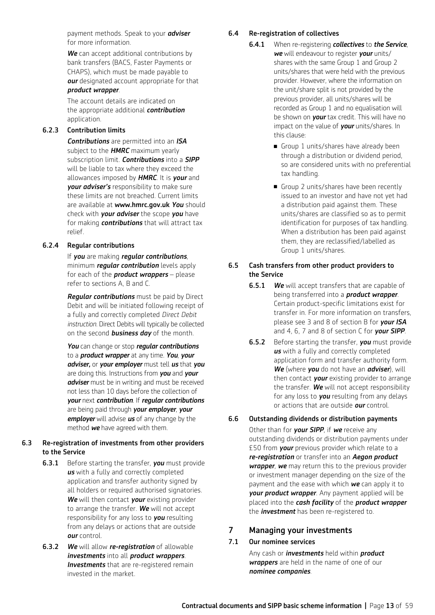payment methods. Speak to your *adviser* for more information.

*We* can accept additional contributions by bank transfers (BACS, Faster Payments or CHAPS), which must be made payable to *our* designated account appropriate for that *product wrapper*.

 The account details are indicated on the appropriate additional *contribution* application.

#### 6.2.3 Contribution limits

*Contributions* are permitted into an *ISA* subject to the *HMRC* maximum yearly subscription limit. *Contributions* into a *SIPP* will be liable to tax where they exceed the allowances imposed by *HMRC*. It is *your* and *your adviser's* responsibility to make sure these limits are not breached. Current limits are available at www.hmrc.gov.uk *You* should check with *your adviser* the scope *you* have for making *contributions* that will attract tax relief.

## 6.2.4 Regular contributions

 If *you* are making *regular contributions*, minimum *regular contribution* levels apply for each of the *product wrappers* – please refer to sections A, B and C.

*Regular contributions* must be paid by Direct Debit and will be initiated following receipt of a fully and correctly completed *Direct Debit instruction*. Direct Debits will typically be collected on the second *business day* of the month.

*You* can change or stop *regular contributions* to a *product wrapper* at any time. *You*, *your adviser,* or *your employer* must tell *us* that *you* are doing this. Instructions from *you* and *your adviser* must be in writing and must be received not less than 10 days before the collection of *your* next *contribution*. If *regular contributions* are being paid through *your employer*, *your employer* will advise *us* of any change by the method *we* have agreed with them.

### 6.3 Re-registration of investments from other providers to the Service

- 6.3.1 Before starting the transfer, *you* must provide *us* with a fully and correctly completed application and transfer authority signed by all holders or required authorised signatories. *We* will then contact *your* existing provider to arrange the transfer. *We* will not accept responsibility for any loss to *you* resulting from any delays or actions that are outside *our* control.
- 6.3.2 *We* will allow *re-registration* of allowable *investments* into all *product wrappers*. *Investments* that are re-registered remain invested in the market.

#### 6.4 Re-registration of collectives

- 6.4.1 When re-registering *collectives* to *the Service*, *we* will endeavour to register *your* units/ shares with the same Group 1 and Group 2 units/shares that were held with the previous provider. However, where the information on the unit/share split is not provided by the previous provider, all units/shares will be recorded as Group 1 and no equalisation will be shown on *your* tax credit. This will have no impact on the value of *your* units/shares. In this clause:
	- Group 1 units/shares have already been through a distribution or dividend period, so are considered units with no preferential tax handling.
	- Group 2 units/shares have been recently issued to an investor and have not yet had a distribution paid against them. These units/shares are classified so as to permit identification for purposes of tax handling. When a distribution has been paid against them, they are reclassified/labelled as Group 1 units/shares.

### 6.5 Cash transfers from other product providers to the Service

- 6.5.1 *We* will accept transfers that are capable of being transferred into a *product wrapper*. Certain product-specific limitations exist for transfer in. For more information on transfers, please see 3 and 8 of section B for *your ISA* and 4, 6, 7 and 8 of section C for *your SIPP*.
- 6.5.2 Before starting the transfer, *you* must provide *us* with a fully and correctly completed application form and transfer authority form. *We* (where *you* do not have an *adviser*), will then contact *your* existing provider to arrange the transfer. *We* will not accept responsibility for any loss to *you* resulting from any delays or actions that are outside *our* control.

### 6.6 Outstanding dividends or distribution payments

Other than for *your SIPP*, if *we* receive any outstanding dividends or distribution payments under £50 from *your* previous provider which relate to a *re-registration* or transfer into an *Aegon product wrapper*, *we* may return this to the previous provider or investment manager depending on the size of the payment and the ease with which *we* can apply it to *your product wrapper*. Any payment applied will be placed into the *cash facility* of the *product wrapper* the *investment* has been re-registered to.

## 7 Managing your investments

## 7.1 Our nominee services

 Any cash or *investments* held within *product wrappers* are held in the name of one of our *nominee companies*.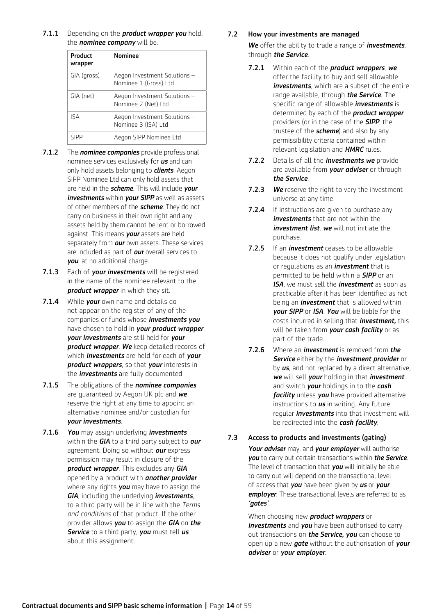7.1.1 Depending on the *product wrapper you* hold, the *nominee company* will be:

| Product<br>wrapper | <b>Nominee</b>                                        |
|--------------------|-------------------------------------------------------|
| GIA (gross)        | Aegon Investment Solutions -<br>Nominee 1 (Gross) Ltd |
| GIA (net)          | Aegon Investment Solutions -<br>Nominee 2 (Net) Ltd   |
| <b>ISA</b>         | Aegon Investment Solutions -<br>Nominee 3 (ISA) Ltd   |
| SIPP               | Aegon SIPP Nominee Ltd                                |

- 7.1.2 The *nominee companies* provide professional nominee services exclusively for *us* and can only hold assets belonging to *clients*. Aegon SIPP Nominee Ltd can only hold assets that are held in the *scheme*. This will include *your investments* within *your SIPP* as well as assets of other members of the *scheme*. They do not carry on business in their own right and any assets held by them cannot be lent or borrowed against. This means *your* assets are held separately from *our* own assets. These services are included as part of *our* overall services to *you*, at no additional charge.
- 7.1.3 Each of *your investments* will be registered in the name of the nominee relevant to the *product wrapper* in which they sit.
- 7.1.4 While *your* own name and details do not appear on the register of any of the companies or funds whose *investments you* have chosen to hold in *your product wrapper*, *your investments* are still held for *your product wrapper*. *We* keep detailed records of which *investments* are held for each of *your product wrappers*, so that *your* interests in the *investments* are fully documented.
- 7.1.5 The obligations of the *nominee companies* are guaranteed by Aegon UK plc and *we* reserve the right at any time to appoint an alternative nominee and/or custodian for *your investments*.
- 7.1.6 *You* may assign underlying *investments* within the *GIA* to a third party subject to *our* agreement. Doing so without *our* express permission may result in closure of the *product wrapper*. This excludes any *GIA* opened by a product with *another provider* where any rights *you* may have to assign the *GIA*, including the underlying *investments*, to a third party will be in line with the *Terms and conditions* of that product. If the other provider allows *you* to assign the *GIA* on *the Service* to a third party, *you* must tell *us* about this assignment.

## 7.2 How your investments are managed

*We* offer the ability to trade a range of *investments*, through *the Service*.

- 7.2.1 Within each of the *product wrappers*, *we* offer the facility to buy and sell allowable *investments* which are a subset of the entire range available, through *the Service*. The specific range of allowable *investments* is determined by each of the *product wrapper*  providers (or in the case of the *SIPP*, the trustee of the *scheme*) and also by any permissibility criteria contained within relevant legislation and *HMRC* rules.
- 7.2.2 Details of all the *investments we* provide are available from *your adviser* or through *the Service*.
- 7.2.3 *We* reserve the right to vary the investment universe at any time.
- **7.2.4** If instructions are given to purchase any *investments* that are not within the *investment list*, *we* will not initiate the purchase.
- 7.2.5 If an *investment* ceases to be allowable because it does not qualify under legislation or regulations as an *investment* that is permitted to be held within a *SIPP* or an *ISA*, we must sell the *investment* as soon as practicable after it has been identified as not being an *investment* that is allowed within *your SIPP* or *ISA*. *You* will be liable for the costs incurred in selling that *investment,* this will be taken from *your cash facility* or as part of the trade.
- 7.2.6 Where an *investment* is removed from *the Service* either by the *investment provider* or by *us*, and not replaced by a direct alternative, *we* will sell *your* holding in that *investment* and switch *your* holdings in to the *cash facility* unless *you* have provided alternative instructions to *us* in writing. Any future regular *investments* into that investment will be redirected into the *cash facility*.

## 7.3 Access to products and investments (gating)

*Your adviser* may, and *your employer* will authorise *you* to carry out certain transactions within *the Service*. The level of transaction that *you* will initially be able to carry out will depend on the transactional level of access that *you* have been given by *us* or *your employer*. These transactional levels are referred to as *'gates'*.

 When choosing new *product wrappers* or *investments* and **you** have been authorised to carry out transactions on *the Service, you* can choose to open up a new *gate* without the authorisation of *your adviser* or *your employer*.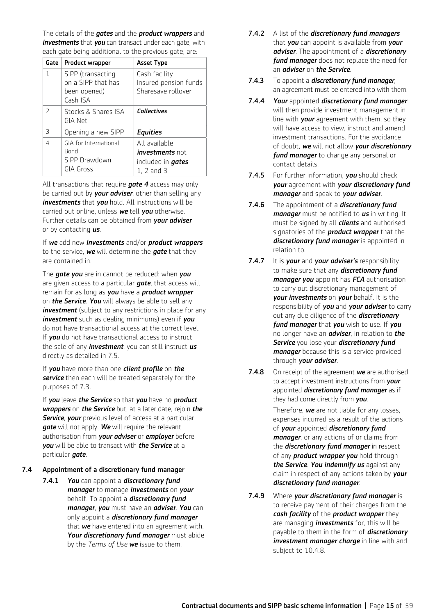The details of the *gates* and the *product wrappers* and *investments* that *you* can transact under each gate, with each gate being additional to the previous gate, are:

| Gate                     | <b>Product wrapper</b>                                              | <b>Asset Type</b>                                                                     |
|--------------------------|---------------------------------------------------------------------|---------------------------------------------------------------------------------------|
| 1                        | SIPP (transacting<br>on a SIPP that has<br>been opened)<br>Cash ISA | Cash facility<br>Insured pension funds<br>Sharesave rollover                          |
| $\mathcal{L}$            | Stocks & Shares ISA<br>GIA Net                                      | <b>Collectives</b>                                                                    |
| $\overline{\mathcal{L}}$ | Opening a new SIPP                                                  | <b>Equities</b>                                                                       |
| 4                        | GIA for International<br><b>Bond</b><br>SIPP Drawdown<br>GIA Gross  | All available<br><i>investments</i> not<br>included in <b>gates</b><br>$1, 2$ and $3$ |

 All transactions that require *gate 4* access may only be carried out by *your adviser*, other than selling any *investments* that *you* hold. All instructions will be carried out online, unless *we* tell *you* otherwise. Further details can be obtained from *your adviser* or by contacting *us*.

 If *we* add new *investments* and/or *product wrappers*  to the service, *we* will determine the *gate* that they are contained in.

 The *gate you* are in cannot be reduced: when *you* are given access to a particular *gate*, that access will remain for as long as *you* have a *product wrapper*  on *the Service*. *You* will always be able to sell any *investment* (subject to any restrictions in place for any *investment* such as dealing minimums) even if *you* do not have transactional access at the correct level. If *you* do not have transactional access to instruct the sale of any *investment*, you can still instruct *us* directly as detailed in 7.5.

 If *you* have more than one *client profile* on *the service* then each will be treated separately for the purposes of 7.3.

 If *you* leave *the Service* so that *you* have no *product wrappers* on *the Service* but, at a later date, rejoin *the Service*, *your* previous level of access at a particular *gate* will not apply. *We* will require the relevant authorisation from *your adviser* or *employer* before *you* will be able to transact with *the Service* at a particular *gate*.

## 7.4 Appointment of a discretionary fund manager

7.4.1 *You* can appoint a *discretionary fund manager* to manage *investments* on *your* behalf. To appoint a *discretionary fund manager*, *you* must have an *adviser*. *You* can only appoint a *discretionary fund manager* that *we* have entered into an agreement with. *Your discretionary fund manager* must abide by the *Terms of Use we* issue to them.

- 7.4.2 A list of the *discretionary fund managers* that *you* can appoint is available from *your adviser*. The appointment of a *discretionary fund manager* does not replace the need for an *adviser* on *the Service*.
- 7.4.3 To appoint a *discretionary fund manager*, an agreement must be entered into with them.
- 7.4.4 *Your* appointed *discretionary fund manager* will then provide investment management in line with *your* agreement with them, so they will have access to view, instruct and amend investment transactions. For the avoidance of doubt, *we* will not allow *your discretionary fund manager* to change any personal or contact details.
- 7.4.5 For further information, *you* should check *your* agreement with *your discretionary fund manager* and speak to *your adviser*.
- 7.4.6 The appointment of a *discretionary fund manager* must be notified to *us* in writing. It must be signed by all *clients* and authorised signatories of the *product wrapper* that the *discretionary fund manager* is appointed in relation to.
- 7.4.7 It is *your* and *your adviser's* responsibility to make sure that any *discretionary fund manager you* appoint has *FCA* authorisation to carry out discretionary management of *your investments* on *your* behalf. It is the responsibility of *you* and *your adviser* to carry out any due diligence of the *discretionary fund manager* that *you* wish to use. If *you* no longer have an *adviser*, in relation to *the Service* you lose your *discretionary fund manager* because this is a service provided through *your adviser*.
- 7.4.8 On receipt of the agreement *we* are authorised to accept investment instructions from *your* appointed *discretionary fund manager* as if they had come directly from *you*.

 Therefore, *we* are not liable for any losses, expenses incurred as a result of the actions of *your* appointed *discretionary fund manager*, or any actions of or claims from the *discretionary fund manager* in respect of any *product wrapper you* hold through *the Service*. *You indemnify us* against any claim in respect of any actions taken by *your discretionary fund manager*.

7.4.9 Where *your discretionary fund manager* is to receive payment of their charges from the *cash facility* of the *product wrapper* they are managing *investments* for, this will be payable to them in the form of *discretionary investment manager charge* in line with and subject to 10.4.8.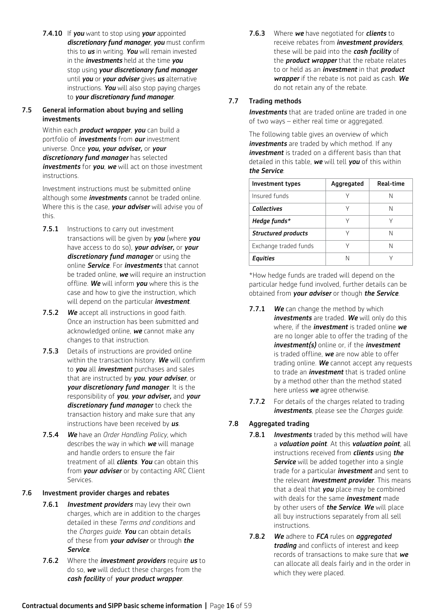7.4.10 If *you* want to stop using *your* appointed *discretionary fund manager*, *you* must confirm this to *us* in writing. *You* will remain invested in the *investments* held at the time *you* stop using *your discretionary fund manager* until *you* or *your adviser* gives *us* alternative instructions. *You* will also stop paying charges to *your discretionary fund manager*.

## 7.5 General information about buying and selling investments

Within each *product wrapper*, *you* can build a portfolio of *investments* from *our* investment universe. Once *you, your adviser,* or *your discretionary fund manager* has selected *investments* for *you*, *we* will act on those investment instructions.

 Investment instructions must be submitted online although some *investments* cannot be traded online. Where this is the case, *your adviser* will advise you of this.

- **7.5.1** Instructions to carry out investment transactions will be given by *you* (where *you* have access to do so), *your adviser,* or *your discretionary fund manager* or using the online *Service*. For *investments* that cannot be traded online, *we* will require an instruction offline. *We* will inform *you* where this is the case and how to give the instruction, which will depend on the particular *investment*.
- 7.5.2 *We* accept all instructions in good faith. Once an instruction has been submitted and acknowledged online, *we* cannot make any changes to that instruction.
- **7.5.3** Details of instructions are provided online within the transaction history. *We* will confirm to *you* all *investment* purchases and sales that are instructed by *you*, *your adviser*, or *your discretionary fund manager*. It is the responsibility of *you*, *your adviser,* and *your discretionary fund manager* to check the transaction history and make sure that any instructions have been received by *us*.
- 7.5.4 *We* have an *Order Handling Policy*, which describes the way in which *we* will manage and handle orders to ensure the fair treatment of all *clients*. *You* can obtain this from *your adviser* or by contacting ARC Client Services.

## 7.6Investment provider charges and rebates

- 7.6.1 *Investment providers* may levy their own charges, which are in addition to the charges detailed in these *Terms and conditions* and the *Charges guide*. *You* can obtain details of these from *your adviser* or through *the Service*.
- 7.6.2Where the *investment providers* require *us* to do so, *we* will deduct these charges from the *cash facility* of *your product wrapper*.

7.6.3Where *we* have negotiated for *clients* to receive rebates from *investment providers*, these will be paid into the *cash facility* of the *product wrapper* that the rebate relates to or held as an *investment* in that *product wrapper* if the rebate is not paid as cash. *We* do not retain any of the rebate.

## 7.7 Trading methods

*Investments* that are traded online are traded in one of two ways – either real time or aggregated.

 The following table gives an overview of which *investments* are traded by which method. If any *investment* is traded on a different basis than that detailed in this table, *we* will tell *you* of this within *the Service*:

| Investment types           | Aggregated | Real-time |
|----------------------------|------------|-----------|
| Insured funds              |            | Ν         |
| <b>Collectives</b>         |            | N         |
| Hedge funds $*$            |            |           |
| <b>Structured products</b> |            | Ν         |
| Exchange traded funds      |            | N         |
| Equities                   |            |           |

\*How hedge funds are traded will depend on the particular hedge fund involved, further details can be obtained from *your adviser* or though *the Service*.

- 7.7.1 *We* can change the method by which *investments* are traded. *We* will only do this where, if the *investment* is traded online *we* are no longer able to offer the trading of the *investment(s)* online or, if the *investment* is traded offline, *we* are now able to offer trading online. *We* cannot accept any requests to trade an *investment* that is traded online by a method other than the method stated here unless *we* agree otherwise.
- 7.7.2 For details of the charges related to trading *investments*, please see the *Charges guide*.

## 7.8 Aggregated trading

- 7.8.1 *Investments* traded by this method will have a *valuation point*. At this *valuation point*, all instructions received from *clients* using *the*  **Service** will be added together into a single trade for a particular *investment* and sent to the relevant *investment provider*. This means that a deal that *you* place may be combined with deals for the same *investment* made by other users of *the Service*. *We* will place all buy instructions separately from all sell instructions.
- 7.8.2 *We* adhere to *FCA* rules on *aggregated trading* and conflicts of interest and keep records of transactions to make sure that *we* can allocate all deals fairly and in the order in which they were placed.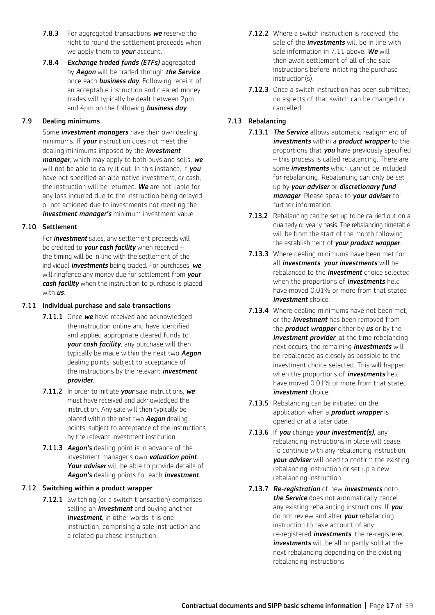- 7.8.3 For aggregated transactions *we* reserve the right to round the settlement proceeds when we apply them to *your* account.
- 7.8.4 *Exchange traded funds (ETFs)* aggregated by *Aegon* will be traded through *the Service* once each *business day*. Following receipt of an acceptable instruction and cleared money, trades will typically be dealt between 2pm and 4pm on the following *business day*.

### 7.9 Dealing minimums

Some *investment managers* have their own dealing minimums. If *your* instruction does not meet the dealing minimums imposed by the *investment manager*, which may apply to both buys and sells, *we* will not be able to carry it out. In this instance, if *you* have not specified an alternative investment, or cash, the instruction will be returned. *We* are not liable for any loss incurred due to the instruction being delayed or not actioned due to investments not meeting the *investment manager's* minimum investment value.

### 7.10 Settlement

For *investment* sales, any settlement proceeds will be credited to *your cash facility* when received – the timing will be in line with the settlement of the individual *investments* being traded. For purchases, *we* will ringfence any money due for settlement from *your cash facility* when the instruction to purchase is placed with *us*.

### 7.11 Individual purchase and sale transactions

- 7.11.1 Once *we* have received and acknowledged the instruction online and have identified and applied appropriate cleared funds to *your cash facility*, any purchase will then typically be made within the next two *Aegon* dealing points, subject to acceptance of the instructions by the relevant *investment provider*.
- 7.11.2 In order to initiate *your* sale instructions, *we* must have received and acknowledged the instruction. Any sale will then typically be placed within the next two *Aegon* dealing points, subject to acceptance of the instructions by the relevant investment institution.
- 7.11.3 *Aegon's* dealing point is in advance of the investment manager's own *valuation point*. *Your adviser* will be able to provide details of *Aegon's* dealing points for each *investment*.

### 7.12 Switching within a product wrapper

**7.12.1** Switching (or a switch transaction) comprises selling an *investment* and buying another *investment*, in other words it is one instruction, comprising a sale instruction and a related purchase instruction.

- 7.12.2 Where a switch instruction is received, the sale of the *investments* will be in line with sale information in 7.11 above. *We* will then await settlement of all of the sale instructions before initiating the purchase instruction(s).
- 7.12.3 Once a switch instruction has been submitted, no aspects of that switch can be changed or cancelled.

## 7.13 Rebalancing

- 7.13.1 *The Service* allows automatic realignment of *investments* within a *product wrapper* to the proportions that *you* have previously specified – this process is called rebalancing. There are some *investments* which cannot be included for rebalancing. Rebalancing can only be set up by *your adviser* or *discretionary fund manager*. Please speak to *your adviser* for further information.
- 7.13.2 Rebalancing can be set up to be carried out on a quarterly or yearly basis. The rebalancing timetable will be from the start of the month following the establishment of *your product wrapper*.
- **7.13.3** Where dealing minimums have been met for all *investments*, *your investments* will be rebalanced to the *investment* choice selected when the proportions of *investments* held have moved 0.01% or more from that stated *investment* choice.
- 7.13.4 Where dealing minimums have not been met, or the *investment* has been removed from the *product wrapper* either by *us* or by the *investment provider*, at the time rebalancing next occurs, the remaining *investments* will be rebalanced as closely as possible to the investment choice selected. This will happen when the proportions of *investments* held have moved 0.01% or more from that stated *investment* choice.
- 7.13.5 Rebalancing can be initiated on the application when a *product wrapper* is opened or at a later date.
- 7.13.6 If *you* change *your investment(s)*, any rebalancing instructions in place will cease. To continue with any rebalancing instruction, *your adviser* will need to confirm the existing rebalancing instruction or set up a new rebalancing instruction.
- 7.13.7 *Re-registration* of new *investments* onto *the Service* does not automatically cancel any existing rebalancing instructions. If *you* do not review and alter *your* rebalancing instruction to take account of any re-registered *investments*, the re-registered *investments* will be all or partly sold at the next rebalancing depending on the existing rebalancing instructions.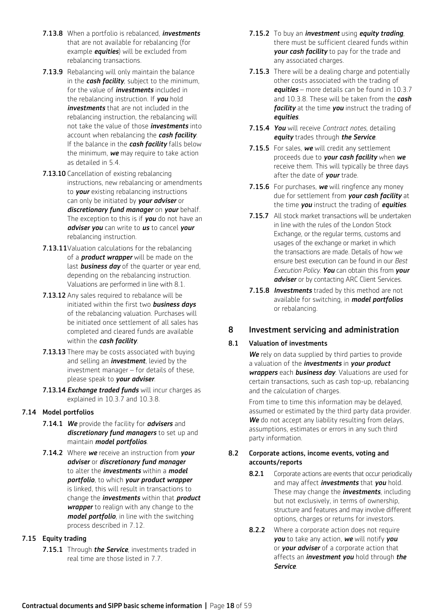- 7.13.8 When a portfolio is rebalanced, *investments* that are not available for rebalancing (for example *equities*) will be excluded from rebalancing transactions.
- **7.13.9** Rebalancing will only maintain the balance in the *cash facility*, subject to the minimum, for the value of *investments* included in the rebalancing instruction. If *you* hold *investments* that are not included in the rebalancing instruction, the rebalancing will not take the value of those *investments* into account when rebalancing the *cash facility*. If the balance in the *cash facility* falls below the minimum, *we* may require to take action as detailed in 5.4.
- 7.13.10 Cancellation of existing rebalancing instructions, new rebalancing or amendments to *your* existing rebalancing instructions can only be initiated by *your adviser* or *discretionary fund manager* on *your* behalf. The exception to this is if *you* do not have an *adviser you* can write to *us* to cancel *your* rebalancing instruction.
- 7.13.11 Valuation calculations for the rebalancing of a *product wrapper* will be made on the last *business day* of the quarter or year end, depending on the rebalancing instruction. Valuations are performed in line with 8.1.
- 7.13.12 Any sales required to rebalance will be initiated within the first two *business days* of the rebalancing valuation. Purchases will be initiated once settlement of all sales has completed and cleared funds are available within the *cash facility*.
- 7.13.13 There may be costs associated with buying and selling an *investment*, levied by the investment manager – for details of these, please speak to *your adviser*.
- 7.13.14 *Exchange traded funds* will incur charges as explained in 10.3.7 and 10.3.8.

## 7.14 Model portfolios

- 7.14.1 *We* provide the facility for *advisers* and *discretionary fund managers* to set up and maintain *model portfolios*.
- 7.14.2 Where *we* receive an instruction from *your adviser* or *discretionary fund manager* to alter the *investments* within a *model portfolio*, to which *your product wrapper* is linked, this will result in transactions to change the *investments* within that *product wrapper* to realign with any change to the *model portfolio*, in line with the switching process described in 7.12.

## 7.15 Equity trading

7.15.1 Through *the Service*, investments traded in real time are those listed in 7.7.

- 7.15.2 To buy an *investment* using *equity trading*, there must be sufficient cleared funds within *your cash facility* to pay for the trade and any associated charges.
- 7.15.3 There will be a dealing charge and potentially other costs associated with the trading of *equities* – more details can be found in 10.3.7 and 10.3.8. These will be taken from the *cash facility* at the time *you* instruct the trading of *equities*.
- 7.15.4 *You* will receive *Contract notes,* detailing *equity* trades through *the Service*.
- 7.15.5 For sales, *we* will credit any settlement proceeds due to *your cash facility* when *we* receive them. This will typically be three days after the date of *your* trade.
- 7.15.6 For purchases, *we* will ringfence any money due for settlement from *your cash facility* at the time *you* instruct the trading of *equities*.
- 7.15.7 All stock market transactions will be undertaken in line with the rules of the London Stock Exchange, or the regular terms, customs and usages of the exchange or market in which the transactions are made. Details of how we ensure best execution can be found in our *Best Execution Policy. You* can obtain this from *your adviser* or by contacting ARC Client Services.
- 7.15.8 *Investments* traded by this method are not available for switching, in *model portfolios* or rebalancing.

## 8 Investment servicing and administration

## 8.1 Valuation of investments

*We* rely on data supplied by third parties to provide a valuation of the *investments* in *your product wrappers* each *business day*. Valuations are used for certain transactions, such as cash top-up, rebalancing and the calculation of charges.

From time to time this information may be delayed, assumed or estimated by the third party data provider. *We* do not accept any liability resulting from delays, assumptions, estimates or errors in any such third party information.

## 8.2 Corporate actions, income events, voting and accounts/reports

- 8.2.1 Corporate actions are events that occur periodically and may affect *investments* that *you* hold. These may change the *investments*, including but not exclusively, in terms of ownership, structure and features and may involve different options, charges or returns for investors.
- 8.2.2 Where a corporate action does not require *you* to take any action, *we* will notify *you* or *your adviser* of a corporate action that affects an *investment you* hold through *the Service*.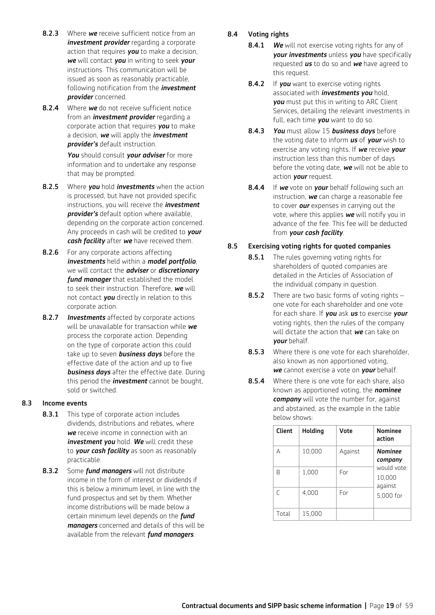- 8.2.3 Where **we** receive sufficient notice from an *investment provider* regarding a corporate action that requires *you* to make a decision, *we* will contact *you* in writing to seek *your* instructions. This communication will be issued as soon as reasonably practicable, following notification from the *investment provider* concerned.
- 8.2.4 Where **we** do not receive sufficient notice from an *investment provider* regarding a corporate action that requires *you* to make a decision, *we* will apply the *investment provider's* default instruction.

*You* should consult *your adviser* for more information and to undertake any response that may be prompted.

- 8.2.5 Where *you* hold *investments* when the action is processed, but have not provided specific instructions, you will receive the *investment provider's* default option where available, depending on the corporate action concerned. Any proceeds in cash will be credited to *your cash facility* after *we* have received them.
- 8.2.6 For any corporate actions affecting *investments* held within a *model portfolio*, we will contact the *adviser* or *discretionary fund manager* that established the model to seek their instruction. Therefore, *we* will not contact *you* directly in relation to this corporate action.
- 8.2.7 *Investments* affected by corporate actions will be unavailable for transaction while *we* process the corporate action. Depending on the type of corporate action this could take up to seven *business days* before the effective date of the action and up to five *business days* after the effective date. During this period the *investment* cannot be bought, sold or switched.

### 8.3 Income events

- 8.3.1 This type of corporate action includes dividends, distributions and rebates, where *we* receive income in connection with an *investment you* hold. *We* will credit these to *your cash facility* as soon as reasonably practicable.
- 8.3.2 Some *fund managers* will not distribute income in the form of interest or dividends if this is below a minimum level, in line with the fund prospectus and set by them. Whether income distributions will be made below a certain minimum level depends on the *fund managers* concerned and details of this will be available from the relevant *fund managers*.

## 8.4 Voting rights

- 8.4.1 *We* will not exercise voting rights for any of *your investments* unless *you* have specifically requested *us* to do so and *we* have agreed to this request.
- 8.4.2 If **you** want to exercise voting rights associated with *investments you* hold, *you* must put this in writing to ARC Client Services, detailing the relevant investments in full, each time *you* want to do so.
- 8.4.3 *You* must allow 15 *business days* before the voting date to inform *us* of *your* wish to exercise any voting rights. If *we* receive *your* instruction less than this number of days before the voting date, *we* will not be able to action *your* request.
- 8.4.4 If *we* vote on *your* behalf following such an instruction, *we* can charge a reasonable fee to cover *our* expenses in carrying out the vote, where this applies *we* will notify you in advance of the fee. This fee will be deducted from *your cash facility*.

## 8.5 Exercising voting rights for quoted companies

- 8.5.1 The rules governing voting rights for shareholders of quoted companies are detailed in the Articles of Association of the individual company in question.
- 8.5.2 There are two basic forms of voting rights one vote for each shareholder and one vote for each share. If *you* ask *us* to exercise *your* voting rights, then the rules of the company will dictate the action that *we* can take on *your* behalf.
- **8.5.3** Where there is one vote for each shareholder, also known as non apportioned voting, *we* cannot exercise a vote on *your* behalf.
- **8.5.4** Where there is one vote for each share, also known as apportioned voting, the *nominee company* will vote the number for, against and abstained, as the example in the table below shows:

| <b>Client</b> | Holding | Vote    | <b>Nominee</b><br>action         |
|---------------|---------|---------|----------------------------------|
| А             | 10,000  | Against | Nominee<br>company               |
| R             | 1,000   | For     | would vote:<br>10,000<br>against |
| C             | 4,000   | For     | 5,000 for                        |
| Total         | 15,000  |         |                                  |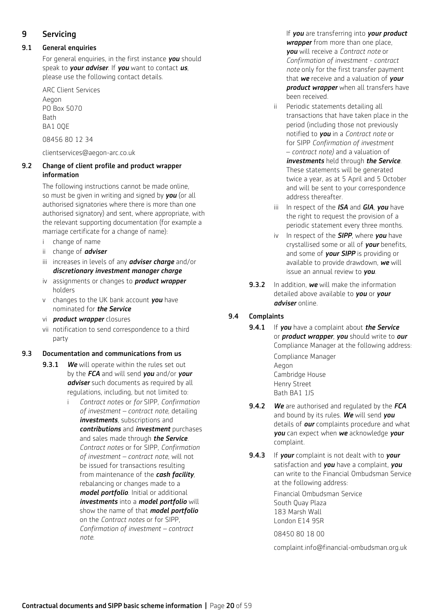## 9 Servicing

## 9.1 General enquiries

For general enquiries, in the first instance *you* should speak to *your adviser*. If *you* want to contact *us*, please use the following contact details.

 ARC Client Services Aegon PO Box 5070 **Bath BA1 00F** 

08456 80 12 34

clientservices@aegon-arc.co.uk

## 9.2 Change of client profile and product wrapper information

The following instructions cannot be made online, so must be given in writing and signed by *you* (or all authorised signatories where there is more than one authorised signatory) and sent, where appropriate, with the relevant supporting documentation (for example a marriage certificate for a change of name):

- i change of name
- ii change of *adviser*
- iii increases in levels of any *adviser charge* and/or *discretionary investment manager charge*
- iv assignments or changes to *product wrapper* holders
- v changes to the UK bank account *you* have nominated for *the Service*
- vi *product wrapper* closures
- vii notification to send correspondence to a third party

### 9.3 Documentation and communications from us

- 9.3.1 *We* will operate within the rules set out by the *FCA* and will send *you* and/or *your adviser* such documents as required by all regulations, including, but not limited to:
	- i *Contract notes* or *for* SIPP, *Confirmation of investment – contract note,* detailing *investments*, subscriptions and *contributions* and *investment* purchases and sales made through *the Service*. *Contract notes* or for SIPP, *Confirmation of investment – contract note*, will not be issued for transactions resulting from maintenance of the *cash facility*, rebalancing or changes made to a *model portfolio*. Initial or additional *investments* into a *model portfolio* will show the name of that *model portfolio* on the *Contract notes* or for SIPP, *Confirmation of investment – contract note.*

 If *you* are transferring into *your product wrapper* from more than one place, *you* will receive a *Contract note* or *Confirmation of investment - contract note* only for the first transfer payment that *we* receive and a valuation of *your product wrapper* when all transfers have been received.

- ii Periodic statements detailing all transactions that have taken place in the period (including those not previously notified to *you* in a *Contract note* or for SIPP *Confirmation of investment*  – *contract note)* and a valuation of *investments* held through *the Service*. These statements will be generated twice a year, as at 5 April and 5 October and will be sent to your correspondence address thereafter.
- iii In respect of the *ISA* and *GIA*, *you* have the right to request the provision of a periodic statement every three months.
- iv In respect of the *SIPP*, where *you* have crystallised some or all of *your* benefits, and some of *your SIPP* is providing or available to provide drawdown, *we* will issue an annual review to *you*.
- 9.3.2 In addition, *we* will make the information detailed above available to *you* or *your adviser* online.

## 9.4 Complaints

9.4.1 If *you* have a complaint about *the Service* or *product wrapper*, *you* should write to *our* Compliance Manager at the following address:

> Compliance Manager Aegon Cambridge House Henry Street Bath BA1 1JS

- 9.4.2 *We* are authorised and regulated by the *FCA* and bound by its rules. *We* will send *you* details of *our* complaints procedure and what *you* can expect when *we* acknowledge *your* complaint.
- 9.4.3 If *your* complaint is not dealt with to *your* satisfaction and *you* have a complaint, *you* can write to the Financial Ombudsman Service at the following address: Financial Ombudsman Service

South Quay Plaza 183 Marsh Wall London E14 9SR

08450 80 18 00

complaint.info@financial-ombudsman.org.uk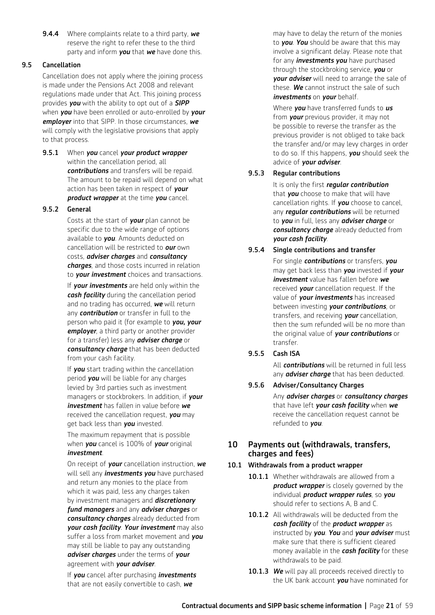9.4.4 Where complaints relate to a third party, *we* reserve the right to refer these to the third party and inform *you* that *we* have done this.

## 9.5 Cancellation

Cancellation does not apply where the joining process is made under the Pensions Act 2008 and relevant regulations made under that Act. This joining process provides *you* with the ability to opt out of a *SIPP* when *you* have been enrolled or auto-enrolled by *your employer* into that SIPP. In those circumstances, *we* will comply with the legislative provisions that apply to that process.

9.5.1 When *you* cancel *your product wrapper* within the cancellation period, all *contributions* and transfers will be repaid. The amount to be repaid will depend on what action has been taken in respect of *your product wrapper* at the time *you* cancel.

## 9.5.2 General

 Costs at the start of *your* plan cannot be specific due to the wide range of options available to *you*. Amounts deducted on cancellation will be restricted to *our* own costs, *adviser charges* and *consultancy charges*, and those costs incurred in relation to *your investment* choices and transactions.

 If *your investments* are held only within the *cash facility* during the cancellation period and no trading has occurred, *we* will return any *contribution* or transfer in full to the person who paid it (for example to *you, your employer*, a third party or another provider for a transfer) less any *adviser charge* or *consultancy charge* that has been deducted from your cash facility.

 If *you* start trading within the cancellation period *you* will be liable for any charges levied by 3rd parties such as investment managers or stockbrokers. In addition, if *your investment* has fallen in value before *we* received the cancellation request, *you* may get back less than *you* invested.

 The maximum repayment that is possible when *you* cancel is 100% of *your* original *investment*.

 On receipt of *your* cancellation instruction, *we* will sell any *investments you* have purchased and return any monies to the place from which it was paid, less any charges taken by investment managers and *discretionary fund managers* and any *adviser charges* or *consultancy charges* already deducted from *your cash facility*. *Your investment* may also suffer a loss from market movement and *you* may still be liable to pay any outstanding *adviser charges* under the terms of *your* agreement with *your adviser*.

 If *you* cancel after purchasing *investments* that are not easily convertible to cash, *we*

may have to delay the return of the monies to *you*. *You* should be aware that this may involve a significant delay. Please note that for any *investments you* have purchased through the stockbroking service, *you* or *your adviser* will need to arrange the sale of these. *We* cannot instruct the sale of such *investments* on *your* behalf.

 Where *you* have transferred funds to *us* from *your* previous provider, it may not be possible to reverse the transfer as the previous provider is not obliged to take back the transfer and/or may levy charges in order to do so. If this happens, *you* should seek the advice of *your adviser*.

## 9.5.3 Regular contributions

 It is only the first *regular contribution* that *you* choose to make that will have cancellation rights. If *you* choose to cancel, any *regular contributions* will be returned to *you* in full, less any *adviser charge* or *consultancy charge* already deducted from *your cash facility*.

## 9.5.4 Single contributions and transfer

 For single *contributions* or transfers, *you* may get back less than *you* invested if *your investment* value has fallen before *we* received *your* cancellation request. If the value of *your investments* has increased between investing *your contributions*, or transfers, and receiving *your* cancellation, then the sum refunded will be no more than the original value of *your contributions* or transfer.

## 9.5.5 Cash ISA

 All *contributions* will be returned in full less any *adviser charge* that has been deducted.

9.5.6 Adviser/Consultancy Charges

 Any *adviser charges* or *consultancy charges* that have left *your cash facility* when *we* receive the cancellation request cannot be refunded to *you*.

## 10 Payments out (withdrawals, transfers, charges and fees)

### 10.1 Withdrawals from a product wrapper

- 10.1.1 Whether withdrawals are allowed from a *product wrapper* is closely governed by the individual *product wrapper rules*, so *you* should refer to sections A, B and C.
- 10.1.2 All withdrawals will be deducted from the *cash facility* of the *product wrapper* as instructed by *you*. *You* and *your adviser* must make sure that there is sufficient cleared money available in the *cash facility* for these withdrawals to be paid.
- 10.1.3 We will pay all proceeds received directly to the UK bank account *you* have nominated for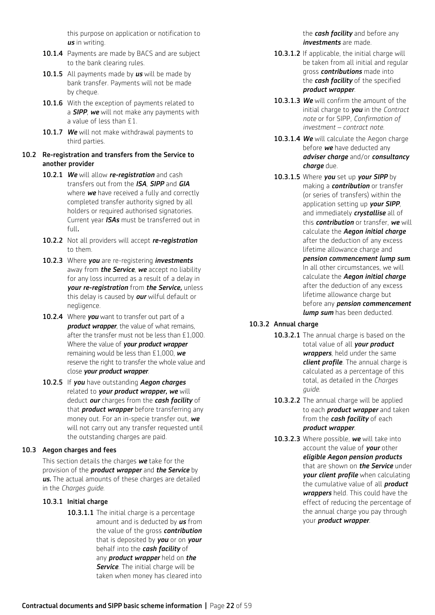this purpose on application or notification to *us* in writing.

- 10.1.4 Payments are made by BACS and are subject to the bank clearing rules.
- 10.1.5 All payments made by *us* will be made by bank transfer. Payments will not be made by cheque.
- 10.1.6 With the exception of payments related to a *SIPP*, *we* will not make any payments with a value of less than £1.
- 10.1.7 We will not make withdrawal payments to third parties.

#### 10.2 Re-registration and transfers from the Service to another provider

- 10.2.1 *We* will allow *re-registration* and cash transfers out from the *ISA*, *SIPP* and *GIA* where *we* have received a fully and correctly completed transfer authority signed by all holders or required authorised signatories. Current year *ISAs* must be transferred out in full*.*
- 10.2.2 Not all providers will accept *re-registration* to them.
- 10.2.3Where *you* are re-registering *investments* away from *the Service*, *we* accept no liability for any loss incurred as a result of a delay in *your re-registration* from *the Service,* unless this delay is caused by *our* wilful default or negligence.
- 10.2.4 Where *you* want to transfer out part of a *product wrapper*, the value of what remains, after the transfer must not be less than £1,000. Where the value of *your product wrapper* remaining would be less than £1,000, *we* reserve the right to transfer the whole value and close *your product wrapper*.
- 10.2.5 If *you* have outstanding *Aegon charges*  related to *your product wrapper, we* will deduct *our* charges from the *cash facility* of that *product wrapper* before transferring any money out. For an in-specie transfer out, *we* will not carry out any transfer requested until the outstanding charges are paid.

## 10.3 Aegon charges and fees

 This section details the charges *we* take for the provision of the *product wrapper* and *the Service* by *us.* The actual amounts of these charges are detailed in the *Charges guide*.

### 10.3.1 Initial charge

10.3.1.1 The initial charge is a percentage amount and is deducted by *us* from the value of the gross *contribution* that is deposited by *you* or on *your* behalf into the *cash facility* of any *product wrapper* held on *the*  **Service**. The initial charge will be taken when money has cleared into

the *cash facility* and before any *investments* are made.

- 10.3.1.2 If applicable, the initial charge will be taken from all initial and regular gross *contributions* made into the *cash facility* of the specified *product wrapper*.
- 10.3.1.3 *We* will confirm the amount of the initial charge to *you* in the *Contract note* or for SIPP, *Confirmation of investment – contract note.*
- 10.3.1.4 We will calculate the Aegon charge before *we* have deducted any *adviser charge* and/or *consultancy charge* due.
- 10.3.1.5 Where *you* set up *your SIPP* by making a *contribution* or transfer (or series of transfers) within the application setting up *your SIPP*, and immediately *crystallise* all of this *contribution* or transfer, *we* will calculate the *Aegon initial charge*  after the deduction of any excess lifetime allowance charge and *pension commencement lump sum*. In all other circumstances, we will calculate the *Aegon initial charge* after the deduction of any excess lifetime allowance charge but before any *pension commencement lump sum* has been deducted.
- 10.3.2 Annual charge
	- 10.3.2.1 The annual charge is based on the total value of all *your product wrappers*, held under the same *client profile*. The annual charge is calculated as a percentage of this total, as detailed in the *Charges guide*.
	- 10.3.2.2 The annual charge will be applied to each *product wrapper* and taken from the *cash facility* of each *product wrapper*.
	- 10.3.2.3 Where possible, *we* will take into account the value of *your* other *eligible Aegon pension products* that are shown on *the Service* under *your client profile* when calculating the cumulative value of all *product wrappers* held. This could have the effect of reducing the percentage of the annual charge you pay through your *product wrapper*.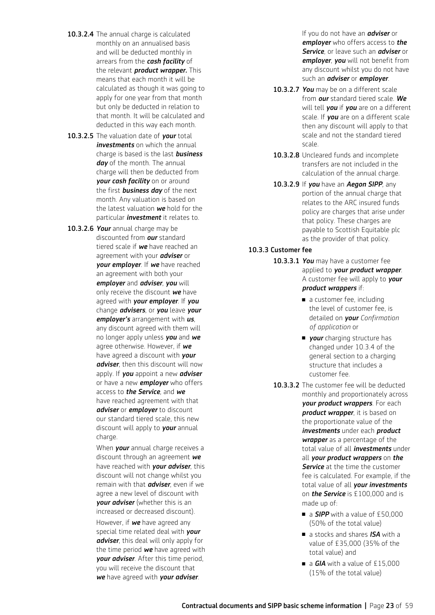- 10.3.2.4 The annual charge is calculated monthly on an annualised basis and will be deducted monthly in arrears from the *cash facility* of the relevant *product wrapper.* This means that each month it will be calculated as though it was going to apply for one year from that month but only be deducted in relation to that month. It will be calculated and deducted in this way each month.
- 10.3.2.5 The valuation date of *your* total *investments* on which the annual charge is based is the last *business day* of the month. The annual charge will then be deducted from *your cash facility* on or around the first *business day* of the next month. Any valuation is based on the latest valuation *we* hold for the particular *investment* it relates to.
- 10.3.2.6 *Your* annual charge may be discounted from *our* standard tiered scale if *we* have reached an agreement with your *adviser* or *your employer*. If *we* have reached an agreement with both your *employer* and *adviser*, *you* will only receive the discount *we* have agreed with *your employer*. If *you* change *advisers*, or *you* leave *your employer's* arrangement with *us*, any discount agreed with them will no longer apply unless *you* and *we* agree otherwise. However, if *we* have agreed a discount with *your adviser*, then this discount will now apply. If *you* appoint a new *adviser* or have a new *employer* who offers access to *the Service*, and *we* have reached agreement with that *adviser* or *employer* to discount our standard tiered scale, this new discount will apply to *your* annual charge.

 When *your* annual charge receives a discount through an agreement *we* have reached with *your adviser*, this discount will not change whilst you remain with that *adviser*, even if we agree a new level of discount with *your adviser* (whether this is an increased or decreased discount).

 However, if *we* have agreed any special time related deal with *your adviser*, this deal will only apply for the time period *we* have agreed with *your adviser*. After this time period, you will receive the discount that *we* have agreed with *your adviser*.

 If you do not have an *adviser* or *employer* who offers access to *the Service*, or leave such an *adviser* or *employer*, *you* will not benefit from any discount whilst you do not have such an *adviser* or *employer*.

- 10.3.2.7 *You* may be on a different scale from *our* standard tiered scale. *We* will tell *you* if *you* are on a different scale. If *you* are on a different scale then any discount will apply to that scale and not the standard tiered scale.
- 10.3.2.8 Uncleared funds and incomplete transfers are not included in the calculation of the annual charge.
- 10.3.2.9 If *you* have an *Aegon SIPP*, any portion of the annual charge that relates to the ARC insured funds policy are charges that arise under that policy. These charges are payable to Scottish Equitable plc as the provider of that policy.

#### 10.3.3 Customer fee

- 10.3.3.1 *You* may have a customer fee applied to *your product wrapper*. A customer fee will apply to *your product wrappers* if:
	- a customer fee, including the level of customer fee, is detailed on *your Confirmation of application* or
	- **n** your charging structure has changed under 10.3.4 of the general section to a charging structure that includes a customer fee.
- 10.3.3.2 The customer fee will be deducted monthly and proportionately across *your product wrappers*. For each *product wrapper*, it is based on the proportionate value of the *investments* under each *product wrapper* as a percentage of the total value of all *investments* under all *your product wrappers* on *the*  **Service** at the time the customer fee is calculated. For example, if the total value of all *your investments*  on *the Service* is £100,000 and is made up of:
	- a *SIPP* with a value of £50,000 (50% of the total value)
	- a stocks and shares *ISA* with a value of £35,000 (35% of the total value) and
	- $\blacksquare$  a *GIA* with a value of £15,000 (15% of the total value)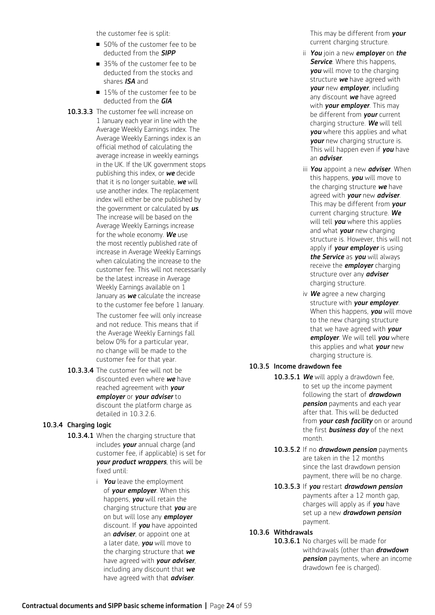the customer fee is split:

- 50% of the customer fee to be deducted from the *SIPP*
- 35% of the customer fee to be deducted from the stocks and shares *ISA* and
- 15% of the customer fee to be deducted from the *GIA*
- 10.3.3.3 The customer fee will increase on 1 January each year in line with the Average Weekly Earnings index. The Average Weekly Earnings index is an official method of calculating the average increase in weekly earnings in the UK. If the UK government stops publishing this index, or *we* decide that it is no longer suitable, *we* will use another index. The replacement index will either be one published by the government or calculated by *us*. The increase will be based on the Average Weekly Earnings increase for the whole economy. *We* use the most recently published rate of increase in Average Weekly Earnings when calculating the increase to the customer fee. This will not necessarily be the latest increase in Average Weekly Earnings available on 1 January as *we* calculate the increase to the customer fee before 1 January.

 The customer fee will only increase and not reduce. This means that if the Average Weekly Earnings fall below 0% for a particular year, no change will be made to the customer fee for that year.

10.3.3.4 The customer fee will not be discounted even where *we* have reached agreement with *your employer* or *your adviser* to discount the platform charge as detailed in 10.3.2.6.

### 10.3.4 Charging logic

- 10.3.4.1 When the charging structure that includes *your* annual charge (and customer fee, if applicable) is set for *your product wrappers*, this will be fixed until:
	- i *You* leave the employment of *your employer*. When this happens, *you* will retain the charging structure that *you* are on but will lose any *employer* discount. If *you* have appointed an *adviser*, or appoint one at a later date, *you* will move to the charging structure that *we* have agreed with *your adviser*, including any discount that *we* have agreed with that *adviser*.

This may be different from *your* current charging structure.

- ii *You* join a new *employer* on *the*  **Service** Where this hannens *you* will move to the charging structure *we* have agreed with *your* new *employer*, including any discount *we* have agreed with *your employer*. This may be different from *your* current charging structure. *We* will tell *you* where this applies and what *your* new charging structure is. This will happen even if *you* have an *adviser*.
- iii *You* appoint a new *adviser*. When this happens, *you* will move to the charging structure *we* have agreed with *your* new *adviser*. This may be different from *your* current charging structure. *We* will tell *you* where this applies and what *your* new charging structure is. However, this will not apply if *your employer* is using *the Service* as *you* will always receive the *employer* charging structure over any *adviser* charging structure.
- iv *We* agree a new charging structure with *your employer*. When this happens, *you* will move to the new charging structure that we have agreed with *your employer*. We will tell *you* where this applies and what *your* new charging structure is.
- 10.3.5 Income drawdown fee
	- 10.3.5.1 *We* will apply a drawdown fee, to set up the income payment following the start of *drawdown pension* payments and each year after that. This will be deducted from *your cash facility* on or around the first *business day* of the next month.
	- 10.3.5.2 If no *drawdown pension* payments are taken in the 12 months since the last drawdown pension payment, there will be no charge.
	- 10.3.5.3 If *you* restart *drawdown pension* payments after a 12 month gap, charges will apply as if *you* have set up a new *drawdown pension*  payment.

## 10.3.6 Withdrawals

10.3.6.1 No charges will be made for withdrawals (other than *drawdown pension* payments, where an income drawdown fee is charged).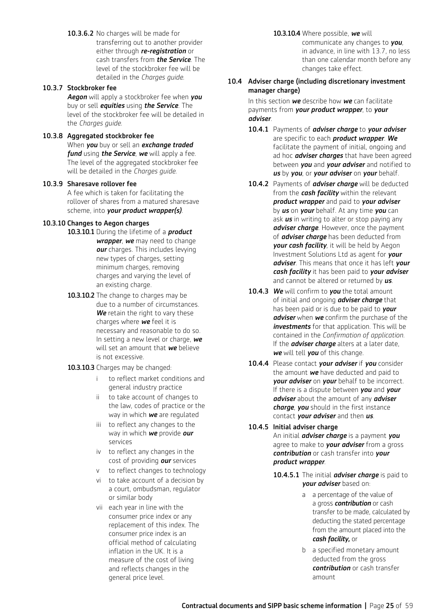10.3.6.2 No charges will be made for transferring out to another provider either through *re-registration* or cash transfers from *the Service*. The level of the stockbroker fee will be detailed in the *Charges guide*.

## 10.3.7 Stockbroker fee

 *Aegon* will apply a stockbroker fee when *you* buy or sell *equities* using *the Service*. The level of the stockbroker fee will be detailed in the *Charges guide*.

#### 10.3.8 Aggregated stockbroker fee

 When *you* buy or sell an *exchange traded fund* using *the Service*, *we* will apply a fee. The level of the aggregated stockbroker fee will be detailed in the *Charges guide*.

#### 10.3.9 Sharesave rollover fee

 A fee which is taken for facilitating the rollover of shares from a matured sharesave scheme, into *your product wrapper(s)*.

#### 10.3.10 Changes to Aegon charges

- 10.3.10.1 During the lifetime of a *product* 
	- *wrapper*, *we* may need to change *our* charges. This includes levying new types of charges, setting minimum charges, removing charges and varying the level of an existing charge.
- 10.3.10.2 The change to charges may be due to a number of circumstances. *We* retain the right to vary these charges where *we* feel it is necessary and reasonable to do so. In setting a new level or charge, *we* will set an amount that *we* believe is not excessive.
- 10.3.10.3 Charges may be changed:
	- i to reflect market conditions and general industry practice
	- ii to take account of changes to the law, codes of practice or the way in which *we* are regulated
	- iii to reflect any changes to the way in which *we* provide *our* services
	- iv to reflect any changes in the cost of providing *our* services
	- v to reflect changes to technology
	- vi to take account of a decision by a court, ombudsman, regulator or similar body
	- vii each year in line with the consumer price index or any replacement of this index. The consumer price index is an official method of calculating inflation in the UK. It is a measure of the cost of living and reflects changes in the general price level.

10.3.10.4 Where possible, *we* will

communicate any changes to *you*, in advance, in line with 13.7, no less than one calendar month before any changes take effect.

#### 10.4 Adviser charge (including discretionary investment manager charge)

In this section *we* describe how *we* can facilitate payments from *your product wrapper*, to *your adviser*.

- 10.4.1 Payments of *adviser charge* to *your adviser* are specific to each *product wrapper*. *We* facilitate the payment of initial, ongoing and ad hoc *adviser charges* that have been agreed between *you* and *your adviser* and notified to *us* by *you*, or *your adviser* on *your* behalf.
- 10.4.2 Payments of *adviser charge* will be deducted from the *cash facility* within the relevant *product wrapper* and paid to *your adviser* by *us* on *your* behalf. At any time *you* can ask *us* in writing to alter or stop paying any *adviser charge*. However, once the payment of *adviser charge* has been deducted from *your cash facility*, it will be held by Aegon Investment Solutions Ltd as agent for *your adviser*. This means that once it has left *your cash facility* it has been paid to *your adviser* and cannot be altered or returned by *us*.
- 10.4.3 *We* will confirm to *you* the total amount of initial and ongoing *adviser charge* that has been paid or is due to be paid to *your adviser* when *we* confirm the purchase of the *investments* for that application. This will be contained in the *Confirmation of application*. If the *adviser charge* alters at a later date, *we* will tell *you* of this change.
- 10.4.4 Please contact *your adviser* if *you* consider the amount *we* have deducted and paid to *your adviser* on *your* behalf to be incorrect. If there is a dispute between *you* and *your adviser* about the amount of any *adviser charge*, *you* should in the first instance contact *your adviser* and then *us*.

### 10.4.5 Initial adviser charge

 An initial *adviser charge* is a payment *you* agree to make to *your adviser* from a gross *contribution* or cash transfer into *your product wrapper*.

- 10.4.5.1 The initial *adviser charge* is paid to *your adviser* based on:
	- a a percentage of the value of a gross *contribution* or cash transfer to be made, calculated by deducting the stated percentage from the amount placed into the *cash facility,* or
	- b a specified monetary amount deducted from the gross *contribution* or cash transfer amount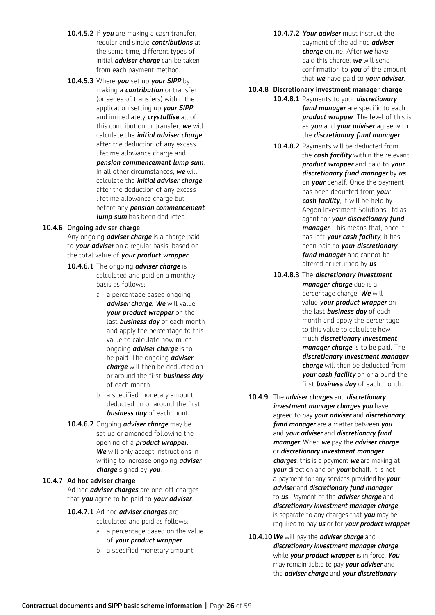- 10.4.5.2 If *you* are making a cash transfer, regular and single *contributions* at the same time, different types of initial *adviser charge* can be taken from each payment method.
- 10.4.5.3 Where *you* set up *your SIPP* by making a *contribution* or transfer (or series of transfers) within the application setting up *your SIPP*, and immediately *crystallise* all of this contribution or transfer, *we* will calculate the *initial adviser charge*  after the deduction of any excess lifetime allowance charge and

*pension commencement lump sum*. In all other circumstances, *we* will calculate the *initial adviser charge*  after the deduction of any excess lifetime allowance charge but before any *pension commencement lump sum* has been deducted.

## 10.4.6 Ongoing adviser charge

Any ongoing *adviser charge* is a charge paid to *your adviser* on a regular basis, based on the total value of *your product wrapper*.

#### 10.4.6.1 The ongoing *adviser charge* is

calculated and paid on a monthly basis as follows:

- a a percentage based ongoing *adviser charge. We* will value *your product wrapper* on the last *business day* of each month and apply the percentage to this value to calculate how much ongoing *adviser charge* is to be paid. The ongoing *adviser charge* will then be deducted on or around the first *business day* of each month
- b a specified monetary amount deducted on or around the first *business day* of each month
- 10.4.6.2 Ongoing *adviser charge* may be set up or amended following the opening of a *product wrapper*. *We* will only accept instructions in writing to increase ongoing *adviser charge* signed by *you*.

#### 10.4.7 Ad hoc adviser charge

 Ad hoc *adviser charges* are one-off charges that *you* agree to be paid to *your adviser*.

- 10.4.7.1 Ad hoc *adviser charges* are calculated and paid as follows:
	- a a percentage based on the value of *your product wrapper*
	- b a specified monetary amount

10.4.7.2 *Your adviser* must instruct the payment of the ad hoc *adviser charge* online. After *we* have paid this charge, *we* will send confirmation to *you* of the amount that *we* have paid to *your adviser*.

## 10.4.8 Discretionary investment manager charge

- 10.4.8.1 Payments to your *discretionary fund manager* are specific to each *product wrapper*. The level of this is as *you* and *your adviser* agree with the *discretionary fund manager*.
- 10.4.8.2 Payments will be deducted from the *cash facility* within the relevant *product wrapper* and paid to *your discretionary fund manager* by *us* on *your* behalf. Once the payment has been deducted from *your cash facility*, it will be held by Aegon Investment Solutions Ltd as agent for *your discretionary fund manager*. This means that, once it has left *your cash facility*, it has been paid to *your discretionary fund manager* and cannot be altered or returned by *us*.
- 10.4.8.3 The *discretionary investment manager charge* due is a percentage charge. *We* will value *your product wrapper* on the last *business day* of each month and apply the percentage to this value to calculate how much *discretionary investment manager charge* is to be paid. The *discretionary investment manager charge* will then be deducted from *your cash facility* on or around the first *business day* of each month.
- 10.4.9 The *adviser charges* and *discretionary investment manager charges you* have agreed to pay *your adviser* and *discretionary fund manager* are a matter between *you* and *your adviser* and *discretionary fund manager*. When *we* pay the *adviser charge*  or *discretionary investment manager charges*, this is a payment *we* are making at *your* direction and on *your* behalf. It is not a payment for any services provided by *your adviser* and *discretionary fund manager* to *us*. Payment of the *adviser charge* and *discretionary investment manager charge*  is separate to any charges that *you* may be required to pay *us* or for *your product wrapper*.
- 10.4.10 *We* will pay the *adviser charge* and *discretionary investment manager charge*  while *your product wrapper* is in force. *You* may remain liable to pay *your adviser* and the *adviser charge* and *your discretionary*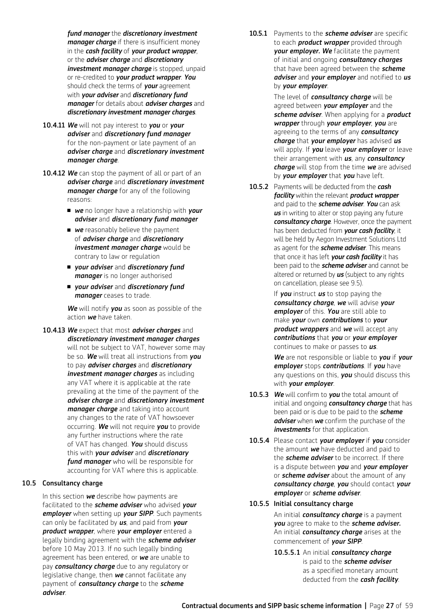*fund manager* the *discretionary investment manager charge* if there is insufficient money in the *cash facility* of *your product wrapper*, or the *adviser charge* and *discretionary investment manager charge* is stopped, unpaid or re-credited to *your product wrapper*. *You* should check the terms of *your* agreement with *your adviser* and *discretionary fund manager* for details about *adviser charges* and *discretionary investment manager charges*.

- 10.4.11 *We* will not pay interest to *you* or *your adviser* and *discretionary fund manager* for the non-payment or late payment of an *adviser charge* and *discretionary investment manager charge*.
- 10.4.12 *We* can stop the payment of all or part of an *adviser charge* and *discretionary investment manager charge* for any of the following reasons:
	- **we** no longer have a relationship with **your** *adviser* and *discretionary fund manager*
	- **n we** reasonably believe the nayment of *adviser charge* and *discretionary investment manager charge* would be contrary to law or regulation
	- <sup>n</sup> *your adviser* and *discretionary fund manager* is no longer authorised
	- <sup>n</sup> *your adviser* and *discretionary fund manager* ceases to trade.

*We* will notify *you* as soon as possible of the action *we* have taken.

10.4.13 *We* expect that most *adviser charges* and *discretionary investment manager charges*  will not be subject to VAT, however some may be so. *We* will treat all instructions from *you* to pay *adviser charges* and *discretionary investment manager charges* as including any VAT where it is applicable at the rate prevailing at the time of the payment of the *adviser charge* and *discretionary investment manager charge* and taking into account any changes to the rate of VAT howsoever occurring. *We* will not require *you* to provide any further instructions where the rate of VAT has changed. *You* should discuss this with *your adviser* and *discretionary fund manager* who will be responsible for accounting for VAT where this is applicable.

#### 10.5 Consultancy charge

 In this section *we* describe how payments are facilitated to the *scheme adviser* who advised *your employer* when setting up *your SIPP*. Such payments can only be facilitated by *us*, and paid from *your product wrapper*, where *your employer* entered a legally binding agreement with the *scheme adviser* before 10 May 2013. If no such legally binding agreement has been entered, or *we* are unable to pay *consultancy charge* due to any regulatory or legislative change, then *we* cannot facilitate any payment of *consultancy charge* to the *scheme adviser*.

10.5.1 Payments to the *scheme adviser* are specific to each *product wrapper* provided through *your employer. We* facilitate the payment of initial and ongoing *consultancy charges* that have been agreed between the *scheme adviser* and *your employer* and notified to *us* by *your employer*.

> The level of *consultancy charge* will be agreed between *your employer* and the *scheme adviser*. When applying for a *product wrapper* through *your employer*, *you* are agreeing to the terms of any *consultancy charge* that *your employer* has advised *us* will apply. If *you* leave *your employer* or leave their arrangement with *us*, any *consultancy charge* will stop from the time *we* are advised by *your employer* that *you* have left.

10.5.2 Payments will be deducted from the *cash facility* within the relevant *product wrapper*  and paid to the *scheme adviser*. *You* can ask *us* in writing to alter or stop paying any future *consultancy charge*. However, once the payment has been deducted from *your cash facility*, it will be held by Aegon Investment Solutions Ltd as agent for the *scheme adviser*. This means that once it has left *your cash facility* it has been paid to the *scheme adviser* and cannot be altered or returned by *us* (subject to any rights on cancellation, please see 9.5).

> If *you* instruct *us* to stop paying the *consultancy charge*, *we* will advise *your employer* of this. *You* are still able to make *your* own *contributions* to *your product wrappers* and *we* will accept any *contributions* that *you* or *your employer* continues to make or passes to *us*.

*We* are not responsible or liable to *you* if *your employer* stops *contributions*. If *you* have any questions on this, *you* should discuss this with *your employer*.

- 10.5.3 *We* will confirm to *you* the total amount of initial and ongoing *consultancy charge* that has been paid or is due to be paid to the *scheme adviser* when *we* confirm the purchase of the *investments* for that application.
- 10.5.4 Please contact *your employer* if *you* consider the amount *we* have deducted and paid to the *scheme adviser* to be incorrect. If there is a dispute between *you* and *your employer*  or *scheme adviser* about the amount of any *consultancy charge*, *you* should contact *your employer* or *scheme adviser*.
- 10.5.5 Initial consultancy charge

 An initial *consultancy charge* is a payment *you* agree to make to the *scheme adviser.*  An initial *consultancy charge* arises at the commencement of *your SIPP*.

10.5.5.1 An initial *consultancy charge* is paid to the *scheme adviser* as a specified monetary amount deducted from the *cash facility*.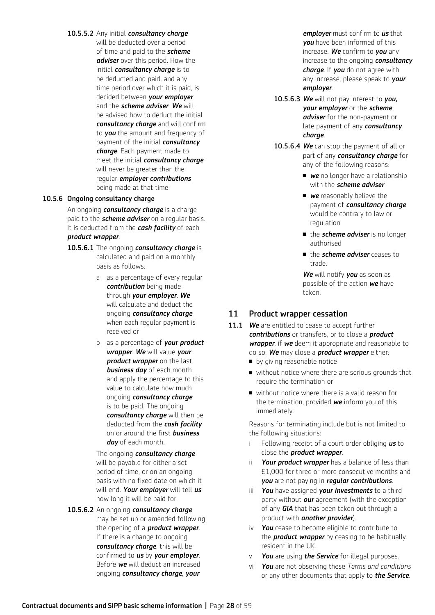## 10.5.5.2 Any initial *consultancy charge* will be deducted over a period of time and paid to the *scheme adviser* over this period. How the initial *consultancy charge* is to be deducted and paid, and any time period over which it is paid, is decided between *your employer*  and the *scheme adviser*. *We* will be advised how to deduct the initial *consultancy charge* and will confirm to *you* the amount and frequency of payment of the initial *consultancy charge*. Each payment made to meet the initial *consultancy charge* will never be greater than the regular *employer contributions*  being made at that time.

#### 10.5.6 Ongoing consultancy charge

 An ongoing *consultancy charge* is a charge paid to the *scheme adviser* on a regular basis. It is deducted from the *cash facility* of each *product wrapper*.

- 10.5.6.1 The ongoing *consultancy charge* is calculated and paid on a monthly basis as follows:
	- a as a percentage of every regular *contribution* being made through *your employer*. *We* will calculate and deduct the ongoing *consultancy charge*  when each regular payment is received or
	- b as a percentage of *your product wrapper*. *We* will value *your product wrapper* on the last *business day* of each month and apply the percentage to this value to calculate how much ongoing *consultancy charge* is to be paid. The ongoing *consultancy charge* will then be deducted from the *cash facility* on or around the first *business day* of each month.

 The ongoing *consultancy charge* will be payable for either a set period of time, or on an ongoing basis with no fixed date on which it will end. *Your employer* will tell *us* how long it will be paid for.

10.5.6.2 An ongoing *consultancy charge* may be set up or amended following the opening of a *product wrapper*. If there is a change to ongoing *consultancy charge*, this will be confirmed to *us* by *your employer*. Before *we* will deduct an increased ongoing *consultancy charge*, *your* 

*employer* must confirm to *us* that *you* have been informed of this increase. *We* confirm to *you* any increase to the ongoing *consultancy charge*. If *you* do not agree with any increase, please speak to *your employer*.

- 10.5.6.3 *We* will not pay interest to *you, your employer* or the *scheme adviser* for the non-payment or late payment of any *consultancy charge*.
- 10.5.6.4 We can stop the payment of all or part of any *consultancy charge* for any of the following reasons:
	- **n we** no longer have a relationship with the *scheme adviser*
	- **n we** reasonably believe the payment of *consultancy charge* would be contrary to law or regulation
	- the *scheme adviser* is no longer authorised
	- the *scheme adviser* ceases to trade.

*We* will notify *you* as soon as possible of the action *we* have taken.

## 11 Product wrapper cessation

- 11.1 We are entitled to cease to accept further *contributions* or transfers, or to close a *product wrapper*, if *we* deem it appropriate and reasonable to do so. *We* may close a *product wrapper* either:
	- **n** by giving reasonable notice
	- $\blacksquare$  without notice where there are serious grounds that require the termination or
	- $\blacksquare$  without notice where there is a valid reason for the termination, provided *we* inform you of this immediately.

 Reasons for terminating include but is not limited to, the following situations:

- i Following receipt of a court order obliging *us* to close the *product wrapper*.
- ii *Your product wrapper* has a balance of less than £1,000 for three or more consecutive months and *you* are not paying in *regular contributions*.
- iii *You* have assigned *your investments* to a third party without *our* agreement (with the exception of any *GIA* that has been taken out through a product with *another provider*).
- iv *You* cease to become eligible to contribute to the *product wrapper* by ceasing to be habitually resident in the UK.
- v *You* are using *the Service* for illegal purposes.
- vi *You* are not observing these *Terms and conditions* or any other documents that apply to *the Service*.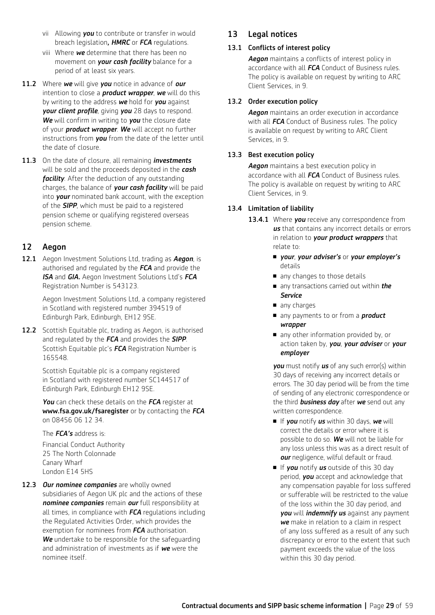- vii Allowing *you* to contribute or transfer in would breach legislation*, HMRC* or *FCA* regulations.
- viii Where *we* determine that there has been no movement on *your cash facility* balance for a period of at least six years.
- 11.2 Where *we* will give *you* notice in advance of *our* intention to close a *product wrapper*, *we* will do this by writing to the address *we* hold for *you* against *your client profile*, giving *you* 28 days to respond. *We* will confirm in writing to *you* the closure date of your *product wrapper*. *We* will accept no further instructions from *you* from the date of the letter until the date of closure.
- 11.3 On the date of closure, all remaining *investments* will be sold and the proceeds deposited in the *cash facility*. After the deduction of any outstanding charges, the balance of *your cash facility* will be paid into *your* nominated bank account, with the exception of the *SIPP*, which must be paid to a registered pension scheme or qualifying registered overseas pension scheme.

## 12 Aegon

12.1 Aegon Investment Solutions Ltd, trading as *Aegon*, is authorised and regulated by the *FCA* and provide the *ISA* and *GIA.* Aegon Investment Solutions Ltd's *FCA* Registration Number is 543123.

> Aegon Investment Solutions Ltd, a company registered in Scotland with registered number 394519 of Edinburgh Park, Edinburgh, EH12 9SE.

12.2 Scottish Equitable plc, trading as Aegon, is authorised and regulated by the *FCA* and provides the *SIPP*. Scottish Equitable plc's *FCA* Registration Number is 165548.

> Scottish Equitable plc is a company registered in Scotland with registered number SC144517 of Edinburgh Park, Edinburgh EH12 9SE.

 *You* can check these details on the *FCA* register at www.fsa.gov.uk/fsaregister or by contacting the *FCA* on 08456 06 12 34.

The *FCA's* address is:

 Financial Conduct Authority 25 The North Colonnade Canary Wharf London E14 5HS

12.3 *Our nominee companies* are wholly owned subsidiaries of Aegon UK plc and the actions of these *nominee companies* remain *our* full responsibility at all times, in compliance with *FCA* regulations including the Regulated Activities Order, which provides the exemption for nominees from *FCA* authorisation. *We* undertake to be responsible for the safeguarding and administration of investments as if *we* were the nominee itself.

## 13 Legal notices

## 13.1 Conflicts of interest policy

 *Aegon* maintains a conflicts of interest policy in accordance with all *FCA* Conduct of Business rules. The policy is available on request by writing to ARC Client Services, in 9.

## 13.2 Order execution policy

 *Aegon* maintains an order execution in accordance with all *FCA* Conduct of Business rules. The policy is available on request by writing to ARC Client Services, in 9.

## 13.3 Best execution policy

 *Aegon* maintains a best execution policy in accordance with all *FCA* Conduct of Business rules. The policy is available on request by writing to ARC Client Services, in 9.

## 13.4 Limitation of liability

- 13.4.1 Where **you** receive any correspondence from *us* that contains any incorrect details or errors in relation to *your product wrappers* that relate to:
	- *your*, *your adviser's* or *your employer's* details
	- n any changes to those details
	- any transactions carried out within *the Service*
	- $\blacksquare$  any charges
	- any payments to or from a **product** *wrapper*
	- n any other information provided by, or action taken by, *you*, *your adviser* or *your employer*

*you* must notify *us* of any such error(s) within 30 days of receiving any incorrect details or errors. The 30 day period will be from the time of sending of any electronic correspondence or the third *business day* after *we* send out any written correspondence.

- **n** If **you** notify **us** within 30 days, **we** will correct the details or error where it is possible to do so. *We* will not be liable for any loss unless this was as a direct result of *our* negligence, wilful default or fraud.
- **n** If **you** notify **us** outside of this 30 day period, *you* accept and acknowledge that any compensation payable for loss suffered or sufferable will be restricted to the value of the loss within the 30 day period, and *you* will *indemnify us* against any payment *we* make in relation to a claim in respect of any loss suffered as a result of any such discrepancy or error to the extent that such payment exceeds the value of the loss within this 30 day period.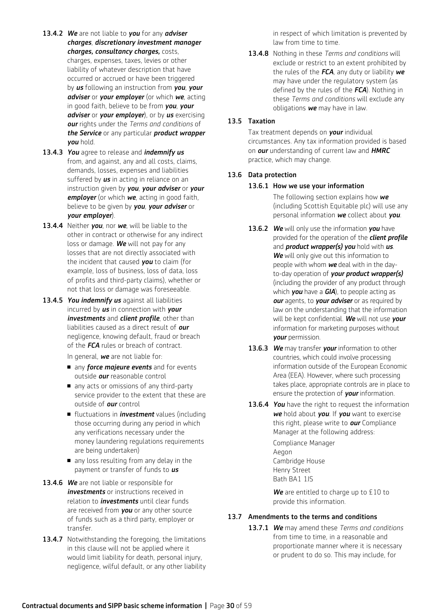- 13.4.2 *We* are not liable to *you* for any *adviser charges*, *discretionary investment manager charges, consultancy charges,* costs, charges, expenses, taxes, levies or other liability of whatever description that have occurred or accrued or have been triggered by *us* following an instruction from *you*, *your adviser* or *your employer* (or which *we*, acting in good faith, believe to be from *you*, *your adviser* or *your employer*), or by *us* exercising *our* rights under the *Terms and conditions* of *the Service* or any particular *product wrapper you* hold.
- 13.4.3 *You* agree to release and *indemnify us* from, and against, any and all costs, claims, demands, losses, expenses and liabilities suffered by *us* in acting in reliance on an instruction given by *you*, *your adviser* or *your employer* (or which *we*, acting in good faith, believe to be given by *you*, *your adviser* or *your employer*).
- 13.4.4 Neither *you*, nor *we*, will be liable to the other in contract or otherwise for any indirect loss or damage. *We* will not pay for any losses that are not directly associated with the incident that caused *you* to claim (for example, loss of business, loss of data, loss of profits and third-party claims), whether or not that loss or damage was foreseeable.
- 13.4.5 *You indemnify us* against all liabilities incurred by *us* in connection with *your investments* and *client profile*, other than liabilities caused as a direct result of *our* negligence, knowing default, fraud or breach of the *FCA* rules or breach of contract.

In general, *we* are not liable for:

- **n** any *force majeure events* and for events outside *our* reasonable control
- n any acts or omissions of any third-party service provider to the extent that these are outside of *our* control
- fluctuations in *investment* values (including those occurring during any period in which any verifications necessary under the money laundering regulations requirements are being undertaken)
- n any loss resulting from any delay in the payment or transfer of funds to *us*
- 13.4.6 *We* are not liable or responsible for *investments* or instructions received in relation to *investments* until clear funds are received from *you* or any other source of funds such as a third party, employer or transfer.
- 13.4.7 Notwithstanding the foregoing, the limitations in this clause will not be applied where it would limit liability for death, personal injury, negligence, wilful default, or any other liability

in respect of which limitation is prevented by law from time to time.

13.4.8 Nothing in these *Terms and conditions* will exclude or restrict to an extent prohibited by the rules of the *FCA*, any duty or liability *we* may have under the regulatory system (as defined by the rules of the *FCA*). Nothing in these *Terms and conditions* will exclude any obligations *we* may have in law.

#### 13.5 Taxation

 Tax treatment depends on *your* individual circumstances. Any tax information provided is based on *our* understanding of current law and *HMRC* practice, which may change.

#### 13.6 Data protection

#### 13.6.1 How we use your information

 The following section explains how *we* (including Scottish Equitable plc) will use any personal information *we* collect about *you*.

- 13.6.2 *We* will only use the information *you* have provided for the operation of the *client profile* and *product wrapper(s) you* hold with *us*. *We* will only give out this information to people with whom *we* deal with in the dayto-day operation of *your product wrapper(s)* (including the provider of any product through which *you* have a *GIA*), to people acting as *our* agents, to *your adviser* or as required by law on the understanding that the information will be kept confidential. *We* will not use *your* information for marketing purposes without *your* permission.
- 13.6.3 *We* may transfer *your* information to other countries, which could involve processing information outside of the European Economic Area (EEA). However, where such processing takes place, appropriate controls are in place to ensure the protection of *your* information.
- 13.6.4 *You* have the right to request the information *we* hold about *you*. If *you* want to exercise this right, please write to *our* Compliance Manager at the following address:

 Compliance Manager Aegon Cambridge House Henry Street Bath BA1 1JS

*We* are entitled to charge up to £10 to provide this information.

#### 13.7 Amendments to the terms and conditions

13.7.1 *We* may amend these *Terms and conditions*  from time to time, in a reasonable and proportionate manner where it is necessary or prudent to do so. This may include, for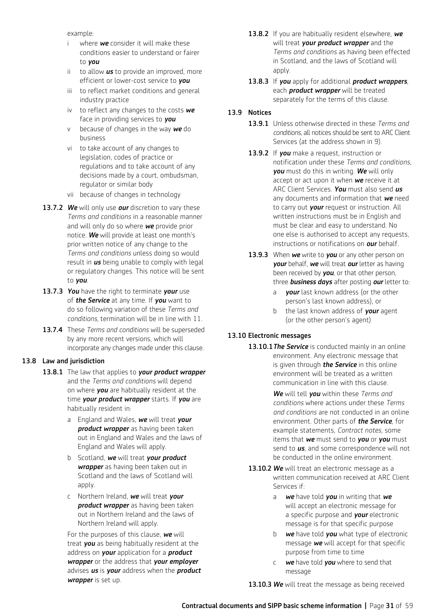example:

- where **we** consider it will make these conditions easier to understand or fairer to *you*
- ii to allow *us* to provide an improved, more efficient or lower-cost service to *you*
- iii to reflect market conditions and general industry practice
- iv to reflect any changes to the costs *we* face in providing services to *you*
- v because of changes in the way *we* do business
- vi to take account of any changes to legislation, codes of practice or regulations and to take account of any decisions made by a court, ombudsman, regulator or similar body
- vii because of changes in technology
- 13.7.2 *We* will only use *our* discretion to vary these *Terms and conditions* in a reasonable manner and will only do so where *we* provide prior notice. *We* will provide at least one month's prior written notice of any change to the *Terms and conditions* unless doing so would result in *us* being unable to comply with legal or regulatory changes. This notice will be sent to *you*.
- 13.7.3 *You* have the right to terminate *your* use of *the Service* at any time. If *you* want to do so following variation of these *Terms and conditions*, termination will be in line with 11.
- 13.7.4 These *Terms and conditions* will be superseded by any more recent versions, which will incorporate any changes made under this clause.

## 13.8 Law and jurisdiction

- 13.8.1 The law that applies to *your product wrapper*  and the *Terms and conditions* will depend on where *you* are habitually resident at the time *your product wrapper* starts. If *you* are habitually resident in:
	- a England and Wales, *we* will treat *your product wrapper* as having been taken out in England and Wales and the laws of England and Wales will apply.
	- b Scotland, *we* will treat *your product wrapper* as having been taken out in Scotland and the laws of Scotland will apply.
	- c Northern Ireland, *we* will treat *your product wrapper* as having been taken out in Northern Ireland and the laws of Northern Ireland will apply.

For the purposes of this clause, *we* will treat *you* as being habitually resident at the address on *your* application for a *product wrapper* or the address that *your employer* advises *us* is *your* address when the *product wrapper* is set up.

- 13.8.2 If you are habitually resident elsewhere, *we* will treat *your product wrapper* and the *Terms and conditions* as having been effected in Scotland, and the laws of Scotland will apply.
- 13.8.3 If *you* apply for additional *product wrappers*, each *product wrapper* will be treated separately for the terms of this clause.

## 13.9 Notices

- 13.9.1 Unless otherwise directed in these *Terms and conditions*, all notices should be sent to ARC Client Services (at the address shown in 9).
- 13.9.2 If *you* make a request, instruction or notification under these *Terms and conditions*, *you* must do this in writing. *We* will only accept or act upon it when *we* receive it at ARC Client Services. *You* must also send *us* any documents and information that *we* need to carry out *your* request or instruction. All written instructions must be in English and must be clear and easy to understand. No one else is authorised to accept any requests, instructions or notifications on *our* behalf.
- 13.9.3 When *we* write to *you* or any other person on *your* behalf, *we* will treat *our* letter as having been received by *you*, or that other person, three *business days* after posting *our* letter to:
	- a *your* last known address (or the other person's last known address), or
	- b the last known address of *your* agent (or the other person's agent)

## 13.10 Electronic messages

13.10.1 The Service is conducted mainly in an online environment. Any electronic message that is given through *the Service* in this online environment will be treated as a written communication in line with this clause.

> *We* will tell *you* within these *Terms and conditions* where actions under these *Terms and conditions* are not conducted in an online environment. Other parts of *the Service*, for example statements, *Contract notes,* some items that *we* must send to *you* or *you* must send to *us*, and some correspondence will not be conducted in the online environment.

- 13.10.2 *We* will treat an electronic message as a written communication received at ARC Client Services if:
	- a *we* have told *you* in writing that *we* will accept an electronic message for a specific purpose and *your* electronic message is for that specific purpose
	- b *we* have told *you* what type of electronic message *we* will accept for that specific purpose from time to time
	- c *we* have told *you* where to send that message

13.10.3 We will treat the message as being received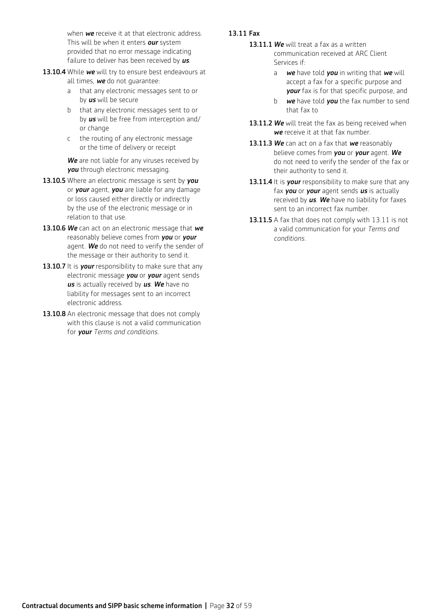when *we* receive it at that electronic address. This will be when it enters *our* system provided that no error message indicating failure to deliver has been received by *us*.

- 13.10.4 While we will try to ensure best endeavours at all times, *we* do not guarantee:
	- a that any electronic messages sent to or by *us* will be secure
	- b that any electronic messages sent to or by *us* will be free from interception and/ or change
	- c the routing of any electronic message or the time of delivery or receipt

*We* are not liable for any viruses received by *you* through electronic messaging.

- 13.10.5 Where an electronic message is sent by *you* or *your* agent, *you* are liable for any damage or loss caused either directly or indirectly by the use of the electronic message or in relation to that use.
- 13.10.6 *We* can act on an electronic message that *we* reasonably believe comes from *you* or *your* agent. *We* do not need to verify the sender of the message or their authority to send it.
- 13.10.7 It is **your** responsibility to make sure that any electronic message *you* or *your* agent sends *us* is actually received by *us*. *We* have no liability for messages sent to an incorrect electronic address.
- 13.10.8 An electronic message that does not comply with this clause is not a valid communication for *your Terms and conditions.*

## 13.11 Fax

- 13.11.1 We will treat a fax as a written communication received at ARC Client Services if:
	- a *we* have told *you* in writing that *we* will accept a fax for a specific purpose and *your* fax is for that specific purpose, and
	- b *we* have told *you* the fax number to send that fax to
- 13.11.2 We will treat the fax as being received when *we* receive it at that fax number.
- 13.11.3 *We* can act on a fax that *we* reasonably believe comes from *you* or *your* agent. *We* do not need to verify the sender of the fax or their authority to send it.
- 13.11.4 It is *your* responsibility to make sure that any fax *you* or *your* agent sends *us* is actually received by *us*. *We* have no liability for faxes sent to an incorrect fax number.
- 13.11.5 A fax that does not comply with 13.11 is not a valid communication for your *Terms and conditions*.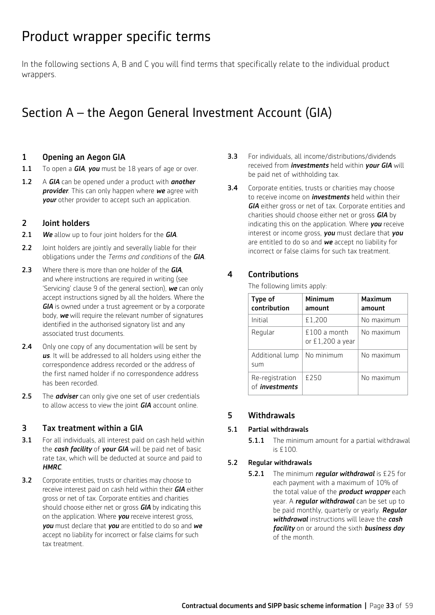## Product wrapper specific terms

In the following sections A, B and C you will find terms that specifically relate to the individual product wrappers.

## Section A – the Aegon General Investment Account (GIA)

## 1 Opening an Aegon GIA

- 1.1 To open a *GIA*, *you* must be 18 years of age or over.
- 1.2 A *GIA* can be opened under a product with *another provider*. This can only happen where *we* agree with *your* other provider to accept such an application.

## 2 Joint holders

- 2.1 *We* allow up to four joint holders for the *GIA*.
- 2.2 Joint holders are jointly and severally liable for their obligations under the *Terms and conditions* of the *GIA*.
- 2.3 Where there is more than one holder of the *GIA*, and where instructions are required in writing (see 'Servicing' clause 9 of the general section), *we* can only accept instructions signed by all the holders. Where the *GIA* is owned under a trust agreement or by a corporate body, *we* will require the relevant number of signatures identified in the authorised signatory list and any associated trust documents.
- 2.4 Only one copy of any documentation will be sent by *us*. It will be addressed to all holders using either the correspondence address recorded or the address of the first named holder if no correspondence address has been recorded.
- 2.5 The *adviser* can only give one set of user credentials to allow access to view the joint *GIA* account online.

## 3 Tax treatment within a GIA

- **3.1** For all individuals, all interest paid on cash held within the *cash facility* of *your GIA* will be paid net of basic rate tax, which will be deducted at source and paid to *HMRC*.
- **3.2** Corporate entities, trusts or charities may choose to receive interest paid on cash held within their *GIA* either gross or net of tax. Corporate entities and charities should choose either net or gross *GIA* by indicating this on the application. Where *you* receive interest gross, *you* must declare that *you* are entitled to do so and *we* accept no liability for incorrect or false claims for such tax treatment.
- 3.3 For individuals, all income/distributions/dividends received from *investments* held within *your GIA* will be paid net of withholding tax.
- **3.4** Corporate entities, trusts or charities may choose to receive income on *investments* held within their *GIA* either gross or net of tax. Corporate entities and charities should choose either net or gross *GIA* by indicating this on the application. Where *you* receive interest or income gross, *you* must declare that *you* are entitled to do so and *we* accept no liability for incorrect or false claims for such tax treatment.

## 4 Contributions

The following limits apply:

| Type of<br>contribution                  | Minimum<br>amount                 | Maximum<br>amount |
|------------------------------------------|-----------------------------------|-------------------|
| Initial                                  | £1,200                            | No maximum        |
| Regular                                  | $£100a$ month<br>or £1,200 a year | No maximum        |
| Additional lump<br>sum                   | No minimum                        | No maximum        |
| Re-registration<br>of <i>investments</i> | £250                              | No maximum        |

## 5 Withdrawals

## 5.1 Partial withdrawals

**5.1.1** The minimum amount for a partial withdrawal is £100.

## 5.2 Regular withdrawals

5.2.1 The minimum *regular withdrawal* is £25 for each payment with a maximum of 10% of the total value of the *product wrapper* each year. A *regular withdrawal* can be set up to be paid monthly, quarterly or yearly. *Regular withdrawal* instructions will leave the *cash facility* on or around the sixth *business day* of the month.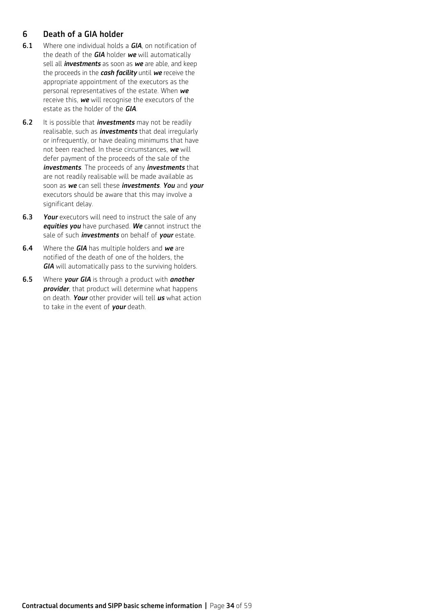## 6 Death of a GIA holder

- 6.1 Where one individual holds a *GIA*, on notification of the death of the *GIA* holder *we* will automatically sell all *investments* as soon as *we* are able, and keep the proceeds in the *cash facility* until *we* receive the appropriate appointment of the executors as the personal representatives of the estate. When *we* receive this, *we* will recognise the executors of the estate as the holder of the *GIA*.
- 6.2 It is possible that *investments* may not be readily realisable, such as *investments* that deal irregularly or infrequently, or have dealing minimums that have not been reached. In these circumstances, *we* will defer payment of the proceeds of the sale of the *investments*. The proceeds of any *investments* that are not readily realisable will be made available as soon as *we* can sell these *investments*. *You* and *your* executors should be aware that this may involve a significant delay.
- **6.3** Your executors will need to instruct the sale of any *equities you* have purchased. *We* cannot instruct the sale of such *investments* on behalf of *your* estate.
- 6.4 Where the *GIA* has multiple holders and *we* are notified of the death of one of the holders, the *GIA* will automatically pass to the surviving holders.
- 6.5 Where *your GIA* is through a product with *another provider*, that product will determine what happens on death. *Your* other provider will tell *us* what action to take in the event of *your* death.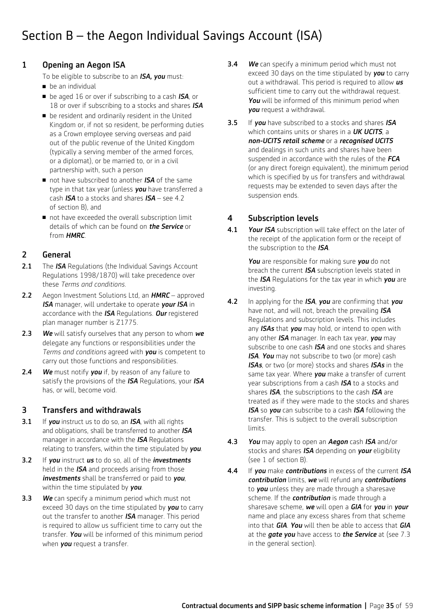## Section B – the Aegon Individual Savings Account (ISA)

## 1 Opening an Aegon ISA

To be eligible to subscribe to an *ISA, you* must:

- $\blacksquare$  he an individual
- be aged 16 or over if subscribing to a cash *ISA*, or 18 or over if subscribing to a stocks and shares *ISA*
- $\blacksquare$  be resident and ordinarily resident in the United Kingdom or, if not so resident, be performing duties as a Crown employee serving overseas and paid out of the public revenue of the United Kingdom (typically a serving member of the armed forces, or a diplomat), or be married to, or in a civil partnership with, such a person
- not have subscribed to another *ISA* of the same type in that tax year (unless *you* have transferred a cash *ISA* to a stocks and shares *ISA* – see 4.2 of section B), and
- not have exceeded the overall subscription limit details of which can be found on *the Service* or from *HMRC*.

## 2 General

- 2.1 The *ISA* Regulations (the Individual Savings Account Regulations 1998/1870) will take precedence over these *Terms and conditions.*
- 2.2 Aegon Investment Solutions Ltd, an *HMRC*  approved *ISA* manager, will undertake to operate *your ISA* in accordance with the *ISA* Regulations. *Our* registered plan manager number is Z1775.
- 2.3 *We* will satisfy ourselves that any person to whom *we* delegate any functions or responsibilities under the *Terms and conditions* agreed with *you* is competent to carry out those functions and responsibilities.
- 2.4 *We* must notify *you* if, by reason of any failure to satisfy the provisions of the *ISA* Regulations, your *ISA* has, or will, become void.

## 3 Transfers and withdrawals

- 3.1 If *you* instruct us to do so, an *ISA*, with all rights and obligations, shall be transferred to another *ISA* manager in accordance with the *ISA* Regulations relating to transfers, within the time stipulated by *you*.
- 3.2 If *you* instruct *us* to do so, all of the *investments* held in the *ISA* and proceeds arising from those *investments* shall be transferred or paid to *you*, within the time stipulated by *you*.
- 3.3 *We* can specify a minimum period which must not exceed 30 days on the time stipulated by *you* to carry out the transfer to another *ISA* manager. This period is required to allow us sufficient time to carry out the transfer. *You* will be informed of this minimum period when *you* request a transfer.
- 3.4 *We* can specify a minimum period which must not exceed 30 days on the time stipulated by *you* to carry out a withdrawal. This period is required to allow *us* sufficient time to carry out the withdrawal request. *You* will be informed of this minimum period when *you* request a withdrawal.
- 3.5 If *you* have subscribed to a stocks and shares *ISA* which contains units or shares in a *UK UCITS*, a *non-UCITS retail scheme* or a *recognised UCITS* and dealings in such units and shares have been suspended in accordance with the rules of the *FCA* (or any direct foreign equivalent), the minimum period which is specified by us for transfers and withdrawal requests may be extended to seven days after the suspension ends.

## 4 Subscription levels

4.1 *Your ISA* subscription will take effect on the later of the receipt of the application form or the receipt of the subscription to the *ISA*.

> *You* are responsible for making sure *you* do not breach the current *ISA* subscription levels stated in the *ISA* Regulations for the tax year in which *you* are investing.

- 4.2 In applying for the *ISA*, *you* are confirming that *you* have not, and will not, breach the prevailing *ISA* Regulations and subscription levels. This includes any *ISAs* that *you* may hold, or intend to open with any other *ISA* manager. In each tax year, *you* may subscribe to one cash *ISA* and one stocks and shares *ISA*. *You* may not subscribe to two (or more) cash *ISAs*, or two (or more) stocks and shares *ISAs* in the same tax year. Where *you* make a transfer of current year subscriptions from a cash *ISA* to a stocks and shares *ISA*, the subscriptions to the cash *ISA* are treated as if they were made to the stocks and shares *ISA* so *you* can subscribe to a cash *ISA* following the transfer. This is subject to the overall subscription limits.
- 4.3 *You* may apply to open an *Aegon* cash *ISA* and/or stocks and shares *ISA* depending on *your* eligibility (see 1 of section B).
- 4.4 If *you* make *contributions* in excess of the current *ISA contribution* limits, *we* will refund any *contributions* to *you* unless they are made through a sharesave scheme. If the *contribution* is made through a sharesave scheme, *we* will open a *GIA* for *you* in *your* name and place any excess shares from that scheme into that *GIA*. *You* will then be able to access that *GIA* at the *gate you* have access to *the Service* at (see 7.3 in the general section).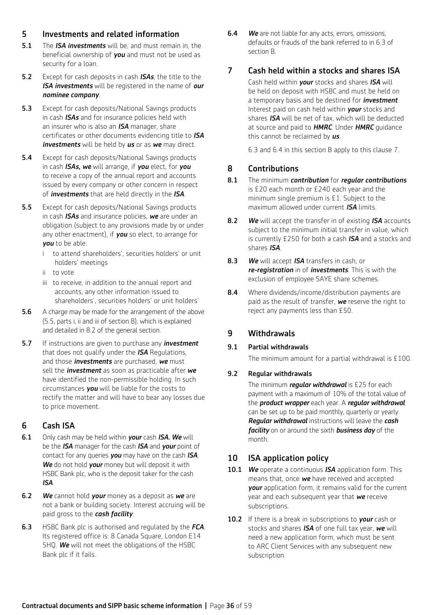## 5 Investments and related information

- 5.1 The *ISA investments* will be, and must remain in, the beneficial ownership of *you* and must not be used as security for a loan.
- 5.2 Except for cash deposits in cash *ISAs*, the title to the *ISA investments* will be registered in the name of *our nominee company*.
- **5.3** Except for cash deposits/National Savings products in cash *ISAs* and for insurance policies held with an insurer who is also an *ISA* manager, share certificates or other documents evidencing title to *ISA investments* will be held by *us* or as *we* may direct.
- **5.4** Except for cash deposits/National Savings products in cash *ISAs, we* will arrange, if *you* elect, for *you* to receive a copy of the annual report and accounts issued by every company or other concern in respect of *investments* that are held directly in the *ISA*.
- **5.5** Except for cash deposits/National Savings products in cash *ISAs* and insurance policies, *we* are under an obligation (subject to any provisions made by or under any other enactment), if *you* so elect, to arrange for *you* to be able:
	- i to attend shareholders', securities holders' or unit holders' meetings
	- ii to vote
	- iii to receive, in addition to the annual report and accounts, any other information issued to shareholders', securities holders' or unit holders'
- 5.6 A charge may be made for the arrangement of the above (5.5, parts i, ii and iii of section B), which is explained and detailed in 8.2 of the general section.
- 5.7 If instructions are given to purchase any *investment* that does not qualify under the *ISA* Regulations, and those *investments* are purchased, *we* must sell the *investment* as soon as practicable after *we* have identified the non-permissible holding. In such circumstances *you* will be liable for the costs to rectify the matter and will have to bear any losses due to price movement.

## 6 Cash ISA

- 6.1 Only cash may be held within *your* cash *ISA. We* will be the *ISA* manager for the cash *ISA* and *your* point of contact for any queries *you* may have on the cash *ISA*. *We* do not hold *your* money but will deposit it with HSBC Bank plc, who is the deposit taker for the cash *ISA*.
- 6.2 *We* cannot hold *your* money as a deposit as *we* are not a bank or building society. Interest accruing will be paid gross to the *cash facility*.
- 6.3 HSBC Bank plc is authorised and regulated by the *FCA*. Its registered office is: 8 Canada Square, London E14 5HQ. *We* will not meet the obligations of the HSBC Bank plc if it fails.

6.4 *We* are not liable for any acts, errors, omissions, defaults or frauds of the bank referred to in 6.3 of section B.

## 7 Cash held within a stocks and shares ISA

 Cash held within *your* stocks and shares *ISA* will be held on deposit with HSBC and must be held on a temporary basis and be destined for *investment*. Interest paid on cash held within *your* stocks and shares *ISA* will be net of tax, which will be deducted at source and paid to *HMRC*. Under *HMRC* guidance this cannot be reclaimed by *us*.

6.3 and 6.4 in this section B apply to this clause 7.

## 8 Contributions

- 8.1 The minimum *contribution* for *regular contributions* is £20 each month or £240 each year and the minimum single premium is £1. Subject to the maximum allowed under current *ISA* limits.
- 8.2 *We* will accept the transfer in of existing *ISA* accounts subject to the minimum initial transfer in value, which is currently £250 for both a cash *ISA* and a stocks and shares *ISA*.
- 8.3 *We* will accept *ISA* transfers in cash, or *re-registration* in of *investments*. This is with the exclusion of employee SAYE share schemes.
- 8.4 Where dividends/income/distribution payments are paid as the result of transfer, *we* reserve the right to reject any payments less than £50.

## 9 Withdrawals

## 9.1 Partial withdrawals

The minimum amount for a partial withdrawal is £100.

## 9.2 Regular withdrawals

The minimum *regular withdrawal* is £25 for each payment with a maximum of 10% of the total value of the *product wrapper* each year. A *regular withdrawal* can be set up to be paid monthly, quarterly or yearly. *Regular withdrawal* instructions will leave the *cash facility* on or around the sixth *business day* of the month.

## 10 ISA application policy

- 10.1 *We* operate a continuous *ISA* application form. This means that, once *we* have received and accepted *your* application form, it remains valid for the current year and each subsequent year that *we* receive subscriptions.
- 10.2 If there is a break in subscriptions to *your* cash or stocks and shares *ISA* of one full tax year, *we* will need a new application form, which must be sent to ARC Client Services with any subsequent new subscription.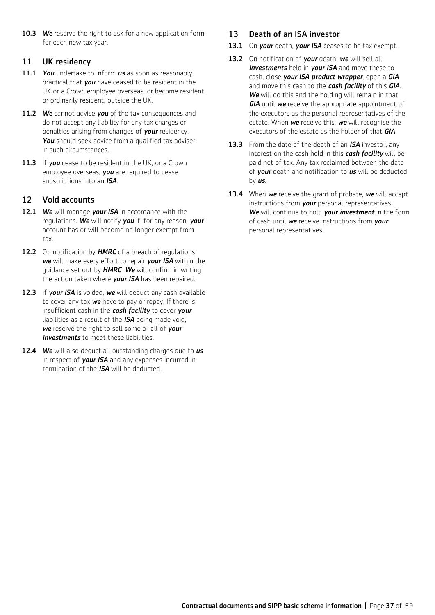10.3 We reserve the right to ask for a new application form for each new tax year.

## 11 UK residency

- 11.1 *You* undertake to inform *us* as soon as reasonably practical that *you* have ceased to be resident in the UK or a Crown employee overseas, or become resident, or ordinarily resident, outside the UK.
- 11.2 *We* cannot advise *you* of the tax consequences and do not accept any liability for any tax charges or penalties arising from changes of *your* residency. **You** should seek advice from a qualified tax adviser in such circumstances.
- 11.3 If *you* cease to be resident in the UK, or a Crown employee overseas, *you* are required to cease subscriptions into an *ISA*.

## 12 Void accounts

- 12.1 *We* will manage *your ISA* in accordance with the regulations. *We* will notify *you* if, for any reason, *your* account has or will become no longer exempt from tax.
- 12.2 On notification by **HMRC** of a breach of regulations, *we* will make every effort to repair *your ISA* within the guidance set out by *HMRC*. *We* will confirm in writing the action taken where *your ISA* has been repaired.
- 12.3 If *your ISA* is voided, *we* will deduct any cash available to cover any tax *we* have to pay or repay. If there is insufficient cash in the *cash facility* to cover *your* liabilities as a result of the *ISA* being made void, *we* reserve the right to sell some or all of *your investments* to meet these liabilities.
- 12.4 *We* will also deduct all outstanding charges due to *us* in respect of *your ISA* and any expenses incurred in termination of the *ISA* will be deducted.

## 13 Death of an ISA investor

- 13.1 On *your* death, *your ISA* ceases to be tax exempt.
- 13.2 On notification of *your* death, *we* will sell all *investments* held in *your ISA* and move these to cash, close *your ISA product wrapper*, open a *GIA* and move this cash to the *cash facility* of this *GIA*. *We* will do this and the holding will remain in that *GIA* until *we* receive the appropriate appointment of the executors as the personal representatives of the estate. When *we* receive this, *we* will recognise the executors of the estate as the holder of that *GIA*.
- 13.3 From the date of the death of an *ISA* investor, any interest on the cash held in this *cash facility* will be paid net of tax. Any tax reclaimed between the date of *your* death and notification to *us* will be deducted by *us*.
- 13.4 When *we* receive the grant of probate, *we* will accept instructions from *your* personal representatives. *We* will continue to hold *your investment* in the form of cash until *we* receive instructions from *your* personal representatives.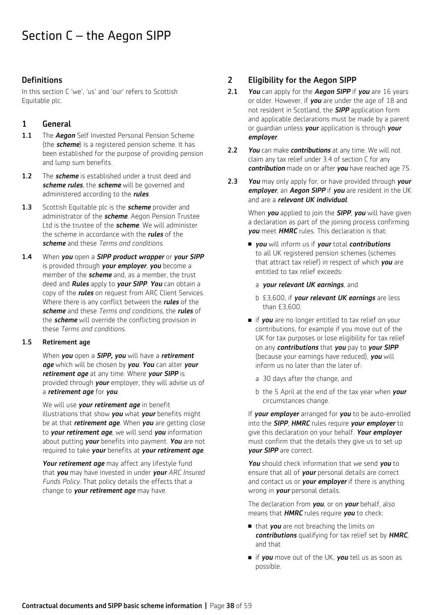## **Definitions**

In this section C 'we', 'us' and 'our' refers to Scottish Equitable plc.

## 1 General

- 1.1 The *Aegon* Self Invested Personal Pension Scheme (the *scheme*) is a registered pension scheme. It has been established for the purpose of providing pension and lump sum benefits.
- 1.2 The **scheme** is established under a trust deed and *scheme rules*, the *scheme* will be governed and administered according to the *rules*.
- 1.3 Scottish Equitable plc is the *scheme* provider and administrator of the *scheme*. Aegon Pension Trustee Ltd is the trustee of the *scheme*. We will administer the scheme in accordance with the *rules* of the *scheme* and these *Terms and conditions*.
- 1.4 When *you* open a *SIPP product wrapper* or *your SIPP*  is provided through *your employer*, *you* become a member of the *scheme* and, as a member, the trust deed and *Rules* apply to *your SIPP*. *You* can obtain a copy of the *rules* on request from ARC Client Services. Where there is any conflict between the *rules* of the *scheme* and these *Terms and conditions*, the *rules* of the *scheme* will override the conflicting provision in these *Terms and conditions.*

## 1.5 Retirement age

 When *you* open a *SIPP, you* will have a *retirement age* which will be chosen by *you*. *You* can alter *your retirement age* at any time. Where *your SIPP* is provided through *your* employer, they will advise us of a *retirement age* for *you*.

 We will use *your retirement age* in benefit illustrations that show *you* what *your* benefits might be at that *retirement age*. When *you* are getting close to *your retirement age*, we will send *you* information about putting *your* benefits into payment. *You* are not required to take *your* benefits at *your retirement age*.

*Your retirement age* may affect any lifestyle fund that *you* may have invested in under *your ARC Insured Funds Policy*. That policy details the effects that a change to *your retirement age* may have.

## 2 Eligibility for the Aegon SIPP

- 2.1 *You* can apply for the *Aegon SIPP* if *you* are 16 years or older. However, if *you* are under the age of 18 and not resident in Scotland, the *SIPP* application form and applicable declarations must be made by a parent or guardian unless *your* application is through *your employer*.
- 2.2 *You* can make *contributions* at any time. We will not claim any tax relief under 3.4 of section C for any *contribution* made on or after *you* have reached age 75.
- 2.3 *You* may only apply for, or have provided through *your employer*, an *Aegon SIPP* if *you* are resident in the UK and are a *relevant UK individual*.

 When *you* applied to join the *SIPP*, *you* will have given a declaration as part of the joining process confirming *you* meet *HMRC* rules. This declaration is that:

- <sup>n</sup> *you* will inform us if *your* total *contributions* to all UK registered pension schemes (schemes that attract tax relief) in respect of which *you* are entitled to tax relief exceeds:
	- a *your relevant UK earnings*, and
	- b £3,600, if *your relevant UK earnings* are less than £3,600.
- if *you* are no longer entitled to tax relief on your contributions, for example if you move out of the UK for tax purposes or lose eligibility for tax relief on any *contributions* that *you* pay to *your SIPP*  (because your earnings have reduced), *you* will inform us no later than the later of:
	- a 30 days after the change, and
	- b the 5 April at the end of the tax year when *your* circumstances change.

 If *your employer* arranged for *you* to be auto-enrolled into the *SIPP*, *HMRC* rules require *your employer* to give this declaration on your behalf. *Your employer*  must confirm that the details they give us to set up *your SIPP* are correct.

*You* should check information that we send *you* to ensure that all of *your* personal details are correct and contact us or *your employer* if there is anything wrong in *your* personal details.

 The declaration from *you*, or on *your* behalf, also means that *HMRC* rules require *you* to check:

- that *you* are not breaching the limits on *contributions* qualifying for tax relief set by *HMRC*, and that
- if *you* move out of the UK, *you* tell us as soon as possible.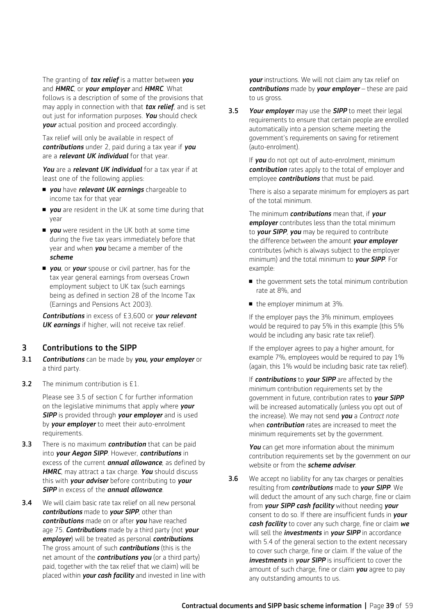The granting of *tax relief* is a matter between *you* and *HMRC*, or *your employer* and *HMRC*. What follows is a description of some of the provisions that may apply in connection with that *tax relief*, and is set out just for information purposes. *You* should check *your* actual position and proceed accordingly.

 Tax relief will only be available in respect of *contributions* under 2, paid during a tax year if *you* are a *relevant UK individual* for that year.

*You* are a *relevant UK individual* for a tax year if at least one of the following applies:

- *you* have *relevant UK earnings* chargeable to income tax for that year
- **p** you are resident in the UK at some time during that year
- **p** you were resident in the UK both at some time during the five tax years immediately before that year and when *you* became a member of the *scheme*
- **n** vou, or vour spouse or civil partner, has for the tax year general earnings from overseas Crown employment subject to UK tax (such earnings being as defined in section 28 of the Income Tax (Earnings and Pensions Act 2003).

*Contributions* in excess of £3,600 or *your relevant UK earnings* if higher, will not receive tax relief.

### 3 Contributions to the SIPP

- 3.1 *Contributions* can be made by *you, your employer* or a third party.
- **3.2** The minimum contribution is £1.

 Please see 3.5 of section C for further information on the legislative minimums that apply where *your SIPP* is provided through *your employer* and is used by *your employer* to meet their auto-enrolment requirements.

- 3.3 There is no maximum *contribution* that can be paid into *your Aegon SIPP*. However, *contributions* in excess of the current *annual allowance*, as defined by *HMRC*, may attract a tax charge. *You* should discuss this with *your adviser* before contributing to *your SIPP* in excess of the *annual allowance*.
- **3.4** We will claim basic rate tax relief on all new personal *contributions* made to *your SIPP*, other than *contributions* made on or after *you* have reached age 75. *Contributions* made by a third party (not *your employer*) will be treated as personal *contributions*. The gross amount of such *contributions* (this is the net amount of the *contributions you* (or a third party) paid, together with the tax relief that we claim) will be placed within *your cash facility* and invested in line with

*your* instructions. We will not claim any tax relief on *contributions* made by *your employer* – these are paid to us gross.

3.5 *Your employer* may use the *SIPP* to meet their legal requirements to ensure that certain people are enrolled automatically into a pension scheme meeting the government's requirements on saving for retirement (auto-enrolment).

> If *you* do not opt out of auto-enrolment, minimum *contribution* rates apply to the total of employer and employee *contributions* that must be paid.

 There is also a separate minimum for employers as part of the total minimum.

 The minimum *contributions* mean that, if *your employer* contributes less than the total minimum to *your SIPP*, *you* may be required to contribute the difference between the amount *your employer* contributes (which is always subject to the employer minimum) and the total minimum to *your SIPP*. For example:

- $\blacksquare$  the government sets the total minimum contribution rate at 8%, and
- $\blacksquare$  the employer minimum at 3%.

 If the employer pays the 3% minimum, employees would be required to pay 5% in this example (this 5% would be including any basic rate tax relief).

 If the employer agrees to pay a higher amount, for example 7%, employees would be required to pay 1% (again, this 1% would be including basic rate tax relief).

 If *contributions* to *your SIPP* are affected by the minimum contribution requirements set by the government in future, contribution rates to *your SIPP* will be increased automatically (unless you opt out of the increase). We may not send *you* a *Contract note* when *contribution* rates are increased to meet the minimum requirements set by the government.

*You* can get more information about the minimum contribution requirements set by the government on our website or from the *scheme adviser*.

**3.6** We accept no liability for any tax charges or penalties resulting from *contributions* made to *your SIPP*. We will deduct the amount of any such charge, fine or claim from *your SIPP cash facility* without needing *your* consent to do so. If there are insufficient funds in *your cash facility* to cover any such charge, fine or claim *we* will sell the *investments* in *your SIPP* in accordance with 5.4 of the general section to the extent necessary to cover such charge, fine or claim. If the value of the **investments** in **your SIPP** is insufficient to cover the amount of such charge, fine or claim *you* agree to pay any outstanding amounts to us.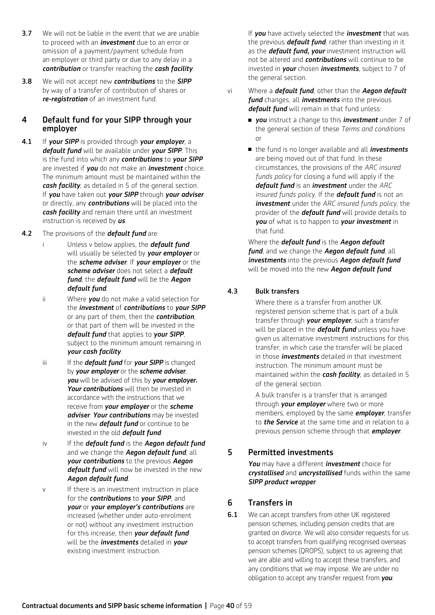- **3.7** We will not be liable in the event that we are unable to proceed with an *investment* due to an error or omission of a payment/payment schedule from an employer or third party or due to any delay in a *contribution* or transfer reaching the *cash facility*.
- 3.8 We will not accept new *contributions* to the *SIPP* by way of a transfer of contribution of shares or *re-registration* of an investment fund.

## 4 Default fund for your SIPP through your employer

- 4.1 If *your SIPP* is provided through *your employer*, a *default fund* will be available under *your SIPP*. This is the fund into which any *contributions* to *your SIPP*  are invested if *you* do not make an *investment* choice. The minimum amount must be maintained within the *cash facility*, as detailed in 5 of the general section. If *you* have taken out *your SIPP* through *your adviser*  or directly, any *contributions* will be placed into the *cash facility* and remain there until an investment instruction is received by *us*.
- 4.2 The provisions of the *default fund* are:
	- i Unless v below applies, the *default fund* will usually be selected by *your employer* or the *scheme adviser*. If *your employer* or the *scheme adviser* does not select a *default fund*, the *default fund* will be the *Aegon default fund*.
	- ii Where *you* do not make a valid selection for the *investment* of *contributions* to *your SIPP* or any part of them, then the *contribution*, or that part of them will be invested in the *default fund* that applies to *your SIPP*, subject to the minimum amount remaining in *your cash facility*.
	- iii If the *default fund* for **your SIPP** is changed by *your employer* or the *scheme adviser*, *you* will be advised of this by *your employer. Your contributions* will then be invested in accordance with the instructions that we receive from *your employer* or the *scheme adviser*. *Your contributions* may be invested in the new *default fund* or continue to be invested in the old *default fund*.
	- iv If the *default fund* is the *Aegon default fund*  and we change the *Aegon default fund*, all *your contributions* to the previous *Aegon default fund* will now be invested in the new *Aegon default fund*.
	- v If there is an investment instruction in place for the *contributions* to *your SIPP*, and *your* or *your employer's contributions* are increased (whether under auto-enrolment or not) without any investment instruction for this increase, then *your default fund* will be the *investments* detailed in *your* existing investment instruction.

If *you* have actively selected the *investment* that was the previous *default fund*, rather than investing in it as the *default fund, your* investment instruction will not be altered and *contributions* will continue to be invested in *your* chosen *investments*, subject to 7 of the general section.

- vi Where a *default fund*, other than the *Aegon default fund* changes, all *investments* into the previous *default fund* will remain in that fund unless:
	- <sup>n</sup> *you* instruct a change to this *investment* under 7 of the general section of these *Terms and conditions* or
	- the fund is no longer available and all *investments* are being moved out of that fund. In these circumstances, the provisions of the *ARC insured funds policy* for closing a fund will apply if the *default fund* is an *investment* under the *ARC insured funds policy*. If the *default fund* is not an *investment* under the *ARC insured funds policy*, the provider of the *default fund* will provide details to *you* of what is to happen to *your investment* in that fund.

Where the *default fund* is the *Aegon default fund*, and we change the *Aegon default fund*, all *investments* into the previous *Aegon default fund* will be moved into the new *Aegon default fund*.

## 4.3 Bulk transfers

 Where there is a transfer from another UK registered pension scheme that is part of a bulk transfer through *your employer*, such a transfer will be placed in the *default fund* unless you have given us alternative investment instructions for this transfer, in which case the transfer will be placed in those *investments* detailed in that investment instruction. The minimum amount must be maintained within the *cash facility*, as detailed in 5 of the general section.

 A bulk transfer is a transfer that is arranged through *your employer* where two or more members, employed by the same *employer*, transfer to *the Service* at the same time and in relation to a previous pension scheme through that *employer*.

## 5 Permitted investments

*You* may have a different *investment* choice for *crystallised* and *uncrystallised* funds within the same *SIPP product wrapper*.

## 6 Transfers in

**6.1** We can accept transfers from other UK registered pension schemes, including pension credits that are granted on divorce. We will also consider requests for us to accept transfers from qualifying recognised overseas pension schemes (QROPS), subject to us agreeing that we are able and willing to accept these transfers, and any conditions that we may impose. We are under no obligation to accept any transfer request from *you*.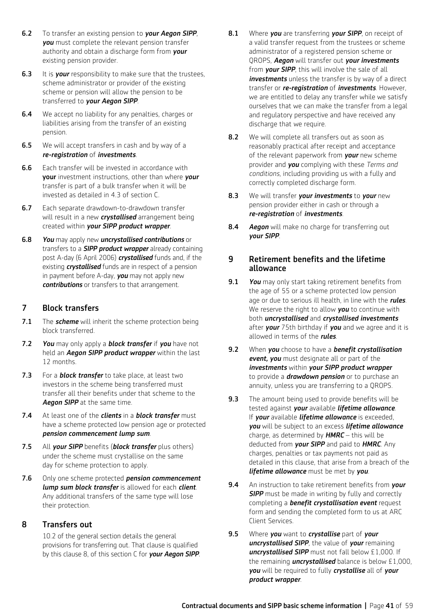- 6.2 To transfer an existing pension to *your Aegon SIPP*, *you* must complete the relevant pension transfer authority and obtain a discharge form from *your* existing pension provider.
- **6.3** It is *your* responsibility to make sure that the trustees. scheme administrator or provider of the existing scheme or pension will allow the pension to be transferred to *your Aegon SIPP*.
- **6.4** We accept no liability for any penalties, charges or liabilities arising from the transfer of an existing pension.
- **6.5** We will accept transfers in cash and by way of a *re-registration* of *investments*.
- **6.6** Each transfer will be invested in accordance with your investment instructions, other than where *your* transfer is part of a bulk transfer when it will be invested as detailed in 4.3 of section C.
- 6.7 Each separate drawdown-to-drawdown transfer will result in a new *crystallised* arrangement being created within *your SIPP product wrapper*.
- 6.8 *You* may apply new *uncrystallised contributions* or transfers to a *SIPP product wrapper* already containing post A-day (6 April 2006) *crystallised* funds and, if the existing *crystallised* funds are in respect of a pension in payment before A-day, *you* may not apply new *contributions* or transfers to that arrangement.

## 7 Block transfers

- 7.1 The **scheme** will inherit the scheme protection being block transferred.
- 7.2 *You* may only apply a *block transfer* if *you* have not held an *Aegon SIPP product wrapper* within the last 12 months.
- 7.3 For a *block transfer* to take place, at least two investors in the scheme being transferred must transfer all their benefits under that scheme to the *Aegon SIPP* at the same time.
- 7.4 At least one of the *clients* in a *block transfer* must have a scheme protected low pension age or protected *pension commencement lump sum*.
- 7.5 All *your SIPP* benefits (*block transfer* plus others) under the scheme must crystallise on the same day for scheme protection to apply.
- 7.6 Only one scheme protected *pension commencement lump sum block transfer* is allowed for each *client*. Any additional transfers of the same type will lose their protection.

## 8 Transfers out

 10.2 of the general section details the general provisions for transferring out. That clause is qualified by this clause 8, of this section C for *your Aegon SIPP*.

- 8.1 Where *you* are transferring *your SIPP*, on receipt of a valid transfer request from the trustees or scheme administrator of a registered pension scheme or QROPS, *Aegon* will transfer out *your investments* from *your SIPP*, this will involve the sale of all *investments* unless the transfer is by way of a direct transfer or *re-registration* of *investments*. However, we are entitled to delay any transfer while we satisfy ourselves that we can make the transfer from a legal and regulatory perspective and have received any discharge that we require.
- 8.2 We will complete all transfers out as soon as reasonably practical after receipt and acceptance of the relevant paperwork from *your* new scheme provider and *you* complying with these *Terms and conditions*, including providing us with a fully and correctly completed discharge form.
- 8.3 We will transfer *your investments* to *your* new pension provider either in cash or through a *re-registration* of *investments*.
- 8.4 *Aegon* will make no charge for transferring out *your SIPP*.

## 9 Retirement benefits and the lifetime allowance

- 9.1 *You* may only start taking retirement benefits from the age of 55 or a scheme protected low pension age or due to serious ill health, in line with the *rules*. We reserve the right to allow *you* to continue with both *uncrystallised* and *crystallised investments* after *your* 75th birthday if *you* and we agree and it is allowed in terms of the *rules*.
- 9.2 When *you* choose to have a *benefit crystallisation event, you* must designate all or part of the *investments* within *your SIPP product wrapper*  to provide a *drawdown pension* or to purchase an annuity, unless you are transferring to a QROPS.
- 9.3 The amount being used to provide benefits will be tested against *your* available *lifetime allowance*. If *your* available *lifetime allowance* is exceeded, *you* will be subject to an excess *lifetime allowance* charge, as determined by *HMRC* – this will be deducted from *your SIPP* and paid to *HMRC*. Any charges, penalties or tax payments not paid as detailed in this clause, that arise from a breach of the *lifetime allowance* must be met by *you*.
- 9.4 An instruction to take retirement benefits from *your*  **SIPP** must be made in writing by fully and correctly completing a *benefit crystallisation event* request form and sending the completed form to us at ARC Client Services.
- 9.5 Where *you* want to *crystallise* part of *your uncrystallised SIPP*, the value of *your* remaining *uncrystallised SIPP* must not fall below £1,000. If the remaining *uncrystallised* balance is below £1,000, *you* will be required to fully *crystallise* all of *your product wrapper*.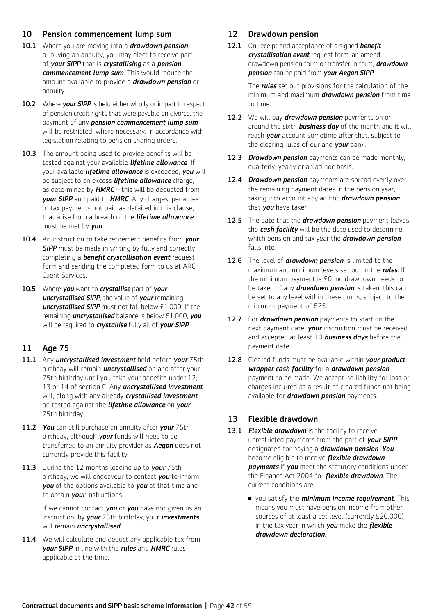## 10 Pension commencement lump sum

- 10.1 Where you are moving into a *drawdown pension* or buying an annuity, you may elect to receive part of *your SIPP* that is *crystallising* as a *pension commencement lump sum*. This would reduce the amount available to provide a *drawdown pension* or annuity.
- 10.2 Where *your SIPP* is held either wholly or in part in respect of pension credit rights that were payable on divorce, the payment of any *pension commencement lump sum* will be restricted, where necessary, in accordance with legislation relating to pension sharing orders.
- 10.3 The amount being used to provide benefits will be tested against your available *lifetime allowance*. If your available *lifetime allowance* is exceeded, *you* will be subject to an excess *lifetime allowance* charge, as determined by *HMRC* – this will be deducted from *your SIPP* and paid to *HMRC*. Any charges, penalties or tax payments not paid as detailed in this clause, that arise from a breach of the *lifetime allowance*  must be met by *you*.
- 10.4 An instruction to take retirement benefits from *your*  **SIPP** must be made in writing by fully and correctly completing a *benefit crystallisation event* request form and sending the completed form to us at ARC Client Services.
- 10.5 Where *you* want to *crystallise* part of *your uncrystallised SIPP*, the value of *your* remaining *uncrystallised SIPP* must not fall below £1,000. If the remaining *uncrystallised* balance is below £1,000, *you* will be required to *crystallise* fully all of *your SIPP*.

## 11 Age 75

- 11.1 Any *uncrystallised investment* held before *your* 75th birthday will remain *uncrystallised* on and after your 75th birthday until you take your benefits under 12, 13 or 14 of section C. Any *uncrystallised investment* will, along with any already *crystallised investment*, be tested against the *lifetime allowance* on *your* 75th birthday.
- 11.2 *You* can still purchase an annuity after *your* 75th birthday, although *your* funds will need to be transferred to an annuity provider as *Aegon* does not currently provide this facility.
- 11.3 During the 12 months leading up to *your* 75th birthday, we will endeavour to contact *you* to inform *you* of the options available to *you* at that time and to obtain *your* instructions.

 If we cannot contact *you* or *you* have not given us an instruction, by *your* 75th birthday, your *investments* will remain *uncrystallised*.

11.4 We will calculate and deduct any applicable tax from *your SIPP* in line with the *rules* and *HMRC* rules applicable at the time.

## 12 Drawdown pension

12.1 On receipt and acceptance of a signed *benefit crystallisation event* request form, an amend drawdown pension form or transfer in form, *drawdown pension* can be paid from *your Aegon SIPP*.

> The *rules* set out provisions for the calculation of the minimum and maximum *drawdown pension* from time to time.

- 12.2 We will pay *drawdown pension* payments on or around the sixth *business day* of the month and it will reach *your* account sometime after that, subject to the clearing rules of our and *your* bank.
- 12.3 *Drawdown pension* payments can be made monthly, quarterly, yearly or an ad hoc basis.
- 12.4 *Drawdown pension* payments are spread evenly over the remaining payment dates in the pension year, taking into account any ad hoc *drawdown pension* that *you* have taken.
- 12.5 The date that the *drawdown pension* payment leaves the *cash facility* will be the date used to determine which pension and tax year the *drawdown pension* falls into.
- 12.6 The level of *drawdown pension* is limited to the maximum and minimum levels set out in the *rules*. If the minimum payment is £0, no drawdown needs to be taken. If any *drawdown pension* is taken, this can be set to any level within these limits, subject to the minimum payment of £25.
- 12.7 For **drawdown pension** payments to start on the next payment date, *your* instruction must be received and accepted at least 10 *business days* before the payment date.
- 12.8 Cleared funds must be available within *your product wrapper cash facility* for a *drawdown pension* payment to be made. We accept no liability for loss or charges incurred as a result of cleared funds not being available for *drawdown pension* payments.

## 13 Flexible drawdown

- 13.1 *Flexible drawdown* is the facility to receive unrestricted payments from the part of *your SIPP* designated for paying a *drawdown pension*. *You* become eligible to receive *flexible drawdown payments* if *you* meet the statutory conditions under the Finance Act 2004 for *flexible drawdown*. The current conditions are:
	- <sup>n</sup> you satisfy the *minimum income requirement*. This means you must have pension income from other sources of at least a set level (currently £20,000) in the tax year in which *you* make the *flexible drawdown declaration*.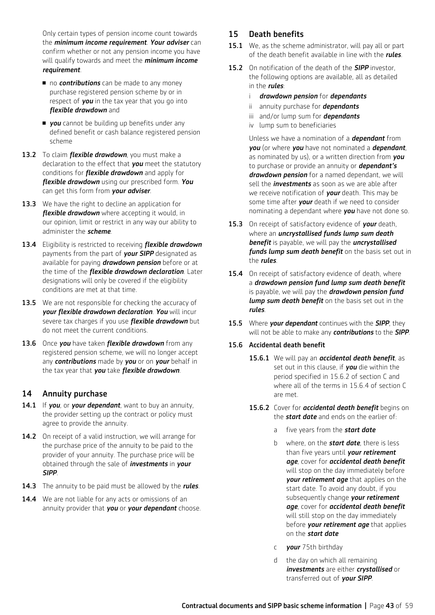Only certain types of pension income count towards the *minimum income requirement*. *Your adviser* can confirm whether or not any pension income you have will qualify towards and meet the *minimum income requirement*.

- no **contributions** can be made to any money purchase registered pension scheme by or in respect of *you* in the tax year that you go into *flexible drawdown* and
- **p** you cannot be building up benefits under any defined benefit or cash balance registered pension scheme
- 13.2 To claim *flexible drawdown*, you must make a declaration to the effect that *you* meet the statutory conditions for *flexible drawdown* and apply for *flexible drawdown* using our prescribed form. *You* can get this form from *your adviser*.
- 13.3 We have the right to decline an application for *flexible drawdown* where accepting it would, in our opinion, limit or restrict in any way our ability to administer the *scheme*.
- 13.4 Eligibility is restricted to receiving *flexible drawdown*  payments from the part of *your SIPP* designated as available for paying *drawdown pension* before or at the time of the *flexible drawdown declaration*. Later designations will only be covered if the eligibility conditions are met at that time.
- **13.5** We are not responsible for checking the accuracy of *your flexible drawdown declaration*. *You* will incur severe tax charges if you use *flexible drawdown* but do not meet the current conditions.
- 13.6 Once *you* have taken *flexible drawdown* from any registered pension scheme, we will no longer accept any *contributions* made by *you* or on *your* behalf in the tax year that *you* take *flexible drawdown*.

## 14 Annuity purchase

- 14.1 If *you*, or *your dependant*, want to buy an annuity, the provider setting up the contract or policy must agree to provide the annuity.
- 14.2 On receipt of a valid instruction, we will arrange for the purchase price of the annuity to be paid to the provider of your annuity. The purchase price will be obtained through the sale of *investments* in *your SIPP*.
- 14.3 The annuity to be paid must be allowed by the *rules*.
- 14.4 We are not liable for any acts or omissions of an annuity provider that *you* or *your dependant* choose.

## 15 Death benefits

- 15.1 We, as the scheme administrator, will pay all or part of the death benefit available in line with the *rules*.
- 15.2 On notification of the death of the *SIPP* investor, the following options are available, all as detailed in the *rules*:
	- i *drawdown pension* for *dependants*
	- ii annuity purchase for *dependants*
	- iii and/or lump sum for *dependants*
	- iv lump sum to beneficiaries

 Unless we have a nomination of a *dependant* from *you* (or where *you* have not nominated a *dependant*, as nominated by us), or a written direction from *you* to purchase or provide an annuity or *dependant's drawdown pension* for a named dependant, we will sell the *investments* as soon as we are able after we receive notification of *your* death. This may be some time after *your* death if we need to consider nominating a dependant where *you* have not done so.

- 15.3 On receipt of satisfactory evidence of *your* death, where an *uncrystallised funds lump sum death benefit* is payable, we will pay the *uncrystallised funds lump sum death benefit* on the basis set out in the *rules*.
- 15.4 On receipt of satisfactory evidence of death, where a *drawdown pension fund lump sum death benefit* is payable, we will pay the *drawdown pension fund lump sum death benefit* on the basis set out in the *rules*.
- 15.5 Where *your dependant* continues with the *SIPP*, they will not be able to make any *contributions* to the *SIPP*.

### 15.6 Accidental death benefit

- 15.6.1 We will pay an *accidental death benefit*, as set out in this clause, if *you* die within the period specified in 15.6.2 of section C and where all of the terms in 15.6.4 of section C are met.
- 15.6.2 Cover for *accidental death benefit* begins on the *start date* and ends on the earlier of:
	- a five years from the *start date*
	- b where, on the *start date*, there is less than five years until *your retirement age*, cover for *accidental death benefit*  will stop on the day immediately before *your retirement age* that applies on the start date. To avoid any doubt, if you subsequently change *your retirement age*, cover for *accidental death benefit*  will still stop on the day immediately before *your retirement age* that applies on the *start date*
	- c *your* 75th birthday
	- d the day on which all remaining *investments* are either *crystallised* or transferred out of *your SIPP*.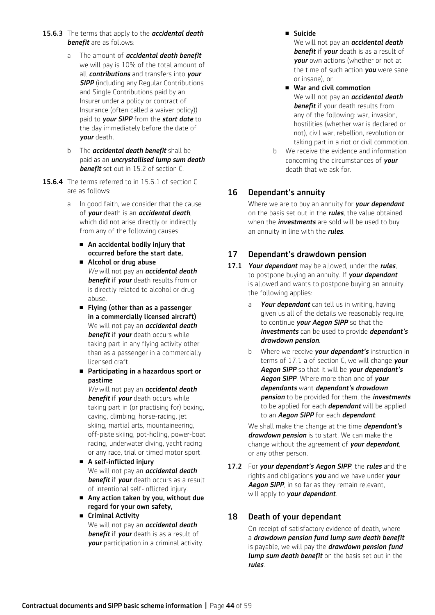- 15.6.3 The terms that apply to the *accidental death benefit* are as follows:
	- a The amount of *accidental death benefit*  we will pay is 10% of the total amount of all *contributions* and transfers into *your*  **SIPP** (including any Regular Contributions and Single Contributions paid by an Insurer under a policy or contract of Insurance (often called a waiver policy)) paid to *your SIPP* from the *start date* to the day immediately before the date of *your* death.
	- b The *accidental death benefit* shall be paid as an *uncrystallised lump sum death benefit* set out in 15.2 of section C.
- 15.6.4 The terms referred to in 15.6.1 of section C are as follows:
	- a In good faith, we consider that the cause of *your* death is an *accidental death*, which did not arise directly or indirectly from any of the following causes:
		- $\blacksquare$  An accidental bodily injury that occurred before the start date,
		- Alcohol or drug abuse *We* will not pay an *accidental death benefit* if *your* death results from or is directly related to alcohol or drug abuse.
		- Flying (other than as a passenger in a commercially licensed aircraft) We will not pay an *accidental death benefit* if *your* death occurs while taking part in any flying activity other than as a passenger in a commercially licensed craft,
		- Participating in a hazardous sport or pastime *We* will not pay an *accidental death*

*benefit* if *your* death occurs while taking part in (or practising for) boxing, caving, climbing, horse-racing, jet skiing, martial arts, mountaineering, off-piste skiing, pot-holing, power-boat racing, underwater diving, yacht racing or any race, trial or timed motor sport.

- $\blacksquare$  A self-inflicted injury We will not pay an *accidental death benefit* if *your* death occurs as a result of intentional self-inflicted injury.
- $\blacksquare$  Any action taken by you, without due regard for your own safety,
- Criminal Activity We will not pay an *accidental death benefit* if *your* death is as a result of *your* participation in a criminal activity.

<sup>n</sup> Suicide

 We will not pay an *accidental death benefit* if *your* death is as a result of *your* own actions (whether or not at the time of such action *you* were sane or insane), or

- $\blacksquare$  War and civil commotion We will not pay an *accidental death benefit* if your death results from any of the following: war, invasion, hostilities (whether war is declared or not), civil war, rebellion, revolution or taking part in a riot or civil commotion.
- b We receive the evidence and information concerning the circumstances of *your* death that we ask for.

## 16 Dependant's annuity

 Where we are to buy an annuity for *your dependant* on the basis set out in the *rules*, the value obtained when the *investments* are sold will be used to buy an annuity in line with the *rules*.

## 17 Dependant's drawdown pension

- 17.1 *Your dependant* may be allowed, under the *rules*, to postpone buying an annuity. If *your dependant* is allowed and wants to postpone buying an annuity, the following applies:
	- a *Your dependant* can tell us in writing, having given us all of the details we reasonably require, to continue *your Aegon SIPP* so that the *investments* can be used to provide *dependant's drawdown pension*.
	- b Where we receive *your dependant's* instruction in terms of 17.1 a of section C, we will change *your Aegon SIPP* so that it will be *your dependant's Aegon SIPP*. Where more than one of *your dependants* want *dependant's drawdown pension* to be provided for them, the *investments* to be applied for each *dependant* will be applied to an *Aegon SIPP* for each *dependant*.

 We shall make the change at the time *dependant's drawdown pension* is to start. We can make the change without the agreement of *your dependant*, or any other person.

17.2 For *your dependant's Aegon SIPP*, the *rules* and the rights and obligations *you* and we have under *your Aegon SIPP*, in so far as they remain relevant, will apply to *your dependant*.

## 18 Death of your dependant

 On receipt of satisfactory evidence of death, where a *drawdown pension fund lump sum death benefit* is payable, we will pay the *drawdown pension fund lump sum death benefit* on the basis set out in the *rules*.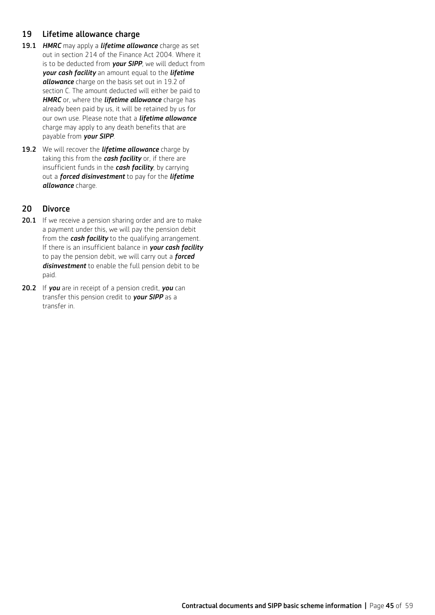## 19 Lifetime allowance charge

- 19.1 *HMRC* may apply a *lifetime allowance* charge as set out in section 214 of the Finance Act 2004. Where it is to be deducted from *your SIPP*, we will deduct from *your cash facility* an amount equal to the *lifetime allowance* charge on the basis set out in 19.2 of section C. The amount deducted will either be paid to *HMRC* or, where the *lifetime allowance* charge has already been paid by us, it will be retained by us for our own use. Please note that a *lifetime allowance*  charge may apply to any death benefits that are payable from *your SIPP*.
- 19.2 We will recover the *lifetime allowance* charge by taking this from the *cash facility* or, if there are insufficient funds in the *cash facility*, by carrying out a *forced disinvestment* to pay for the *lifetime allowance* charge.

## 20 Divorce

- 20.1 If we receive a pension sharing order and are to make a payment under this, we will pay the pension debit from the *cash facility* to the qualifying arrangement. If there is an insufficient balance in *your cash facility* to pay the pension debit, we will carry out a *forced disinvestment* to enable the full pension debit to be paid.
- 20.2 If *you* are in receipt of a pension credit, *you* can transfer this pension credit to *your SIPP* as a transfer in.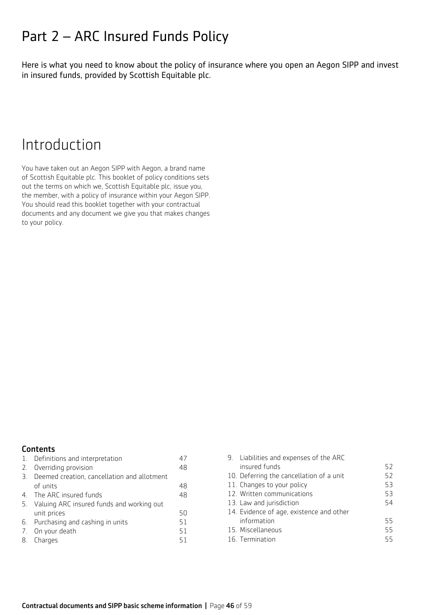## Part 2 – ARC Insured Funds Policy

Here is what you need to know about the policy of insurance where you open an Aegon SIPP and invest in insured funds, provided by Scottish Equitable plc.

## Introduction

You have taken out an Aegon SIPP with Aegon, a brand name of Scottish Equitable plc. This booklet of policy conditions sets out the terms on which we, Scottish Equitable plc, issue you, the member, with a policy of insurance within your Aegon SIPP. You should read this booklet together with your contractual documents and any document we give you that makes changes to your policy.

## **Contents**

| 1. Definitions and interpretation           | 47 |
|---------------------------------------------|----|
| 2. Overriding provision                     | 48 |
| Deemed creation, cancellation and allotment |    |
| of units                                    | 48 |
| 4. The ARC insured funds                    | 48 |
| Valuing ARC insured funds and working out   |    |
| unit prices                                 | 50 |
| 6. Purchasing and cashing in units          | 51 |
| 7. On your death                            | 51 |
| 8. Charges                                  | 51 |
|                                             |    |

| 9. Liabilities and expenses of the ARC   |    |
|------------------------------------------|----|
| insured funds                            | 52 |
| 10. Deferring the cancellation of a unit | 52 |
| 11. Changes to your policy               | 53 |
| 12. Written communications               | 53 |
| 13. Law and jurisdiction                 | 54 |
| 14. Evidence of age, existence and other |    |
| information                              | 55 |
| 15. Miscellaneous                        | 55 |
| 16. Termination                          | 55 |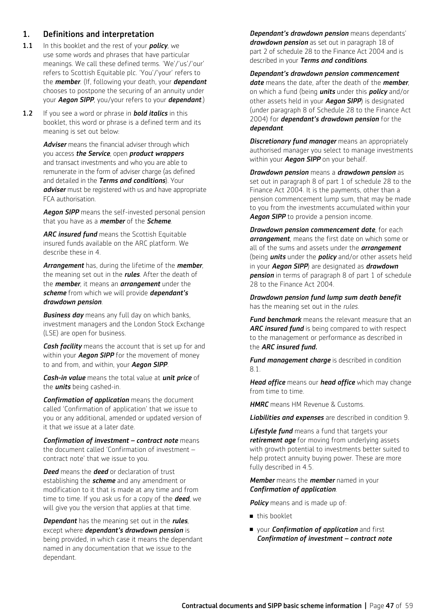## 1. Definitions and interpretation

- 1.1 In this booklet and the rest of your *policy*, we use some words and phrases that have particular meanings. We call these defined terms. 'We'/'us'/'our' refers to Scottish Equitable plc. 'You'/'your' refers to the *member*. (If, following your death, your *dependant* chooses to postpone the securing of an annuity under your *Aegon SIPP*, you/your refers to your *dependant*.)
- 1.2 If you see a word or phrase in *bold italics* in this booklet, this word or phrase is a defined term and its meaning is set out below:

*Adviser* means the financial adviser through which you access *the Service*, open *product wrappers* and transact investments and who you are able to remunerate in the form of adviser charge (as defined and detailed in the *Terms and conditions*). Your *adviser* must be registered with us and have appropriate FCA authorisation.

*Aegon SIPP* means the self-invested personal pension that you have as a *member* of the *Scheme*.

*ARC insured fund* means the Scottish Equitable insured funds available on the ARC platform. We describe these in 4.

*Arrangement* has, during the lifetime of the *member*, the meaning set out in the *rules*. After the death of the *member*, it means an *arrangement* under the *scheme* from which we will provide *dependant's drawdown pension*.

*Business day* means any full day on which banks, investment managers and the London Stock Exchange (LSE) are open for business.

*Cash facility* means the account that is set up for and within your *Aegon SIPP* for the movement of money to and from, and within, your *Aegon SIPP*.

*Cash-in value* means the total value at *unit price* of the *units* being cashed-in.

*Confirmation of application* means the document called 'Confirmation of application' that we issue to you or any additional, amended or updated version of it that we issue at a later date.

*Confirmation of investment – contract note* means the document called 'Confirmation of investment – contract note' that we issue to you.

*Deed* means the *deed* or declaration of trust establishing the *scheme* and any amendment or modification to it that is made at any time and from time to time. If you ask us for a copy of the *deed*, we will give you the version that applies at that time.

*Dependant* has the meaning set out in the *rules*, except where *dependant's drawdown pension* is being provided, in which case it means the dependant named in any documentation that we issue to the dependant.

 *Dependant's drawdown pension* means dependants' *drawdown pension* as set out in paragraph 18 of part 2 of schedule 28 to the Finance Act 2004 and is described in your *Terms and conditions*.

#### *Dependant's drawdown pension commencement*

*date* means the date, after the death of the *member*, on which a fund (being *units* under this *policy* and/or other assets held in your *Aegon SIPP*) is designated (under paragraph 8 of Schedule 28 to the Finance Act 2004) for *dependant's drawdown pension* for the *dependant*.

 *Discretionary fund manager* means an appropriately authorised manager you select to manage investments within your *Aegon SIPP* on your behalf.

*Drawdown pension* means a *drawdown pension* as set out in paragraph 8 of part 1 of schedule 28 to the Finance Act 2004. It is the payments, other than a pension commencement lump sum, that may be made to you from the investments accumulated within your *Aegon SIPP* to provide a pension income.

*Drawdown pension commencement date*, for each *arrangement*, means the first date on which some or all of the sums and assets under the *arrangement* (being *units* under the *policy* and/or other assets held in your *Aegon SIPP*) are designated as *drawdown pension* in terms of paragraph 8 of part 1 of schedule 28 to the Finance Act 2004.

*Drawdown pension fund lump sum death benefit*  has the meaning set out in the *rules*.

 *Fund benchmark* means the relevant measure that an *ARC insured fund* is being compared to with respect to the management or performance as described in the *ARC insured fund.*

*Fund management charge* is described in condition 8.1.

*Head office* means our *head office* which may change from time to time.

*HMRC* means HM Revenue & Customs.

*Liabilities and expenses* are described in condition 9.

*Lifestyle fund* means a fund that targets your *retirement age* for moving from underlying assets with growth potential to investments better suited to help protect annuity buying power. These are more fully described in 4.5.

#### *Member* means the *member* named in your *Confirmation of application*.

**Policy** means and is made up of:

- $\blacksquare$  this booklet
- <sup>n</sup> your *Confirmation of application* and first *Confirmation of investment – contract note*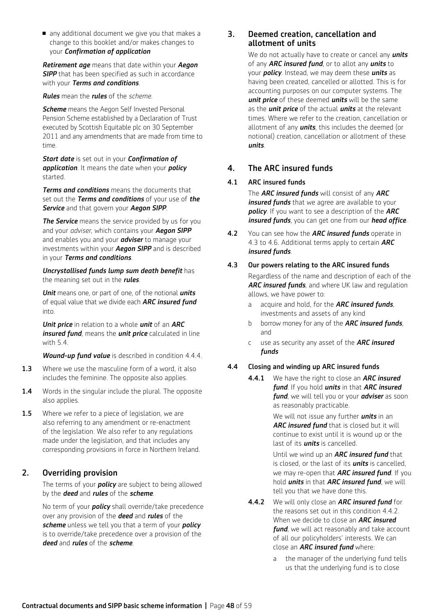n any additional document we give you that makes a change to this booklet and/or makes changes to your *Confirmation of application*

*Retirement age* means that date within your *Aegon*  **SIPP** that has been specified as such in accordance with your *Terms and conditions*.

#### *Rules* mean the *rules* of the *scheme.*

**Scheme** means the Aegon Self Invested Personal Pension Scheme established by a Declaration of Trust executed by Scottish Equitable plc on 30 September 2011 and any amendments that are made from time to time.

*Start date* is set out in your *Confirmation of application*. It means the date when your *policy* started.

*Terms and conditions* means the documents that set out the *Terms and conditions* of your use of *the Service* and that govern your *Aegon SIPP*.

**The Service** means the service provided by us for you and your *adviser*, which contains your *Aegon SIPP*  and enables you and your *adviser* to manage your investments within your *Aegon SIPP* and is described in your *Terms and conditions*.

*Uncrystallised funds lump sum death benefit* has the meaning set out in the *rules*.

*Unit* means one, or part of one, of the notional *units* of equal value that we divide each *ARC insured fund*  into.

*Unit price* in relation to a whole *unit* of an *ARC insured fund*, means the *unit price* calculated in line with 5.4.

*Wound-up fund value* is described in condition 4.4.4.

- **1.3** Where we use the masculine form of a word, it also includes the feminine. The opposite also applies.
- 1.4 Words in the singular include the plural. The opposite also applies.
- 1.5 Where we refer to a piece of legislation, we are also referring to any amendment or re-enactment of the legislation. We also refer to any regulations made under the legislation, and that includes any corresponding provisions in force in Northern Ireland.

## 2. Overriding provision

The terms of your *policy* are subject to being allowed by the *deed* and *rules* of the *scheme*.

No term of your *policy* shall override/take precedence over any provision of the *deed* and *rules* of the *scheme* unless we tell you that a term of your *policy* is to override/take precedence over a provision of the *deed* and *rules* of the *scheme*.

### 3. Deemed creation, cancellation and allotment of units

We do not actually have to create or cancel any *units* of any *ARC insured fund*, or to allot any *units* to your *policy*. Instead, we may deem these *units* as having been created, cancelled or allotted. This is for accounting purposes on our computer systems. The *unit price* of these deemed *units* will be the same as the *unit price* of the actual *units* at the relevant times. Where we refer to the creation, cancellation or allotment of any *units*, this includes the deemed (or notional) creation, cancellation or allotment of these *units*.

## 4. The ARC insured funds

#### 4.1 ARC insured funds

 The *ARC insured funds* will consist of any *ARC insured funds* that we agree are available to your *policy*. If you want to see a description of the *ARC insured funds*, you can get one from our *head office*.

4.2 You can see how the *ARC insured funds* operate in 4.3 to 4.6. Additional terms apply to certain *ARC insured funds*.

#### 4.3 Our powers relating to the ARC insured funds

 Regardless of the name and description of each of the *ARC insured funds*, and where UK law and regulation allows, we have power to:

- a acquire and hold, for the *ARC insured funds*, investments and assets of any kind
- b borrow money for any of the *ARC insured funds*, and
- c use as security any asset of the *ARC insured funds*

### 4.4 Closing and winding up ARC insured funds

4.4.1 We have the right to close an *ARC insured fund*. If you hold *units* in that *ARC insured fund*, we will tell you or your *adviser* as soon as reasonably practicable.

> We will not issue any further *units* in an *ARC insured fund* that is closed but it will continue to exist until it is wound up or the last of its *units* is cancelled.

 Until we wind up an *ARC insured fund* that is closed, or the last of its *units* is cancelled, we may re-open that *ARC insured fund*. If you hold *units* in that *ARC insured fund*, we will tell you that we have done this.

- 4.4.2 We will only close an *ARC insured fund* for the reasons set out in this condition 4.4.2. When we decide to close an *ARC insured fund*, we will act reasonably and take account of all our policyholders' interests. We can close an *ARC insured fund* where:
	- a the manager of the underlying fund tells us that the underlying fund is to close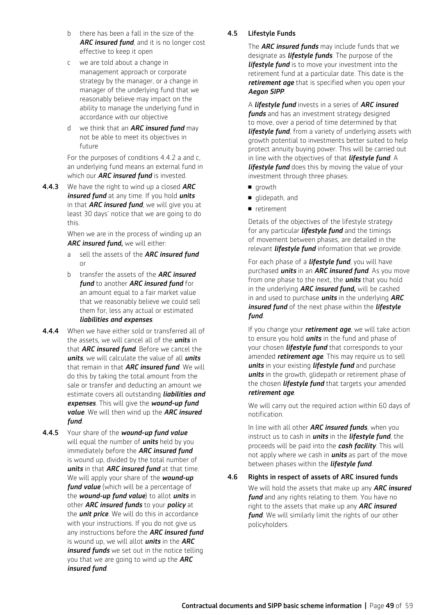- b there has been a fall in the size of the *ARC insured fund*, and it is no longer cost effective to keep it open
- c we are told about a change in management approach or corporate strategy by the manager, or a change in manager of the underlying fund that we reasonably believe may impact on the ability to manage the underlying fund in accordance with our objective
- d we think that an *ARC insured fund* may not be able to meet its objectives in future

 For the purposes of conditions 4.4.2 a and c, an underlying fund means an external fund in which our *ARC insured fund* is invested.

4.4.3 We have the right to wind up a closed *ARC insured fund* at any time. If you hold *units* in that *ARC insured fund*, we will give you at least 30 days' notice that we are going to do this.

> When we are in the process of winding up an *ARC insured fund,* we will either:

- a sell the assets of the *ARC insured fund* or
- b transfer the assets of the *ARC insured fund* to another *ARC insured fund* for an amount equal to a fair market value that we reasonably believe we could sell them for, less any actual or estimated *liabilities and expenses*.
- 4.4.4 When we have either sold or transferred all of the assets, we will cancel all of the *units* in that *ARC insured fund*. Before we cancel the *units*, we will calculate the value of all *units* that remain in that *ARC insured fund*. We will do this by taking the total amount from the sale or transfer and deducting an amount we estimate covers all outstanding *liabilities and expenses*. This will give the *wound-up fund value*. We will then wind up the *ARC insured fund*.
- 4.4.5 Your share of the *wound-up fund value* will equal the number of *units* held by you immediately before the *ARC insured fund* is wound up, divided by the total number of *units* in that *ARC insured fund* at that time. We will apply your share of the *wound-up fund value* (which will be a percentage of the *wound-up fund value*) to allot *units* in other *ARC insured funds* to your *policy* at the *unit price*. We will do this in accordance with your instructions. If you do not give us any instructions before the *ARC insured fund* is wound up, we will allot *units* in the *ARC insured funds* we set out in the notice telling you that we are going to wind up the *ARC insured fund*.

## 4.5 Lifestyle Funds

 The *ARC insured funds* may include funds that we designate as *lifestyle funds*. The purpose of the *lifestyle fund* is to move your investment into the retirement fund at a particular date. This date is the *retirement age* that is specified when you open your *Aegon SIPP*.

 A *lifestyle fund* invests in a series of *ARC insured funds* and has an investment strategy designed to move, over a period of time determined by that *lifestyle fund*, from a variety of underlying assets with growth potential to investments better suited to help protect annuity buying power. This will be carried out in line with the objectives of that *lifestyle fund*. A *lifestyle fund* does this by moving the value of your investment through three phases:

- **n** growth
- qlidepath, and
- n retirement

 Details of the objectives of the lifestyle strategy for any particular *lifestyle fund* and the timings of movement between phases, are detailed in the relevant *lifestyle fund* information that we provide.

 For each phase of a *lifestyle fund*, you will have purchased *units* in an *ARC insured fund*. As you move from one phase to the next, the *units* that you hold in the underlying *ARC insured fund,* will be cashed in and used to purchase *units* in the underlying *ARC insured fund* of the next phase within the *lifestyle fund*.

 If you change your *retirement age*, we will take action to ensure you hold *units* in the fund and phase of your chosen *lifestyle fund* that corresponds to your amended *retirement age*. This may require us to sell *units* in your existing *lifestyle fund* and purchase *units* in the growth, glidepath or retirement phase of the chosen *lifestyle fund* that targets your amended *retirement age*.

 We will carry out the required action within 60 days of notification.

 In line with all other *ARC insured funds*, when you instruct us to cash in *units* in the *lifestyle fund*, the proceeds will be paid into the *cash facility*. This will not apply where we cash in *units* as part of the move between phases within the *lifestyle fund*.

4.6 Rights in respect of assets of ARC insured funds

 We will hold the assets that make up any *ARC insured fund* and any rights relating to them. You have no right to the assets that make up any *ARC insured fund*. We will similarly limit the rights of our other policyholders.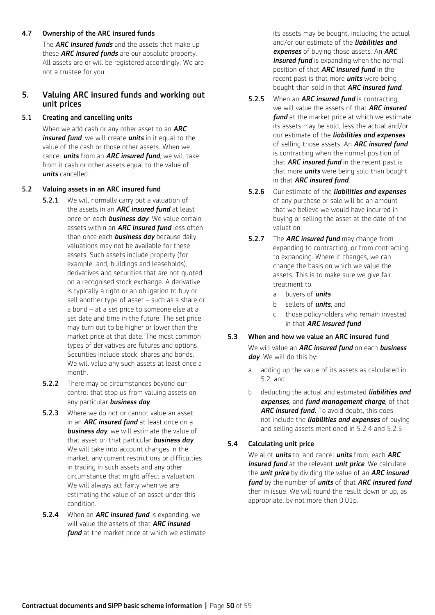### 4.7 Ownership of the ARC insured funds

 The *ARC insured funds* and the assets that make up these *ARC insured funds* are our absolute property. All assets are or will be registered accordingly. We are not a trustee for you.

## 5. Valuing ARC insured funds and working out unit prices

### 5.1 Creating and cancelling units

 When we add cash or any other asset to an *ARC insured fund*, we will create *units* in it equal to the value of the cash or those other assets. When we cancel *units* from an *ARC insured fund*, we will take from it cash or other assets equal to the value of *units* cancelled.

### 5.2 Valuing assets in an ARC insured fund

- **5.2.1** We will normally carry out a valuation of the assets in an *ARC insured fund* at least once on each *business day.* We value certain assets within an *ARC insured fund* less often than once each *business day* because daily valuations may not be available for these assets. Such assets include property (for example land, buildings and leaseholds), derivatives and securities that are not quoted on a recognised stock exchange. A derivative is typically a right or an obligation to buy or sell another type of asset – such as a share or a bond – at a set price to someone else at a set date and time in the future. The set price may turn out to be higher or lower than the market price at that date. The most common types of derivatives are futures and options. Securities include stock, shares and bonds. We will value any such assets at least once a month.
- **5.2.2** There may be circumstances beyond our control that stop us from valuing assets on any particular *business day*.
- **5.2.3** Where we do not or cannot value an asset in an *ARC insured fund* at least once on a *business day*, we will estimate the value of that asset on that particular *business day*. We will take into account changes in the market, any current restrictions or difficulties in trading in such assets and any other circumstance that might affect a valuation. We will always act fairly when we are estimating the value of an asset under this condition.
- 5.2.4 When an *ARC insured fund* is expanding, we will value the assets of that *ARC insured*  **fund** at the market price at which we estimate

its assets may be bought, including the actual and/or our estimate of the *liabilities and expenses* of buying those assets. An *ARC insured fund* is expanding when the normal position of that *ARC insured fund* in the recent past is that more *units* were being bought than sold in that *ARC insured fund*.

- 5.2.5 When an *ARC insured fund* is contracting, we will value the assets of that *ARC insured fund* at the market price at which we estimate its assets may be sold, less the actual and/or our estimate of the *liabilities and expenses*  of selling those assets. An *ARC insured fund*  is contracting when the normal position of that *ARC insured fund* in the recent past is that more *units* were being sold than bought in that *ARC insured fund*.
- 5.2.6 Our estimate of the *liabilities and expenses* of any purchase or sale will be an amount that we believe we would have incurred in buying or selling the asset at the date of the valuation.
- 5.2.7 The *ARC insured fund* may change from expanding to contracting, or from contracting to expanding. Where it changes, we can change the basis on which we value the assets. This is to make sure we give fair treatment to:
	- a buyers of *units*
	- b sellers of *units*, and
	- c those policyholders who remain invested in that *ARC insured fund*

### 5.3 When and how we value an ARC insured fund

 We will value an *ARC insured fund* on each *business day*. We will do this by:

- a adding up the value of its assets as calculated in 5.2, and
- b deducting the actual and estimated *liabilities and expenses*, and *fund management charge*, of that ARC insured fund. To avoid doubt, this does not include the *liabilities and expenses* of buying and selling assets mentioned in 5.2.4 and 5.2.5

## 5.4 Calculating unit price

 We allot *units* to, and cancel *units* from, each *ARC insured fund* at the relevant *unit price*. We calculate the *unit price* by dividing the value of an *ARC insured fund* by the number of *units* of that *ARC insured fund*  then in issue. We will round the result down or up, as appropriate, by not more than 0.01p.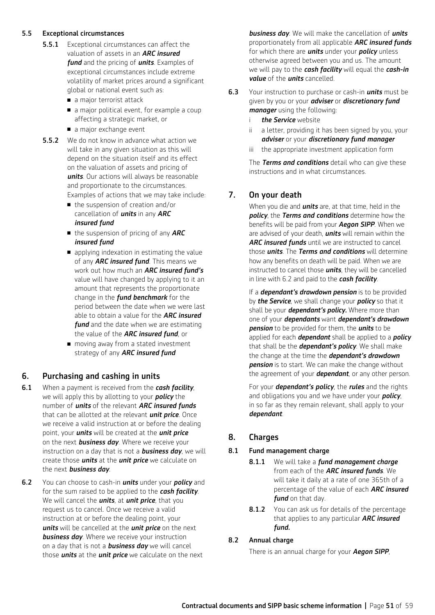## 5.5 Exceptional circumstances

- **5.5.1** Exceptional circumstances can affect the valuation of assets in an *ARC insured fund* and the pricing of *units*. Examples of exceptional circumstances include extreme volatility of market prices around a significant global or national event such as:
	- a major terrorist attack
	- a major political event, for example a coup affecting a strategic market, or
	- a major exchange event
- **5.5.2** We do not know in advance what action we will take in any given situation as this will depend on the situation itself and its effect on the valuation of assets and pricing of *units*. Our actions will always be reasonable and proportionate to the circumstances. Examples of actions that we may take include:
	- the suspension of creation and/or cancellation of *units* in any *ARC insured fund*
	- the suspension of pricing of any **ARC** *insured fund*
	- $\blacksquare$  applying indexation in estimating the value of any *ARC insured fund*. This means we work out how much an *ARC insured fund's*  value will have changed by applying to it an amount that represents the proportionate change in the *fund benchmark* for the period between the date when we were last able to obtain a value for the *ARC insured fund* and the date when we are estimating the value of the *ARC insured fund*, or
	- moving away from a stated investment strategy of any *ARC insured fund*

## 6. Purchasing and cashing in units

- 6.1 When a payment is received from the *cash facility*, we will apply this by allotting to your *policy* the number of *units* of the relevant *ARC insured funds*  that can be allotted at the relevant *unit price*. Once we receive a valid instruction at or before the dealing point, your *units* will be created at the *unit price*  on the next *business day*. Where we receive your instruction on a day that is not a *business day*, we will create those *units* at the *unit price* we calculate on the next *business day*.
- 6.2 You can choose to cash-in *units* under your *policy* and for the sum raised to be applied to the *cash facility*. We will cancel the *units*, at *unit price*, that you request us to cancel. Once we receive a valid instruction at or before the dealing point, your *units* will be cancelled at the *unit price* on the next **business day**. Where we receive your instruction on a day that is not a *business day* we will cancel those *units* at the *unit price* we calculate on the next

*business day*. We will make the cancellation of *units* proportionately from all applicable *ARC insured funds*  for which there are *units* under your *policy* unless otherwise agreed between you and us. The amount we will pay to the *cash facility* will equal the *cash-in value* of the *units* cancelled.

- 6.3 Your instruction to purchase or cash-in *units* must be given by you or your *adviser* or *discretionary fund manager* using the following:
	- i *the Service* website
	- ii a letter, providing it has been signed by you, your *adviser* or your *discretionary fund manager*
	- iii the appropriate investment application form

 The *Terms and conditions* detail who can give these instructions and in what circumstances.

## 7. On your death

 When you die and *units* are, at that time, held in the *policy*, the *Terms and conditions* determine how the benefits will be paid from your *Aegon SIPP*. When we are advised of your death, *units* will remain within the ARC insured funds until we are instructed to cancel those *units*. The *Terms and conditions* will determine how any benefits on death will be paid. When we are instructed to cancel those *units*, they will be cancelled in line with 6.2 and paid to the *cash facility*.

 If a *dependant's drawdown pension* is to be provided by *the Service*, we shall change your *policy* so that it shall be your *dependant's policy.* Where more than one of your *dependants* want *dependant's drawdown pension* to be provided for them, the *units* to be applied for each *dependant* shall be applied to a *policy* that shall be the *dependant's policy*. We shall make the change at the time the *dependant's drawdown*  **pension** is to start. We can make the change without the agreement of your *dependant*, or any other person.

 For your *dependant's policy*, the *rules* and the rights and obligations you and we have under your *policy*, in so far as they remain relevant, shall apply to your *dependant*.

## 8. Charges

### 8.1 Fund management charge

- 8.1.1 We will take a *fund management charge* from each of the *ARC insured funds*. We will take it daily at a rate of one 365th of a percentage of the value of each *ARC insured fund* on that day.
- 8.1.2 You can ask us for details of the percentage that applies to any particular *ARC insured fund.*

## 8.2 Annual charge

There is an annual charge for your *Aegon SIPP*,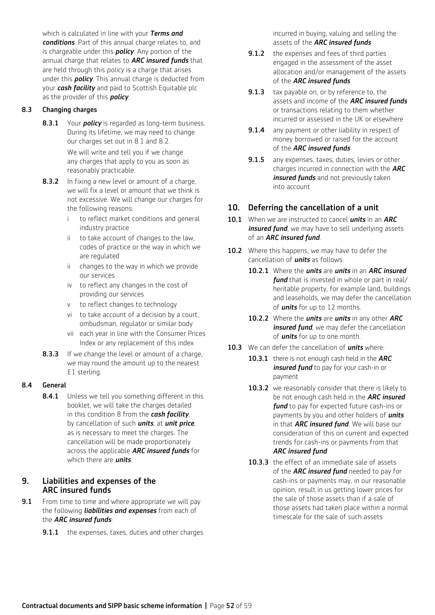which is calculated in line with your *Terms and conditions*. Part of this annual charge relates to, and is chargeable under this *policy*. Any portion of the annual charge that relates to *ARC insured funds* that are held through this *policy* is a charge that arises under this *policy*. This annual charge is deducted from your *cash facility* and paid to Scottish Equitable plc as the provider of this *policy*.

## 8.3 Changing charges

8.3.1 Your *policy* is regarded as long-term business. During its lifetime, we may need to change our charges set out in 8.1 and 8.2.

> We will write and tell you if we change any charges that apply to you as soon as reasonably practicable.

- 8.3.2 In fixing a new level or amount of a charge, we will fix a level or amount that we think is not excessive. We will change our charges for the following reasons:
	- i to reflect market conditions and general industry practice
	- ii to take account of changes to the law, codes of practice or the way in which we are regulated
	- ii changes to the way in which we provide our services
	- iv to reflect any changes in the cost of providing our services
	- v to reflect changes to technology
	- vi to take account of a decision by a court, ombudsman, regulator or similar body
	- vii each year in line with the Consumer Prices Index or any replacement of this index
- **8.3.3** If we change the level or amount of a charge, we may round the amount up to the nearest £1 sterling.

### 8.4 General

8.4.1 Unless we tell you something different in this booklet, we will take the charges detailed in this condition 8 from the *cash facility*, by cancellation of such *units*, at *unit price*, as is necessary to meet the charges. The cancellation will be made proportionately across the applicable *ARC insured funds* for which there are *units*.

## 9. Liabilities and expenses of the ARC insured funds

- **9.1** From time to time and where appropriate we will pay the following *liabilities and expenses* from each of the *ARC insured funds*:
	- **9.1.1** the expenses, taxes, duties and other charges

incurred in buying, valuing and selling the assets of the *ARC insured funds*

- **9.1.2** the expenses and fees of third parties engaged in the assessment of the asset allocation and/or management of the assets of the *ARC insured funds*
- **9.1.3** tax payable on, or by reference to, the assets and income of the *ARC insured funds*  or transactions relating to them whether incurred or assessed in the UK or elsewhere
- **9.1.4** any payment or other liability in respect of money borrowed or raised for the account of the *ARC insured funds*
- **9.1.5** any expenses, taxes, duties, levies or other charges incurred in connection with the *ARC insured funds* and not previously taken into account

## 10. Deferring the cancellation of a unit

- 10.1 When we are instructed to cancel *units* in an *ARC insured fund*, we may have to sell underlying assets of an *ARC insured fund*.
- 10.2 Where this happens, we may have to defer the cancellation of *units* as follows:
	- 10.2.1 Where the *units* are *units* in an *ARC insured fund* that is invested in whole or part in real/ heritable property, for example land, buildings and leaseholds, we may defer the cancellation of *units* for up to 12 months.
	- 10.2.2 Where the *units* are *units* in any other *ARC insured fund*, we may defer the cancellation of *units* for up to one month.
- 10.3 We can defer the cancellation of *units* where:
	- 10.3.1 there is not enough cash held in the *ARC insured fund* to pay for your cash-in or payment
	- 10.3.2 we reasonably consider that there is likely to be not enough cash held in the *ARC insured fund* to pay for expected future cash-ins or payments by you and other holders of *units* in that *ARC insured fund*. We will base our consideration of this on current and expected trends for cash-ins or payments from that *ARC insured fund*
	- 10.3.3 the effect of an immediate sale of assets of the *ARC insured fund* needed to pay for cash-ins or payments may, in our reasonable opinion, result in us getting lower prices for the sale of those assets than if a sale of those assets had taken place within a normal timescale for the sale of such assets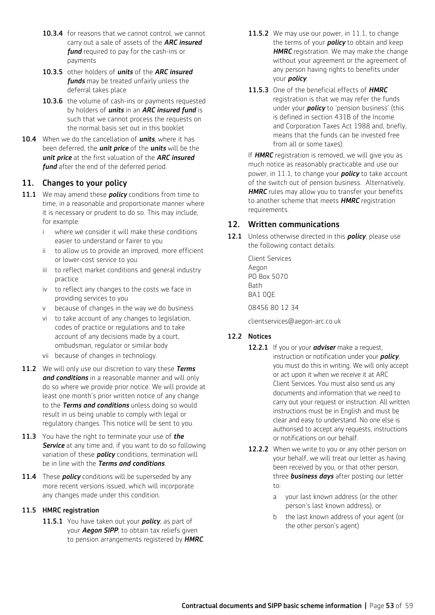- 10.3.4 for reasons that we cannot control, we cannot carry out a sale of assets of the *ARC insured fund* required to pay for the cash-ins or payments
- 10.3.5 other holders of *units* of the *ARC insured funds* may be treated unfairly unless the deferral takes place
- 10.3.6 the volume of cash-ins or payments requested by holders of *units* in an *ARC insured fund* is such that we cannot process the requests on the normal basis set out in this booklet
- 10.4 When we do the cancellation of *units*, where it has been deferred, the *unit price* of the *units* will be the *unit price* at the first valuation of the *ARC insured fund* after the end of the deferred period.

## 11. Changes to your policy

- 11.1 We may amend these *policy* conditions from time to time, in a reasonable and proportionate manner where it is necessary or prudent to do so. This may include, for example:
	- i where we consider it will make these conditions easier to understand or fairer to you
	- ii to allow us to provide an improved, more efficient or lower-cost service to you
	- iii to reflect market conditions and general industry practice
	- iv to reflect any changes to the costs we face in providing services to you
	- v because of changes in the way we do business
	- vi to take account of any changes to legislation, codes of practice or regulations and to take account of any decisions made by a court, ombudsman, regulator or similar body
	- vii because of changes in technology.
- 11.2 We will only use our discretion to vary these *Terms and conditions* in a reasonable manner and will only do so where we provide prior notice. We will provide at least one month's prior written notice of any change to the *Terms and conditions* unless doing so would result in us being unable to comply with legal or regulatory changes. This notice will be sent to you.
- 11.3 You have the right to terminate your use of *the*  **Service** at any time and, if you want to do so following variation of these *policy* conditions, termination will be in line with the *Terms and conditions.*
- 11.4 These *policy* conditions will be superseded by any more recent versions issued, which will incorporate any changes made under this condition.

## 11.5 HMRC registration

11.5.1 You have taken out your *policy*, as part of your *Aegon SIPP*, to obtain tax reliefs given to pension arrangements registered by *HMRC*.

- 11.5.2 We may use our power, in 11.1, to change the terms of your *policy* to obtain and keep *HMRC* registration. We may make the change without your agreement or the agreement of any person having rights to benefits under your *policy*.
- 11.5.3 One of the beneficial effects of *HMRC* registration is that we may refer the funds under your *policy* to 'pension business' (this is defined in section 431B of the Income and Corporation Taxes Act 1988 and, briefly, means that the funds can be invested free from all or some taxes).

 If *HMRC* registration is removed, we will give you as much notice as reasonably practicable and use our power, in 11.1, to change your *policy* to take account of the switch out of pension business. Alternatively, **HMRC** rules may allow you to transfer your benefits to another scheme that meets *HMRC* registration requirements.

## 12. Written communications

12.1 Unless otherwise directed in this *policy*, please use the following contact details:

> Client Services Aegon PO Box 5070 **Bath** BA1 0QE 08456 80 12 34

clientservices@aegon-arc.co.uk

## 12.2 Notices

- 12.2.1 If you or your *adviser* make a request, instruction or notification under your *policy*, you must do this in writing. We will only accept or act upon it when we receive it at ARC Client Services. You must also send us any documents and information that we need to carry out your request or instruction. All written instructions must be in English and must be clear and easy to understand. No one else is authorised to accept any requests, instructions or notifications on our behalf.
- 12.2.2 When we write to you or any other person on your behalf, we will treat our letter as having been received by you, or that other person, three *business days* after posting our letter to:
	- a your last known address (or the other person's last known address), or
	- b the last known address of your agent (or the other person's agent)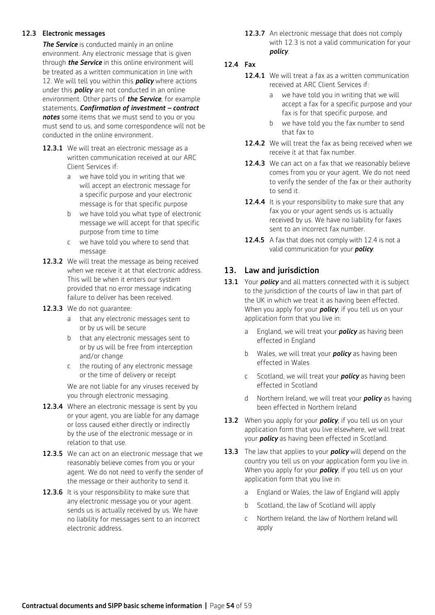### 12.3 Electronic messages

**The Service** is conducted mainly in an online environment. Any electronic message that is given through *the Service* in this online environment will be treated as a written communication in line with 12. We will tell you within this *policy* where actions under this *policy* are not conducted in an online environment. Other parts of *the Service*, for example statements, *Confirmation of investment – contract notes* some items that we must send to you or you must send to us, and some correspondence will not be conducted in the online environment.

- 12.3.1 We will treat an electronic message as a written communication received at our ARC Client Services if:
	- a we have told you in writing that we will accept an electronic message for a specific purpose and your electronic message is for that specific purpose
	- b we have told you what type of electronic message we will accept for that specific purpose from time to time
	- c we have told you where to send that message
- 12.3.2 We will treat the message as being received when we receive it at that electronic address. This will be when it enters our system provided that no error message indicating failure to deliver has been received.
- 12.3.3 We do not quarantee:
	- a that any electronic messages sent to or by us will be secure
	- b that any electronic messages sent to or by us will be free from interception and/or change
	- c the routing of any electronic message or the time of delivery or receipt

 We are not liable for any viruses received by you through electronic messaging.

- 12.3.4 Where an electronic message is sent by you or your agent, you are liable for any damage or loss caused either directly or indirectly by the use of the electronic message or in relation to that use.
- 12.3.5 We can act on an electronic message that we reasonably believe comes from you or your agent. We do not need to verify the sender of the message or their authority to send it.
- 12.3.6 It is your responsibility to make sure that any electronic message you or your agent sends us is actually received by us. We have no liability for messages sent to an incorrect electronic address.

12.3.7 An electronic message that does not comply with 12.3 is not a valid communication for your *policy*.

## 12.4 Fax

- 12.4.1 We will treat a fax as a written communication received at ARC Client Services if:
	- a we have told you in writing that we will accept a fax for a specific purpose and your fax is for that specific purpose, and
	- b we have told you the fax number to send that fax to
- 12.4.2 We will treat the fax as being received when we receive it at that fax number.
- 12.4.3 We can act on a fax that we reasonably believe comes from you or your agent. We do not need to verify the sender of the fax or their authority to send it.
- 12.4.4 It is your responsibility to make sure that any fax you or your agent sends us is actually received by us. We have no liability for faxes sent to an incorrect fax number.
- 12.4.5 A fax that does not comply with 12.4 is not a valid communication for your *policy*.

## 13. Law and jurisdiction

- 13.1 Your *policy* and all matters connected with it is subject to the jurisdiction of the courts of law in that part of the UK in which we treat it as having been effected. When you apply for your *policy*, if you tell us on your application form that you live in:
	- a England, we will treat your *policy* as having been effected in England
	- b Wales, we will treat your *policy* as having been effected in Wales
	- c Scotland, we will treat your *policy* as having been effected in Scotland
	- d Northern Ireland, we will treat your *policy* as having been effected in Northern Ireland
- 13.2 When you apply for your **policy**, if you tell us on your application form that you live elsewhere, we will treat your *policy* as having been effected in Scotland.
- 13.3 The law that applies to your *policy* will depend on the country you tell us on your application form you live in. When you apply for your *policy*, if you tell us on your application form that you live in:
	- a England or Wales, the law of England will apply
	- b Scotland, the law of Scotland will apply
	- c Northern Ireland, the law of Northern Ireland will apply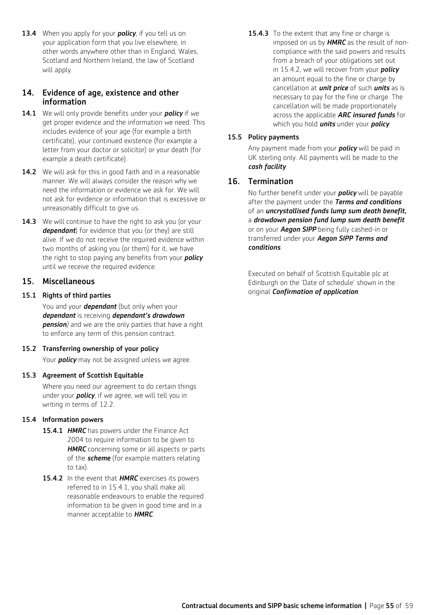13.4 When you apply for your *policy*, if you tell us on your application form that you live elsewhere, in other words anywhere other than in England, Wales, Scotland and Northern Ireland, the law of Scotland will apply.

## 14. Evidence of age, existence and other information

- 14.1 We will only provide benefits under your *policy* if we get proper evidence and the information we need. This includes evidence of your age (for example a birth certificate), your continued existence (for example a letter from your doctor or solicitor) or your death (for example a death certificate).
- 14.2 We will ask for this in good faith and in a reasonable manner. We will always consider the reason why we need the information or evidence we ask for. We will not ask for evidence or information that is excessive or unreasonably difficult to give us.
- 14.3 We will continue to have the right to ask you (or your *dependant*) for evidence that you (or they) are still alive. If we do not receive the required evidence within two months of asking you (or them) for it, we have the right to stop paying any benefits from your *policy* until we receive the required evidence.

## 15. Miscellaneous

## 15.1 Rights of third parties

 You and your *dependant* (but only when your *dependant* is receiving *dependant's drawdown pension)* and we are the only parties that have a right to enforce any term of this pension contract.

### 15.2 Transferring ownership of your policy

Your *policy* may not be assigned unless we agree.

### 15.3 Agreement of Scottish Equitable

 Where you need our agreement to do certain things under your *policy*, if we agree, we will tell you in writing in terms of 12.2.

### 15.4 Information powers

- 15.4.1 *HMRC* has powers under the Finance Act 2004 to require information to be given to *HMRC* concerning some or all aspects or parts of the *scheme* (for example matters relating to tax).
- 15.4.2 In the event that **HMRC** exercises its powers referred to in 15.4.1, you shall make all reasonable endeavours to enable the required information to be given in good time and in a manner acceptable to *HMRC*.

15.4.3 To the extent that any fine or charge is imposed on us by *HMRC* as the result of noncompliance with the said powers and results from a breach of your obligations set out in 15.4.2, we will recover from your *policy* an amount equal to the fine or charge by cancellation at *unit price* of such *units* as is necessary to pay for the fine or charge. The cancellation will be made proportionately across the applicable *ARC insured funds* for which you hold *units* under your *policy*.

## 15.5 Policy payments

 Any payment made from your *policy* will be paid in UK sterling only. All payments will be made to the *cash facility*.

## 16. Termination

No further benefit under your *policy* will be payable after the payment under the *Terms and conditions* of an *uncrystallised funds lump sum death benefit,* a *drawdown pension fund lump sum death benefit*  or on your *Aegon SIPP* being fully cashed-in or transferred under your *Aegon SIPP Terms and conditions*.

Executed on behalf of Scottish Equitable plc at Edinburgh on the 'Date of schedule' shown in the original *Confirmation of application*.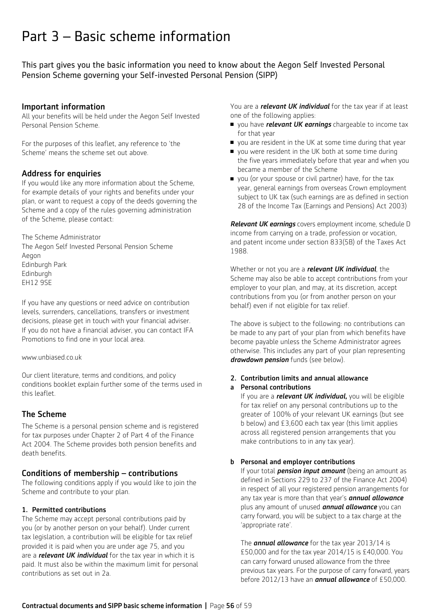## Part 3 – Basic scheme information

This part gives you the basic information you need to know about the Aegon Self Invested Personal Pension Scheme governing your Self-invested Personal Pension (SIPP)

## Important information

All your benefits will be held under the Aegon Self Invested Personal Pension Scheme.

For the purposes of this leaflet, any reference to 'the Scheme' means the scheme set out above.

## Address for enquiries

If you would like any more information about the Scheme, for example details of your rights and benefits under your plan, or want to request a copy of the deeds governing the Scheme and a copy of the rules governing administration of the Scheme, please contact:

The Scheme Administrator The Aegon Self Invested Personal Pension Scheme Aegon Edinburgh Park Edinburgh EH12 9SE

If you have any questions or need advice on contribution levels, surrenders, cancellations, transfers or investment decisions, please get in touch with your financial adviser. If you do not have a financial adviser, you can contact IFA Promotions to find one in your local area.

www.unbiased.co.uk

Our client literature, terms and conditions, and policy conditions booklet explain further some of the terms used in this leaflet.

## The Scheme

The Scheme is a personal pension scheme and is registered for tax purposes under Chapter 2 of Part 4 of the Finance Act 2004. The Scheme provides both pension benefits and death benefits.

## Conditions of membership – contributions

The following conditions apply if you would like to join the Scheme and contribute to your plan.

## 1. Permitted contributions

The Scheme may accept personal contributions paid by you (or by another person on your behalf). Under current tax legislation, a contribution will be eligible for tax relief provided it is paid when you are under age 75, and you are a *relevant UK individual* for the tax year in which it is paid. It must also be within the maximum limit for personal contributions as set out in 2a.

You are a *relevant UK individual* for the tax year if at least one of the following applies:

- **n** you have *relevant UK earnings* chargeable to income tax for that year
- vou are resident in the UK at some time during that year
- vou were resident in the UK both at some time during the five years immediately before that year and when you became a member of the Scheme
- vou (or your spouse or civil partner) have, for the tax year, general earnings from overseas Crown employment subject to UK tax (such earnings are as defined in section 28 of the Income Tax (Earnings and Pensions) Act 2003)

*Relevant UK earnings* covers employment income, schedule D income from carrying on a trade, profession or vocation, and patent income under section 833(5B) of the Taxes Act 1988.

Whether or not you are a *relevant UK individual*, the Scheme may also be able to accept contributions from your employer to your plan, and may, at its discretion, accept contributions from you (or from another person on your behalf) even if not eligible for tax relief.

The above is subject to the following: no contributions can be made to any part of your plan from which benefits have become payable unless the Scheme Administrator agrees otherwise. This includes any part of your plan representing *drawdown pension* funds (see below).

## 2. Contribution limits and annual allowance

### a Personal contributions

If you are a *relevant UK individual,* you will be eligible for tax relief on any personal contributions up to the greater of 100% of your relevant UK earnings (but see b below) and £3,600 each tax year (this limit applies across all registered pension arrangements that you make contributions to in any tax year).

## b Personal and employer contributions

If your total *pension input amount* (being an amount as defined in Sections 229 to 237 of the Finance Act 2004) in respect of all your registered pension arrangements for any tax year is more than that year's *annual allowance*  plus any amount of unused *annual allowance* you can carry forward, you will be subject to a tax charge at the 'appropriate rate'.

The *annual allowance* for the tax year 2013/14 is £50,000 and for the tax year 2014/15 is £40,000. You can carry forward unused allowance from the three previous tax years. For the purpose of carry forward, years before 2012/13 have an *annual allowance* of £50,000.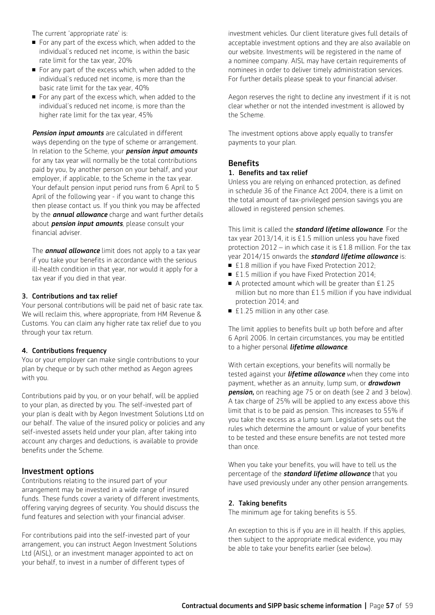The current 'appropriate rate' is:

- For any part of the excess which, when added to the individual's reduced net income, is within the basic rate limit for the tax year, 20%
- $\blacksquare$  For any part of the excess which, when added to the individual's reduced net income, is more than the basic rate limit for the tax year, 40%
- For any part of the excess which, when added to the individual's reduced net income, is more than the higher rate limit for the tax year, 45%

*Pension input amounts* are calculated in different ways depending on the type of scheme or arrangement. In relation to the Scheme, your *pension input amounts*  for any tax year will normally be the total contributions paid by you, by another person on your behalf, and your employer, if applicable, to the Scheme in the tax year. Your default pension input period runs from 6 April to 5 April of the following year - if you want to change this then please contact us. If you think you may be affected by the *annual allowance* charge and want further details about *pension input amounts*, please consult your financial adviser.

The *annual allowance* limit does not apply to a tax year if you take your benefits in accordance with the serious ill-health condition in that year, nor would it apply for a tax year if you died in that year.

#### 3. Contributions and tax relief

Your personal contributions will be paid net of basic rate tax. We will reclaim this, where appropriate, from HM Revenue & Customs. You can claim any higher rate tax relief due to you through your tax return.

#### 4. Contributions frequency

You or your employer can make single contributions to your plan by cheque or by such other method as Aegon agrees with you.

Contributions paid by you, or on your behalf, will be applied to your plan, as directed by you. The self-invested part of your plan is dealt with by Aegon Investment Solutions Ltd on our behalf. The value of the insured policy or policies and any self-invested assets held under your plan, after taking into account any charges and deductions, is available to provide benefits under the Scheme.

### Investment options

Contributions relating to the insured part of your arrangement may be invested in a wide range of insured funds. These funds cover a variety of different investments, offering varying degrees of security. You should discuss the fund features and selection with your financial adviser.

For contributions paid into the self-invested part of your arrangement, you can instruct Aegon Investment Solutions Ltd (AISL), or an investment manager appointed to act on your behalf, to invest in a number of different types of

investment vehicles. Our client literature gives full details of acceptable investment options and they are also available on our website. Investments will be registered in the name of a nominee company. AISL may have certain requirements of nominees in order to deliver timely administration services. For further details please speak to your financial adviser.

Aegon reserves the right to decline any investment if it is not clear whether or not the intended investment is allowed by the Scheme.

The investment options above apply equally to transfer payments to your plan.

## **Benefits**

#### 1. Benefits and tax relief

Unless you are relying on enhanced protection, as defined in schedule 36 of the Finance Act 2004, there is a limit on the total amount of tax-privileged pension savings you are allowed in registered pension schemes.

This limit is called the *standard lifetime allowance*. For the tax year 2013/14, it is £1.5 million unless you have fixed protection 2012 – in which case it is £1.8 million. For the tax year 2014/15 onwards the *standard lifetime allowance* is:

- £1.8 million if you have Fixed Protection 2012;
- £1.5 million if you have Fixed Protection 2014;
- $\blacksquare$  A protected amount which will be greater than £1.25 million but no more than £1.5 million if you have individual protection 2014; and
- $\blacktriangleright$  £1.25 million in any other case.

The limit applies to benefits built up both before and after 6 April 2006. In certain circumstances, you may be entitled to a higher personal *lifetime allowance*.

With certain exceptions, your benefits will normally be tested against your *lifetime allowance* when they come into payment, whether as an annuity, lump sum, or *drawdown pension,* on reaching age 75 or on death (see 2 and 3 below). A tax charge of 25% will be applied to any excess above this limit that is to be paid as pension. This increases to 55% if you take the excess as a lump sum. Legislation sets out the rules which determine the amount or value of your benefits to be tested and these ensure benefits are not tested more than once.

When you take your benefits, you will have to tell us the percentage of the *standard lifetime allowance* that you have used previously under any other pension arrangements.

### 2. Taking benefits

The minimum age for taking benefits is 55.

An exception to this is if you are in ill health. If this applies, then subject to the appropriate medical evidence, you may be able to take your benefits earlier (see below).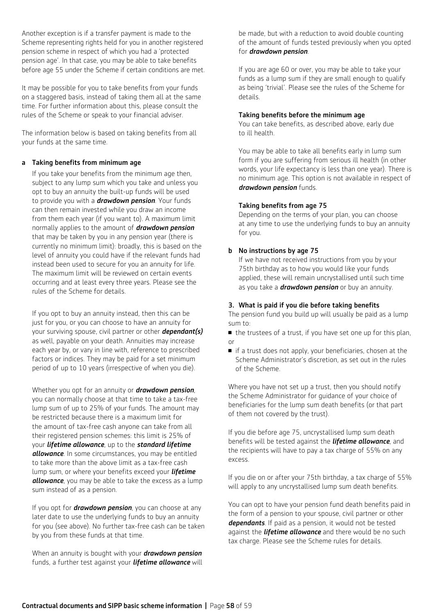Another exception is if a transfer payment is made to the Scheme representing rights held for you in another registered pension scheme in respect of which you had a 'protected pension age'. In that case, you may be able to take benefits before age 55 under the Scheme if certain conditions are met.

It may be possible for you to take benefits from your funds on a staggered basis, instead of taking them all at the same time. For further information about this, please consult the rules of the Scheme or speak to your financial adviser.

The information below is based on taking benefits from all your funds at the same time.

#### a Taking benefits from minimum age

If you take your benefits from the minimum age then, subject to any lump sum which you take and unless you opt to buy an annuity the built-up funds will be used to provide you with a *drawdown pension*. Your funds can then remain invested while you draw an income from them each year (if you want to). A maximum limit normally applies to the amount of *drawdown pension*  that may be taken by you in any pension year (there is currently no minimum limit): broadly, this is based on the level of annuity you could have if the relevant funds had instead been used to secure for you an annuity for life. The maximum limit will be reviewed on certain events occurring and at least every three years. Please see the rules of the Scheme for details.

If you opt to buy an annuity instead, then this can be just for you, or you can choose to have an annuity for your surviving spouse, civil partner or other *dependant(s)* as well, payable on your death. Annuities may increase each year by, or vary in line with, reference to prescribed factors or indices. They may be paid for a set minimum period of up to 10 years (irrespective of when you die).

Whether you opt for an annuity or *drawdown pension*, you can normally choose at that time to take a tax-free lump sum of up to 25% of your funds. The amount may be restricted because there is a maximum limit for the amount of tax-free cash anyone can take from all their registered pension schemes: this limit is 25% of your *lifetime allowance*, up to the *standard lifetime allowance*. In some circumstances, you may be entitled to take more than the above limit as a tax-free cash lump sum, or where your benefits exceed your *lifetime allowance*, you may be able to take the excess as a lump sum instead of as a pension.

If you opt for *drawdown pension*, you can choose at any later date to use the underlying funds to buy an annuity for you (see above). No further tax-free cash can be taken by you from these funds at that time.

When an annuity is bought with your *drawdown pension*  funds, a further test against your *lifetime allowance* will be made, but with a reduction to avoid double counting of the amount of funds tested previously when you opted for *drawdown pension*.

If you are age 60 or over, you may be able to take your funds as a lump sum if they are small enough to qualify as being 'trivial'. Please see the rules of the Scheme for details.

#### Taking benefits before the minimum age

You can take benefits, as described above, early due to ill health.

You may be able to take all benefits early in lump sum form if you are suffering from serious ill health (in other words, your life expectancy is less than one year). There is no minimum age. This option is not available in respect of *drawdown pension* funds.

## Taking benefits from age 75

Depending on the terms of your plan, you can choose at any time to use the underlying funds to buy an annuity for you.

#### b No instructions by age 75

 If we have not received instructions from you by your 75th birthday as to how you would like your funds applied, these will remain uncrystallised until such time as you take a *drawdown pension* or buy an annuity.

#### 3. What is paid if you die before taking benefits

The pension fund you build up will usually be paid as a lump sum to:

<sup>n</sup> the trustees of a trust, if you have set one up for this plan, or

 $\blacksquare$  if a trust does not apply, your beneficiaries, chosen at the Scheme Administrator's discretion, as set out in the rules of the Scheme.

Where you have not set up a trust, then you should notify the Scheme Administrator for guidance of your choice of beneficiaries for the lump sum death benefits (or that part of them not covered by the trust).

If you die before age 75, uncrystallised lump sum death benefits will be tested against the *lifetime allowance*, and the recipients will have to pay a tax charge of 55% on any excess.

If you die on or after your 75th birthday, a tax charge of 55% will apply to any uncrystallised lump sum death benefits.

You can opt to have your pension fund death benefits paid in the form of a pension to your spouse, civil partner or other *dependants*. If paid as a pension, it would not be tested against the *lifetime allowance* and there would be no such tax charge. Please see the Scheme rules for details.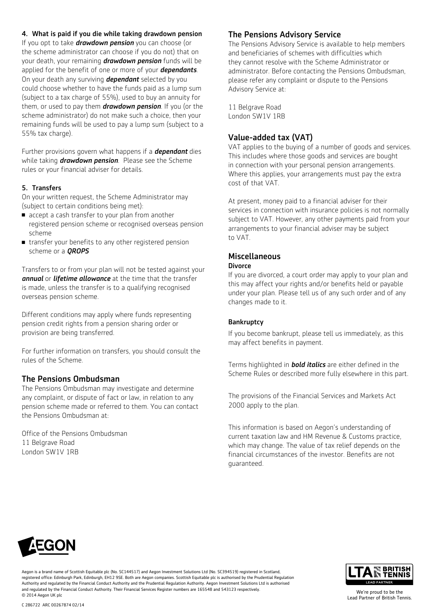4. What is paid if you die while taking drawdown pension If you opt to take *drawdown pension* you can choose (or the scheme administrator can choose if you do not) that on your death, your remaining *drawdown pension* funds will be applied for the benefit of one or more of your *dependants*. On your death any surviving *dependant* selected by you could choose whether to have the funds paid as a lump sum (subject to a tax charge of 55%), used to buy an annuity for them, or used to pay them *drawdown pension*. If you (or the scheme administrator) do not make such a choice, then your remaining funds will be used to pay a lump sum (subject to a 55% tax charge).

Further provisions govern what happens if a *dependant* dies while taking *drawdown pension*. Please see the Scheme rules or your financial adviser for details.

## 5. Transfers

On your written request, the Scheme Administrator may (subject to certain conditions being met):

- n accept a cash transfer to your plan from another registered pension scheme or recognised overseas pension scheme
- transfer your benefits to any other registered pension scheme or a *QROPS*

Transfers to or from your plan will not be tested against your *annual* or *lifetime allowance* at the time that the transfer is made, unless the transfer is to a qualifying recognised overseas pension scheme.

Different conditions may apply where funds representing pension credit rights from a pension sharing order or provision are being transferred.

For further information on transfers, you should consult the rules of the Scheme.

## The Pensions Ombudsman

The Pensions Ombudsman may investigate and determine any complaint, or dispute of fact or law, in relation to any pension scheme made or referred to them. You can contact the Pensions Ombudsman at:

Office of the Pensions Ombudsman 11 Belgrave Road London SW1V 1RB

## The Pensions Advisory Service

The Pensions Advisory Service is available to help members and beneficiaries of schemes with difficulties which they cannot resolve with the Scheme Administrator or administrator. Before contacting the Pensions Ombudsman, please refer any complaint or dispute to the Pensions Advisory Service at:

11 Belgrave Road London SW1V 1RB

## Value-added tax (VAT)

VAT applies to the buying of a number of goods and services. This includes where those goods and services are bought in connection with your personal pension arrangements. Where this applies, your arrangements must pay the extra cost of that VAT.

At present, money paid to a financial adviser for their services in connection with insurance policies is not normally subject to VAT. However, any other payments paid from your arrangements to your financial adviser may be subject to VAT.

#### Miscellaneous **Divorce**

If you are divorced, a court order may apply to your plan and this may affect your rights and/or benefits held or payable under your plan. Please tell us of any such order and of any changes made to it.

## **Bankruptcy**

If you become bankrupt, please tell us immediately, as this may affect benefits in payment.

Terms highlighted in *bold italics* are either defined in the Scheme Rules or described more fully elsewhere in this part.

The provisions of the Financial Services and Markets Act 2000 apply to the plan.

This information is based on Aegon's understanding of current taxation law and HM Revenue & Customs practice, which may change. The value of tax relief depends on the financial circumstances of the investor. Benefits are not guaranteed.



Aegon is a brand name of Scottish Equitable plc (No. SC144517) and Aegon Investment Solutions Ltd (No. SC394519) registered in Scotland, registered office: Edinburgh Park, Edinburgh, EH12 9SE. Both are Aegon companies. Scottish Equitable plc is authorised by the Prudential Regulation Authority and regulated by the Financial Conduct Authority and the Prudential Regulation Authority. Aegon Investment Solutions Ltd is authorised and regulated by the Financial Conduct Authority. Their Financial Services Register numbers are 165548 and 543123 respectively. © 2014 Aegon UK plc

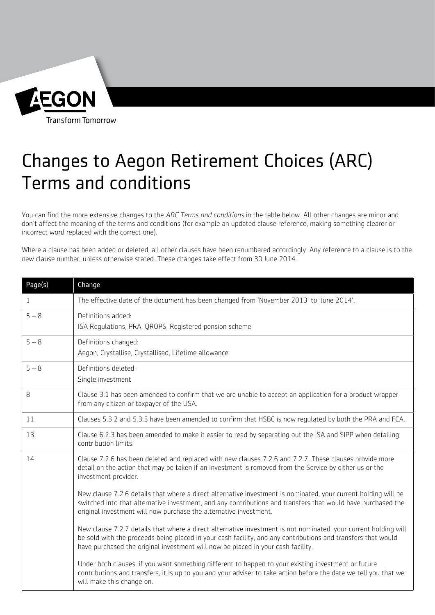

# Changes to Aegon Retirement Choices (ARC) Terms and conditions

You can find the more extensive changes to the *ARC Terms and conditions* in the table below. All other changes are minor and don't affect the meaning of the terms and conditions (for example an updated clause reference, making something clearer or incorrect word replaced with the correct one).

Where a clause has been added or deleted, all other clauses have been renumbered accordingly. Any reference to a clause is to the new clause number, unless otherwise stated. These changes take effect from 30 June 2014.

| Page(s)      | Change                                                                                                                                                                                                                                                                                                              |
|--------------|---------------------------------------------------------------------------------------------------------------------------------------------------------------------------------------------------------------------------------------------------------------------------------------------------------------------|
| $\mathbf{1}$ | The effective date of the document has been changed from 'November 2013' to 'June 2014'.                                                                                                                                                                                                                            |
| $5 - 8$      | Definitions added:<br>ISA Requlations, PRA, QROPS, Registered pension scheme                                                                                                                                                                                                                                        |
| $5 - 8$      | Definitions changed:<br>Aegon, Crystallise, Crystallised, Lifetime allowance                                                                                                                                                                                                                                        |
| $5 - 8$      | Definitions deleted:<br>Single investment                                                                                                                                                                                                                                                                           |
| 8            | Clause 3.1 has been amended to confirm that we are unable to accept an application for a product wrapper<br>from any citizen or taxpayer of the USA.                                                                                                                                                                |
| 11           | Clauses 5.3.2 and 5.3.3 have been amended to confirm that HSBC is now requlated by both the PRA and FCA.                                                                                                                                                                                                            |
| 13           | Clause 6.2.3 has been amended to make it easier to read by separating out the ISA and SIPP when detailing<br>contribution limits.                                                                                                                                                                                   |
| 14           | Clause 7.2.6 has been deleted and replaced with new clauses 7.2.6 and 7.2.7. These clauses provide more<br>detail on the action that may be taken if an investment is removed from the Service by either us or the<br>investment provider.                                                                          |
|              | New clause 7.2.6 details that where a direct alternative investment is nominated, your current holding will be<br>switched into that alternative investment, and any contributions and transfers that would have purchased the<br>original investment will now purchase the alternative investment.                 |
|              | New clause 7.2.7 details that where a direct alternative investment is not nominated, your current holding will<br>be sold with the proceeds being placed in your cash facility, and any contributions and transfers that would<br>have purchased the original investment will now be placed in your cash facility. |
|              | Under both clauses, if you want something different to happen to your existing investment or future<br>contributions and transfers, it is up to you and your adviser to take action before the date we tell you that we<br>will make this change on.                                                                |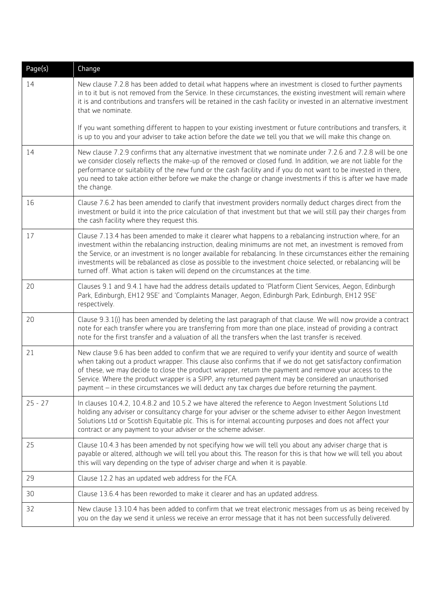| Page(s)   | Change                                                                                                                                                                                                                                                                                                                                                                                                                                                                                                                                            |
|-----------|---------------------------------------------------------------------------------------------------------------------------------------------------------------------------------------------------------------------------------------------------------------------------------------------------------------------------------------------------------------------------------------------------------------------------------------------------------------------------------------------------------------------------------------------------|
| 14        | New clause 7.2.8 has been added to detail what happens where an investment is closed to further payments<br>in to it but is not removed from the Service. In these circumstances, the existing investment will remain where<br>it is and contributions and transfers will be retained in the cash facility or invested in an alternative investment<br>that we nominate.                                                                                                                                                                          |
|           | If you want something different to happen to your existing investment or future contributions and transfers, it<br>is up to you and your adviser to take action before the date we tell you that we will make this change on.                                                                                                                                                                                                                                                                                                                     |
| 14        | New clause 7.2.9 confirms that any alternative investment that we nominate under 7.2.6 and 7.2.8 will be one<br>we consider closely reflects the make-up of the removed or closed fund. In addition, we are not liable for the<br>performance or suitability of the new fund or the cash facility and if you do not want to be invested in there,<br>you need to take action either before we make the change or change investments if this is after we have made<br>the change.                                                                  |
| 16        | Clause 7.6.2 has been amended to clarify that investment providers normally deduct charges direct from the<br>investment or build it into the price calculation of that investment but that we will still pay their charges from<br>the cash facility where they request this.                                                                                                                                                                                                                                                                    |
| 17        | Clause 7.13.4 has been amended to make it clearer what happens to a rebalancing instruction where, for an<br>investment within the rebalancing instruction, dealing minimums are not met, an investment is removed from<br>the Service, or an investment is no longer available for rebalancing. In these circumstances either the remaining<br>investments will be rebalanced as close as possible to the investment choice selected, or rebalancing will be<br>turned off. What action is taken will depend on the circumstances at the time.   |
| 20        | Clauses 9.1 and 9.4.1 have had the address details updated to 'Platform Client Services, Aegon, Edinburgh<br>Park, Edinburgh, EH12 9SE' and 'Complaints Manager, Aegon, Edinburgh Park, Edinburgh, EH12 9SE'<br>respectively.                                                                                                                                                                                                                                                                                                                     |
| 20        | Clause 9.3.1(i) has been amended by deleting the last paragraph of that clause. We will now provide a contract<br>note for each transfer where you are transferring from more than one place, instead of providing a contract<br>note for the first transfer and a valuation of all the transfers when the last transfer is received.                                                                                                                                                                                                             |
| 21        | New clause 9.6 has been added to confirm that we are required to verify your identity and source of wealth<br>when taking out a product wrapper. This clause also confirms that if we do not get satisfactory confirmation<br>of these, we may decide to close the product wrapper, return the payment and remove your access to the<br>Service. Where the product wrapper is a SIPP, any returned payment may be considered an unauthorised<br>payment - in these circumstances we will deduct any tax charges due before returning the payment. |
| $25 - 27$ | In clauses 10.4.2, 10.4.8.2 and 10.5.2 we have altered the reference to Aegon Investment Solutions Ltd<br>holding any adviser or consultancy charge for your adviser or the scheme adviser to either Aegon Investment<br>Solutions Ltd or Scottish Equitable plc. This is for internal accounting purposes and does not affect your<br>contract or any payment to your adviser or the scheme adviser.                                                                                                                                             |
| 25        | Clause 10.4.3 has been amended by not specifying how we will tell you about any adviser charge that is<br>payable or altered, although we will tell you about this. The reason for this is that how we will tell you about<br>this will vary depending on the type of adviser charge and when it is payable.                                                                                                                                                                                                                                      |
| 29        | Clause 12.2 has an updated web address for the FCA.                                                                                                                                                                                                                                                                                                                                                                                                                                                                                               |
| 30        | Clause 13.6.4 has been reworded to make it clearer and has an updated address.                                                                                                                                                                                                                                                                                                                                                                                                                                                                    |
| 32        | New clause 13.10.4 has been added to confirm that we treat electronic messages from us as being received by<br>you on the day we send it unless we receive an error message that it has not been successfully delivered.                                                                                                                                                                                                                                                                                                                          |